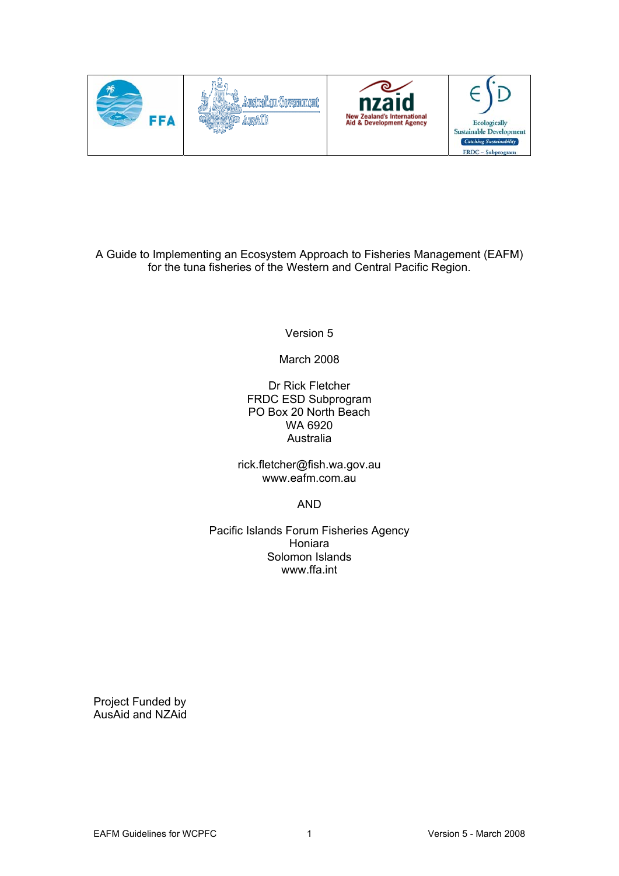

A Guide to Implementing an Ecosystem Approach to Fisheries Management (EAFM) for the tuna fisheries of the Western and Central Pacific Region.

Version 5

March 2008

Dr Rick Fletcher FRDC ESD Subprogram PO Box 20 North Beach WA 6920 Australia

rick.fletcher@fish.wa.gov.au www.eafm.com.au

AND

Pacific Islands Forum Fisheries Agency Honiara Solomon Islands www.ffa.int

Project Funded by AusAid and NZAid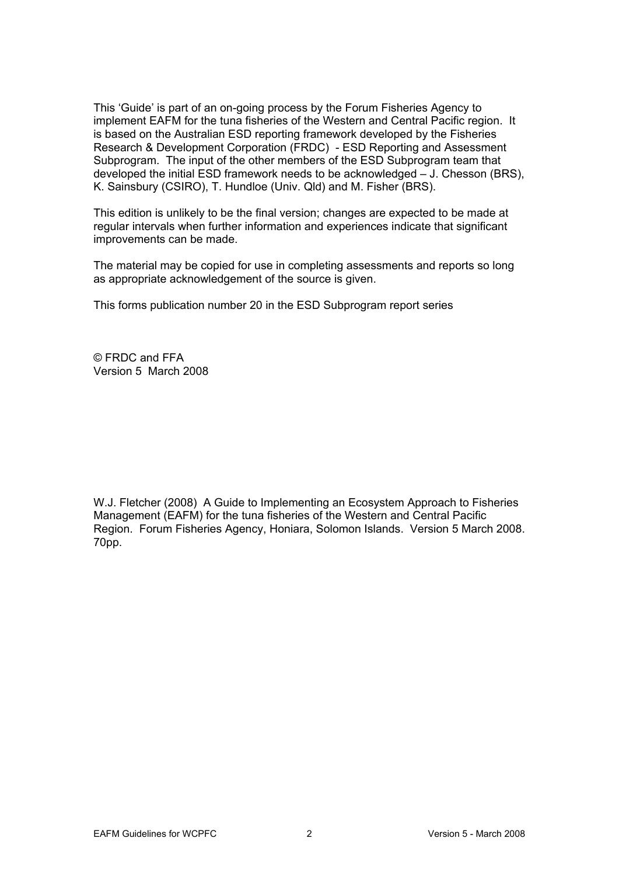This 'Guide' is part of an on-going process by the Forum Fisheries Agency to implement EAFM for the tuna fisheries of the Western and Central Pacific region. It is based on the Australian ESD reporting framework developed by the Fisheries Research & Development Corporation (FRDC) - ESD Reporting and Assessment Subprogram. The input of the other members of the ESD Subprogram team that developed the initial ESD framework needs to be acknowledged – J. Chesson (BRS), K. Sainsbury (CSIRO), T. Hundloe (Univ. Qld) and M. Fisher (BRS).

This edition is unlikely to be the final version; changes are expected to be made at regular intervals when further information and experiences indicate that significant improvements can be made.

The material may be copied for use in completing assessments and reports so long as appropriate acknowledgement of the source is given.

This forms publication number 20 in the ESD Subprogram report series

© FRDC and FFA Version 5 March 2008

W.J. Fletcher (2008) A Guide to Implementing an Ecosystem Approach to Fisheries Management (EAFM) for the tuna fisheries of the Western and Central Pacific Region. Forum Fisheries Agency, Honiara, Solomon Islands. Version 5 March 2008. 70pp.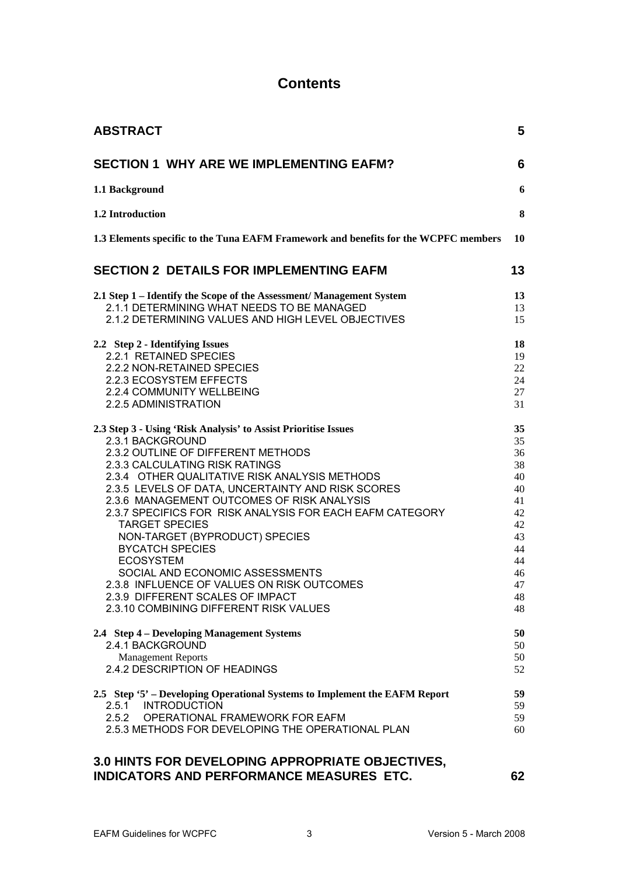## **Contents**

| <b>ABSTRACT</b>                                                                                                                                                                                                                                                                                                                                                                                                                                                                                                                                                                                                                                    | 5                                                                                            |
|----------------------------------------------------------------------------------------------------------------------------------------------------------------------------------------------------------------------------------------------------------------------------------------------------------------------------------------------------------------------------------------------------------------------------------------------------------------------------------------------------------------------------------------------------------------------------------------------------------------------------------------------------|----------------------------------------------------------------------------------------------|
| <b>SECTION 1 WHY ARE WE IMPLEMENTING EAFM?</b>                                                                                                                                                                                                                                                                                                                                                                                                                                                                                                                                                                                                     | 6                                                                                            |
| 1.1 Background                                                                                                                                                                                                                                                                                                                                                                                                                                                                                                                                                                                                                                     | 6                                                                                            |
| 1.2 Introduction                                                                                                                                                                                                                                                                                                                                                                                                                                                                                                                                                                                                                                   | 8                                                                                            |
| 1.3 Elements specific to the Tuna EAFM Framework and benefits for the WCPFC members                                                                                                                                                                                                                                                                                                                                                                                                                                                                                                                                                                | 10                                                                                           |
| <b>SECTION 2 DETAILS FOR IMPLEMENTING EAFM</b>                                                                                                                                                                                                                                                                                                                                                                                                                                                                                                                                                                                                     | 13                                                                                           |
| 2.1 Step 1 – Identify the Scope of the Assessment/ Management System<br>2.1.1 DETERMINING WHAT NEEDS TO BE MANAGED<br>2.1.2 DETERMINING VALUES AND HIGH LEVEL OBJECTIVES                                                                                                                                                                                                                                                                                                                                                                                                                                                                           | 13<br>13<br>15                                                                               |
| 2.2 Step 2 - Identifying Issues<br>2.2.1 RETAINED SPECIES<br>2.2.2 NON-RETAINED SPECIES<br>2.2.3 ECOSYSTEM EFFECTS<br>2.2.4 COMMUNITY WELLBEING<br>2.2.5 ADMINISTRATION                                                                                                                                                                                                                                                                                                                                                                                                                                                                            | 18<br>19<br>22<br>24<br>27<br>31                                                             |
| 2.3 Step 3 - Using 'Risk Analysis' to Assist Prioritise Issues<br>2.3.1 BACKGROUND<br>2.3.2 OUTLINE OF DIFFERENT METHODS<br>2.3.3 CALCULATING RISK RATINGS<br>2.3.4 OTHER QUALITATIVE RISK ANALYSIS METHODS<br>2.3.5 LEVELS OF DATA, UNCERTAINTY AND RISK SCORES<br>2.3.6 MANAGEMENT OUTCOMES OF RISK ANALYSIS<br>2.3.7 SPECIFICS FOR RISK ANALYSIS FOR EACH EAFM CATEGORY<br><b>TARGET SPECIES</b><br>NON-TARGET (BYPRODUCT) SPECIES<br><b>BYCATCH SPECIES</b><br><b>ECOSYSTEM</b><br>SOCIAL AND ECONOMIC ASSESSMENTS<br>2.3.8 INFLUENCE OF VALUES ON RISK OUTCOMES<br>2.3.9 DIFFERENT SCALES OF IMPACT<br>2.3.10 COMBINING DIFFERENT RISK VALUES | 35<br>35<br>36<br>38<br>40<br>40<br>41<br>42<br>42<br>43<br>44<br>44<br>46<br>47<br>48<br>48 |
| 2.4 Step 4 – Developing Management Systems<br>2.4.1 BACKGROUND<br><b>Management Reports</b><br>2.4.2 DESCRIPTION OF HEADINGS                                                                                                                                                                                                                                                                                                                                                                                                                                                                                                                       | 50<br>50<br>50<br>52                                                                         |
| 2.5 Step '5' – Developing Operational Systems to Implement the EAFM Report<br>2.5.1 INTRODUCTION<br>2.5.2<br>OPERATIONAL FRAMEWORK FOR EAFM<br>2.5.3 METHODS FOR DEVELOPING THE OPERATIONAL PLAN                                                                                                                                                                                                                                                                                                                                                                                                                                                   | 59<br>59<br>59<br>60                                                                         |
| 3.0 HINTS FOR DEVELOPING APPROPRIATE OBJECTIVES,                                                                                                                                                                                                                                                                                                                                                                                                                                                                                                                                                                                                   |                                                                                              |

**[INDICATORS AND PERFORMANCE MEASURES ETC. 62](#page-61-0)**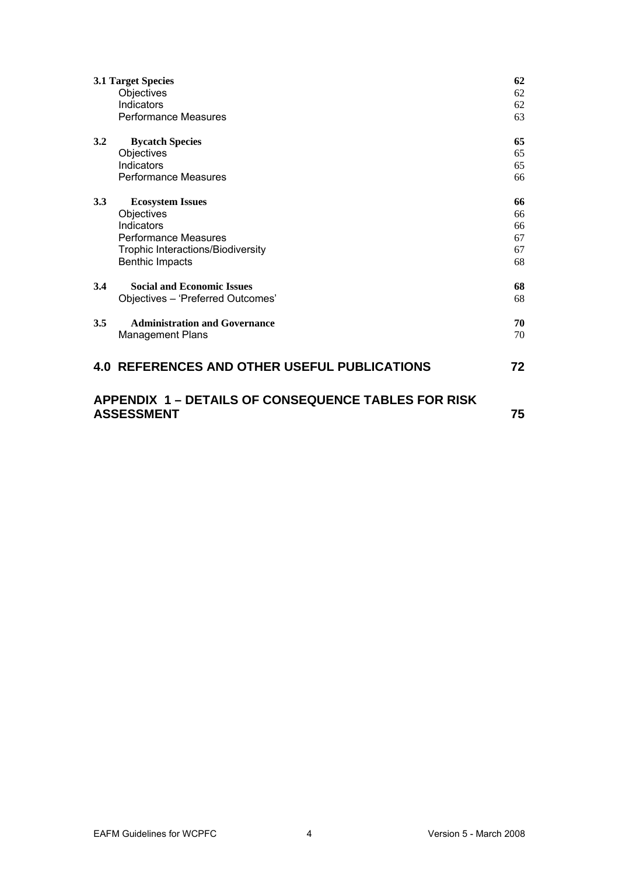| 62<br><b>3.1 Target Species</b>                                                       |                                                     |    |
|---------------------------------------------------------------------------------------|-----------------------------------------------------|----|
|                                                                                       | Objectives                                          | 62 |
|                                                                                       | Indicators                                          | 62 |
|                                                                                       | <b>Performance Measures</b>                         | 63 |
| 3.2                                                                                   | <b>Bycatch Species</b>                              | 65 |
|                                                                                       | Objectives                                          | 65 |
|                                                                                       | Indicators                                          | 65 |
|                                                                                       | <b>Performance Measures</b>                         | 66 |
| 3.3                                                                                   | <b>Ecosystem Issues</b>                             | 66 |
|                                                                                       | Objectives                                          | 66 |
|                                                                                       | Indicators                                          | 66 |
|                                                                                       | <b>Performance Measures</b>                         | 67 |
|                                                                                       | Trophic Interactions/Biodiversity                   | 67 |
|                                                                                       | <b>Benthic Impacts</b>                              | 68 |
| 3.4                                                                                   | <b>Social and Economic Issues</b>                   | 68 |
|                                                                                       | Objectives - 'Preferred Outcomes'                   | 68 |
| 3.5                                                                                   | <b>Administration and Governance</b>                | 70 |
|                                                                                       | <b>Management Plans</b>                             | 70 |
|                                                                                       | <b>4.0 REFERENCES AND OTHER USEFUL PUBLICATIONS</b> | 72 |
| <b>APPENDIX 1 - DETAILS OF CONSEQUENCE TABLES FOR RISK</b><br><b>ASSESSMENT</b><br>75 |                                                     |    |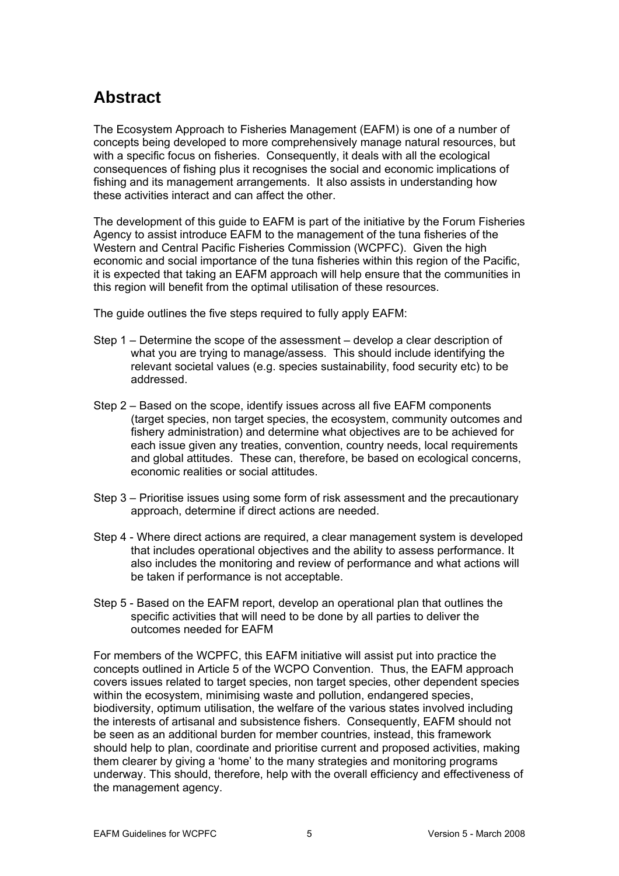# <span id="page-4-0"></span>**Abstract**

The Ecosystem Approach to Fisheries Management (EAFM) is one of a number of concepts being developed to more comprehensively manage natural resources, but with a specific focus on fisheries. Consequently, it deals with all the ecological consequences of fishing plus it recognises the social and economic implications of fishing and its management arrangements. It also assists in understanding how these activities interact and can affect the other.

The development of this guide to EAFM is part of the initiative by the Forum Fisheries Agency to assist introduce EAFM to the management of the tuna fisheries of the Western and Central Pacific Fisheries Commission (WCPFC). Given the high economic and social importance of the tuna fisheries within this region of the Pacific, it is expected that taking an EAFM approach will help ensure that the communities in this region will benefit from the optimal utilisation of these resources.

The guide outlines the five steps required to fully apply EAFM:

- Step 1 Determine the scope of the assessment develop a clear description of what you are trying to manage/assess. This should include identifying the relevant societal values (e.g. species sustainability, food security etc) to be addressed.
- Step 2 Based on the scope, identify issues across all five EAFM components (target species, non target species, the ecosystem, community outcomes and fishery administration) and determine what objectives are to be achieved for each issue given any treaties, convention, country needs, local requirements and global attitudes. These can, therefore, be based on ecological concerns, economic realities or social attitudes.
- Step 3 Prioritise issues using some form of risk assessment and the precautionary approach, determine if direct actions are needed.
- Step 4 Where direct actions are required, a clear management system is developed that includes operational objectives and the ability to assess performance. It also includes the monitoring and review of performance and what actions will be taken if performance is not acceptable.
- Step 5 Based on the EAFM report, develop an operational plan that outlines the specific activities that will need to be done by all parties to deliver the outcomes needed for EAFM

For members of the WCPFC, this EAFM initiative will assist put into practice the concepts outlined in Article 5 of the WCPO Convention. Thus, the EAFM approach covers issues related to target species, non target species, other dependent species within the ecosystem, minimising waste and pollution, endangered species, biodiversity, optimum utilisation, the welfare of the various states involved including the interests of artisanal and subsistence fishers. Consequently, EAFM should not be seen as an additional burden for member countries, instead, this framework should help to plan, coordinate and prioritise current and proposed activities, making them clearer by giving a 'home' to the many strategies and monitoring programs underway. This should, therefore, help with the overall efficiency and effectiveness of the management agency.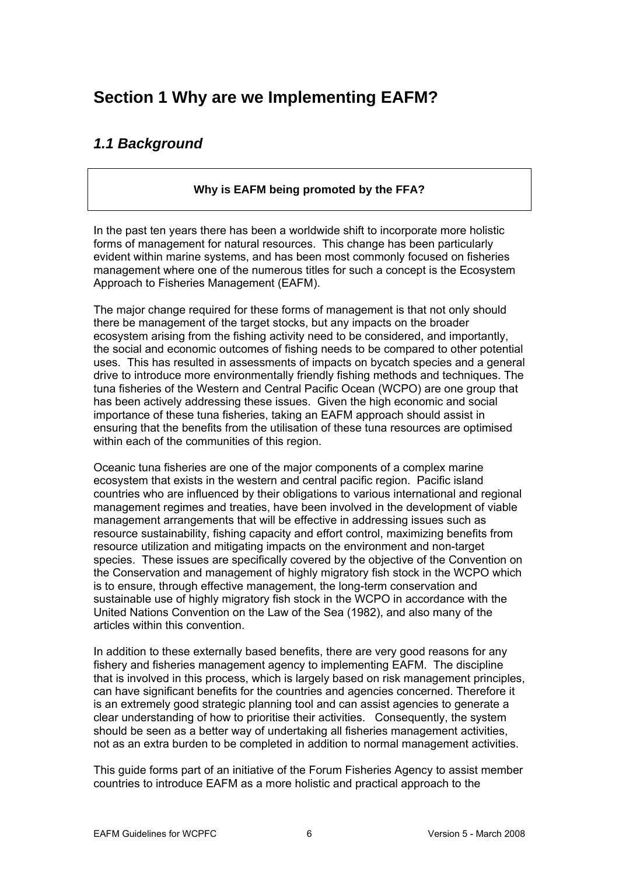# <span id="page-5-0"></span>**Section 1 Why are we Implementing EAFM?**

# *1.1 Background*

## **Why is EAFM being promoted by the FFA?**

In the past ten years there has been a worldwide shift to incorporate more holistic forms of management for natural resources. This change has been particularly evident within marine systems, and has been most commonly focused on fisheries management where one of the numerous titles for such a concept is the Ecosystem Approach to Fisheries Management (EAFM).

The major change required for these forms of management is that not only should there be management of the target stocks, but any impacts on the broader ecosystem arising from the fishing activity need to be considered, and importantly, the social and economic outcomes of fishing needs to be compared to other potential uses. This has resulted in assessments of impacts on bycatch species and a general drive to introduce more environmentally friendly fishing methods and techniques. The tuna fisheries of the Western and Central Pacific Ocean (WCPO) are one group that has been actively addressing these issues. Given the high economic and social importance of these tuna fisheries, taking an EAFM approach should assist in ensuring that the benefits from the utilisation of these tuna resources are optimised within each of the communities of this region.

Oceanic tuna fisheries are one of the major components of a complex marine ecosystem that exists in the western and central pacific region. Pacific island countries who are influenced by their obligations to various international and regional management regimes and treaties, have been involved in the development of viable management arrangements that will be effective in addressing issues such as resource sustainability, fishing capacity and effort control, maximizing benefits from resource utilization and mitigating impacts on the environment and non-target species. These issues are specifically covered by the objective of the Convention on the Conservation and management of highly migratory fish stock in the WCPO which is to ensure, through effective management, the long-term conservation and sustainable use of highly migratory fish stock in the WCPO in accordance with the United Nations Convention on the Law of the Sea (1982), and also many of the articles within this convention.

In addition to these externally based benefits, there are very good reasons for any fishery and fisheries management agency to implementing EAFM. The discipline that is involved in this process, which is largely based on risk management principles, can have significant benefits for the countries and agencies concerned. Therefore it is an extremely good strategic planning tool and can assist agencies to generate a clear understanding of how to prioritise their activities. Consequently, the system should be seen as a better way of undertaking all fisheries management activities, not as an extra burden to be completed in addition to normal management activities.

This guide forms part of an initiative of the Forum Fisheries Agency to assist member countries to introduce EAFM as a more holistic and practical approach to the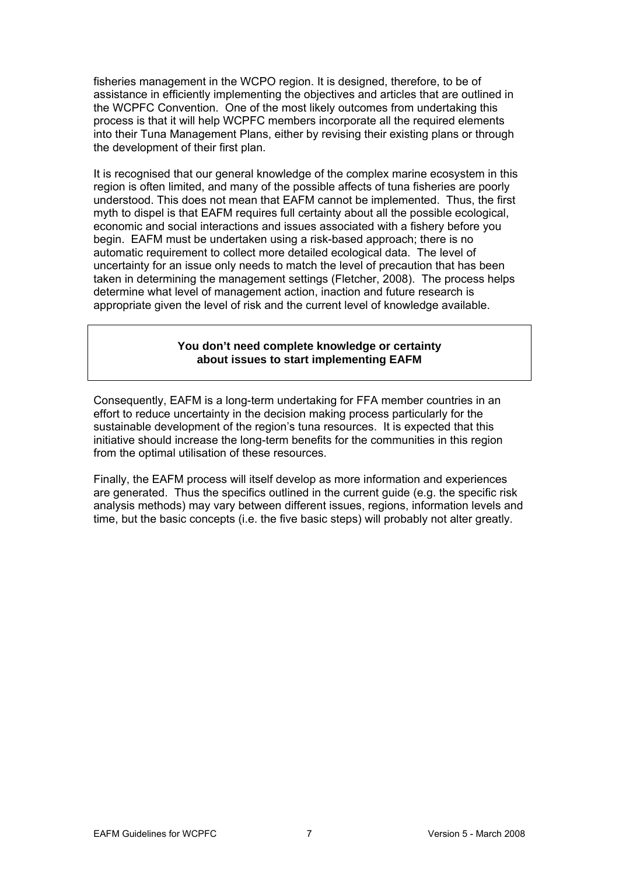fisheries management in the WCPO region. It is designed, therefore, to be of assistance in efficiently implementing the objectives and articles that are outlined in the WCPFC Convention. One of the most likely outcomes from undertaking this process is that it will help WCPFC members incorporate all the required elements into their Tuna Management Plans, either by revising their existing plans or through the development of their first plan.

It is recognised that our general knowledge of the complex marine ecosystem in this region is often limited, and many of the possible affects of tuna fisheries are poorly understood. This does not mean that EAFM cannot be implemented. Thus, the first myth to dispel is that EAFM requires full certainty about all the possible ecological, economic and social interactions and issues associated with a fishery before you begin. EAFM must be undertaken using a risk-based approach; there is no automatic requirement to collect more detailed ecological data. The level of uncertainty for an issue only needs to match the level of precaution that has been taken in determining the management settings (Fletcher, 2008). The process helps determine what level of management action, inaction and future research is appropriate given the level of risk and the current level of knowledge available.

#### **You don't need complete knowledge or certainty about issues to start implementing EAFM**

Consequently, EAFM is a long-term undertaking for FFA member countries in an effort to reduce uncertainty in the decision making process particularly for the sustainable development of the region's tuna resources. It is expected that this initiative should increase the long-term benefits for the communities in this region from the optimal utilisation of these resources.

Finally, the EAFM process will itself develop as more information and experiences are generated. Thus the specifics outlined in the current guide (e.g. the specific risk analysis methods) may vary between different issues, regions, information levels and time, but the basic concepts (i.e. the five basic steps) will probably not alter greatly.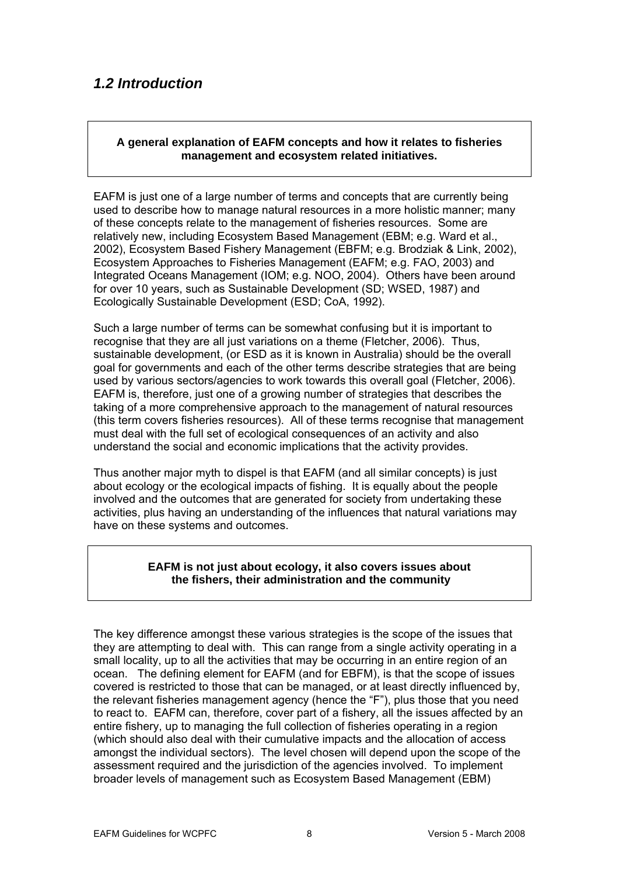# <span id="page-7-0"></span>*1.2 Introduction*

#### **A general explanation of EAFM concepts and how it relates to fisheries management and ecosystem related initiatives.**

EAFM is just one of a large number of terms and concepts that are currently being , relatively new, including Ecosystem Based Management (EBM; e.g. Ward et al. 2002), Ecosystem Based Fishery Management (EBFM; e.g. Brodziak & Link, 2002), Integrated Oceans Management (IOM; e.g. NOO, 2004). Others have been around used to describe how to manage natural resources in a more holistic manner; many of these concepts relate to the management of fisheries resources. Some are Ecosystem Approaches to Fisheries Management (EAFM; e.g. FAO, 2003) and for over 10 years, such as Sustainable Development (SD; WSED, 1987) and Ecologically Sustainable Development (ESD; CoA, 1992).

Such a large number of terms can be somewhat confusing but it is important to sustainable development, (or ESD as it is known in Australia) should be the overall taking of a more comprehensive approach to the management of natural resources (this term covers fisheries resources). All of these terms recognise that management recognise that they are all just variations on a theme (Fletcher, 2006). Thus, goal for governments and each of the other terms describe strategies that are being used by various sectors/agencies to work towards this overall goal (Fletcher, 2006). EAFM is, therefore, just one of a growing number of strategies that describes the must deal with the full set of ecological consequences of an activity and also understand the social and economic implications that the activity provides.

Thus another major myth to dispel is that EAFM (and all similar concepts) is just activities, plus having an understanding of the influences that natural variations may about ecology or the ecological impacts of fishing. It is equally about the people involved and the outcomes that are generated for society from undertaking these have on these systems and outcomes.

#### **EAFM is not just about ecology, it also covers issues about the fishers, their administration and the community**

The key difference amongst these various strategies is the scope of the issues that amongst the individual sectors). The level chosen will depend upon the scope of the they are attempting to deal with. This can range from a single activity operating in a small locality, up to all the activities that may be occurring in an entire region of an ocean. The defining element for EAFM (and for EBFM), is that the scope of issues covered is restricted to those that can be managed, or at least directly influenced by, the relevant fisheries management agency (hence the "F"), plus those that you need to react to. EAFM can, therefore, cover part of a fishery, all the issues affected by an entire fishery, up to managing the full collection of fisheries operating in a region (which should also deal with their cumulative impacts and the allocation of access assessment required and the jurisdiction of the agencies involved. To implement broader levels of management such as Ecosystem Based Management (EBM)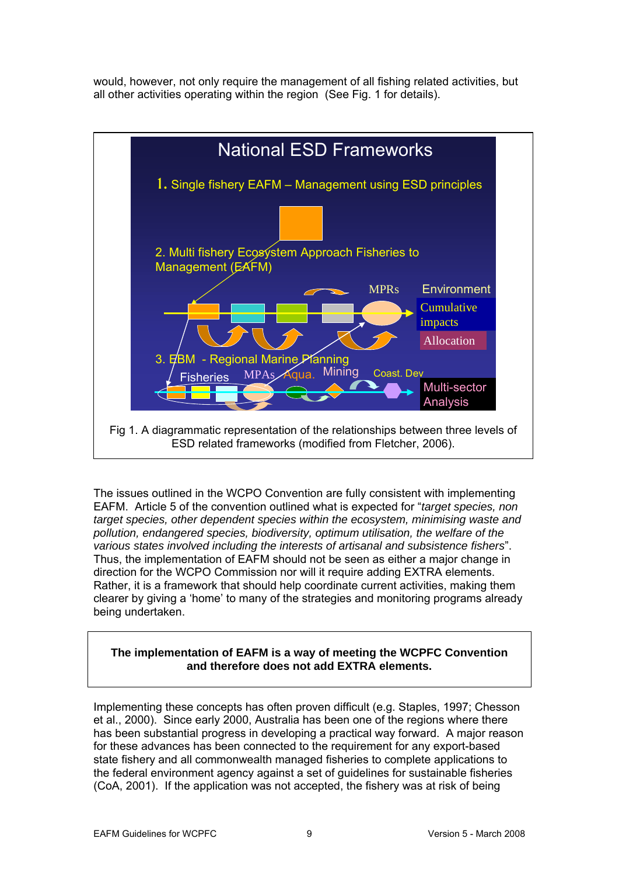would, however, not only require the management of all fishing related activities, but all other activities operating within the region (See Fig. 1 for details).



The issues outlined in the WCPO Convention are fully consistent with implementing EAFM. Article 5 of the convention outlined what is expected for "*target species, non target species, other dependent species within the ecosystem, minimising waste and pollution, endangered species, biodiversity, optimum utilisation, the welfare of the various states involved including the interests of artisanal and subsistence fishers*". Thus, the implementation of EAFM should not be seen as either a major change in direction for the WCPO Commission nor will it require adding EXTRA elements. Rather, it is a framework that should help coordinate current activities, making them clearer by giving a 'home' to many of the strategies and monitoring programs already being undertaken.

## **The implementation of EAFM is a way of meeting the WCPFC Convention and therefore does not add EXTRA elements.**

Implementing these concepts has often proven difficult (e.g. Staples, 1997; Chesson et al., 2000). Since early 2000, Australia has been one of the regions where there has been substantial progress in developing a practical way forward. A major reason for these advances has been connected to the requirement for any export-based state fishery and all commonwealth managed fisheries to complete applications to the federal environment agency against a set of guidelines for sustainable fisheries (CoA, 2001). If the application was not accepted, the fishery was at risk of being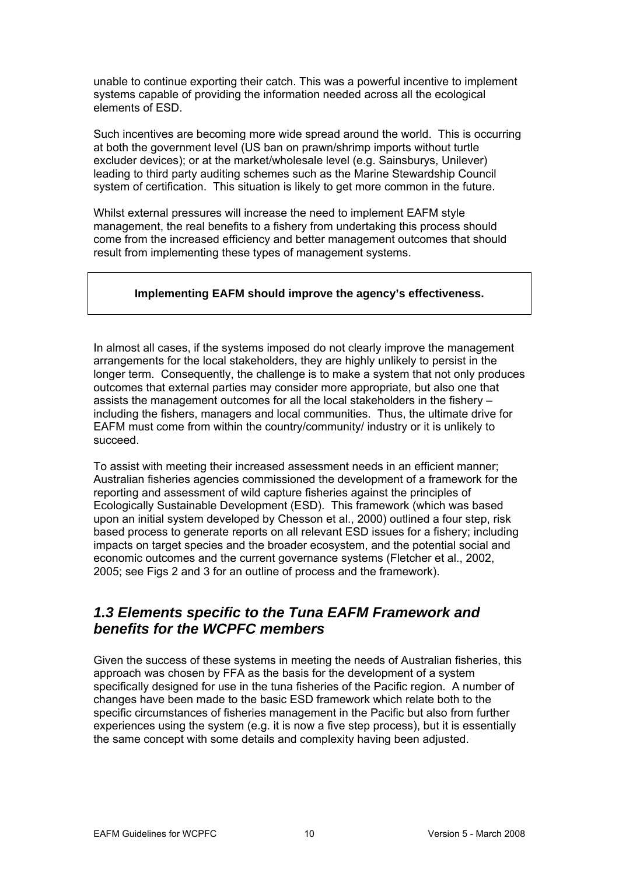<span id="page-9-0"></span>unable to continue exporting their catch. This was a powerful incentive to implement systems capable of providing the information needed across all the ecological elements of ESD.

Such incentives are becoming more wide spread around the world. This is occurring at both the government level (US ban on prawn/shrimp imports without turtle excluder devices); or at the market/wholesale level (e.g. Sainsburys, Unilever) leading to third party auditing schemes such as the Marine Stewardship Council system of certification. This situation is likely to get more common in the future.

Whilst external pressures will increase the need to implement EAFM style management, the real benefits to a fishery from undertaking this process should come from the increased efficiency and better management outcomes that should result from implementing these types of management systems.

## **Implementing EAFM should improve the agency's effectiveness.**

In almost all cases, if the systems imposed do not clearly improve the management arrangements for the local stakeholders, they are highly unlikely to persist in the longer term. Consequently, the challenge is to make a system that not only produces outcomes that external parties may consider more appropriate, but also one that assists the management outcomes for all the local stakeholders in the fishery – including the fishers, managers and local communities. Thus, the ultimate drive for EAFM must come from within the country/community/ industry or it is unlikely to succeed.

To assist with meeting their increased assessment needs in an efficient manner; Australian fisheries agencies commissioned the development of a framework for the reporting and assessment of wild capture fisheries against the principles of Ecologically Sustainable Development (ESD). This framework (which was based upon an initial system developed by Chesson et al., 2000) outlined a four step, risk based process to generate reports on all relevant ESD issues for a fishery; including impacts on target species and the broader ecosystem, and the potential social and economic outcomes and the current governance systems (Fletcher et al., 2002, 2005; see Figs 2 and 3 for an outline of process and the framework).

## *1.3 Elements specific to the Tuna EAFM Framework and benefits for the WCPFC members*

Given the success of these systems in meeting the needs of Australian fisheries, this approach was chosen by FFA as the basis for the development of a system specifically designed for use in the tuna fisheries of the Pacific region. A number of changes have been made to the basic ESD framework which relate both to the specific circumstances of fisheries management in the Pacific but also from further experiences using the system (e.g. it is now a five step process), but it is essentially the same concept with some details and complexity having been adjusted.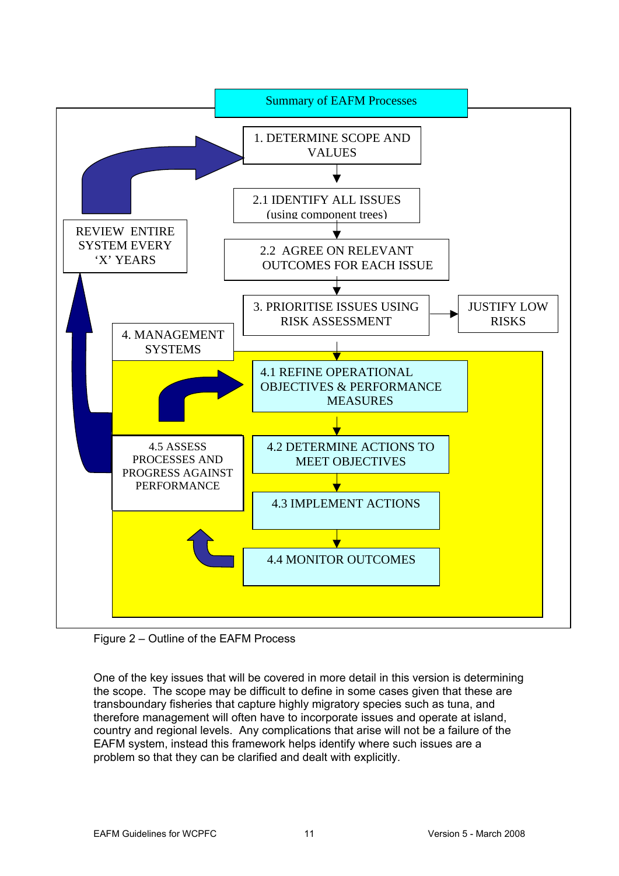

Figure 2 – Outline of the EAFM Process

One of the key issues that will be covered in more detail in this version is determining the scope. The scope may be difficult to define in some cases given that these are transboundary fisheries that capture highly migratory species such as tuna, and therefore management will often have to incorporate issues and operate at island, country and regional levels. Any complications that arise will not be a failure of the EAFM system, instead this framework helps identify where such issues are a problem so that they can be clarified and dealt with explicitly.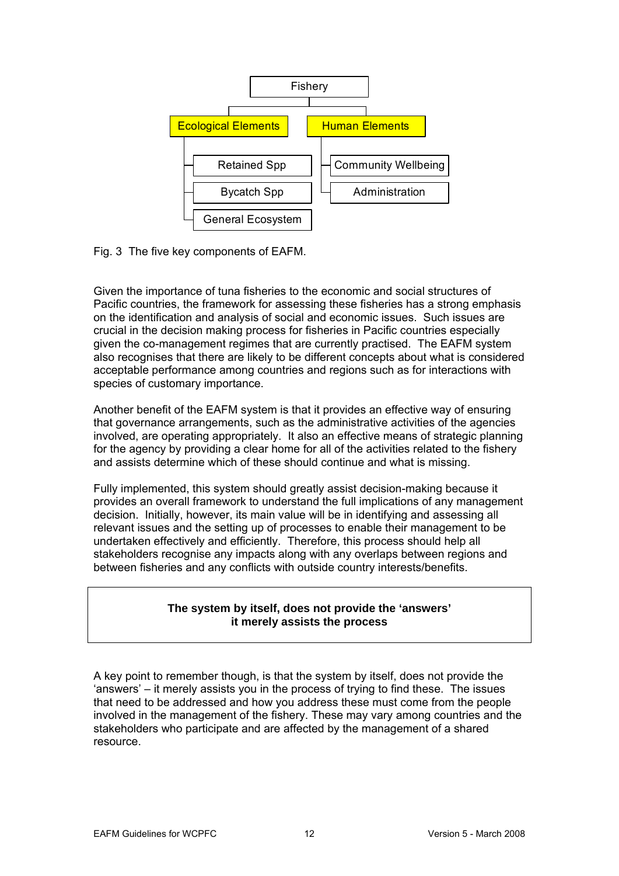

Fig. 3 The five key components of EAFM.

Given the importance of tuna fisheries to the economic and social structures of Pacific countries, the framework for assessing these fisheries has a strong emphasis on the identification and analysis of social and economic issues. Such issues are crucial in the decision making process for fisheries in Pacific countries especially given the co-management regimes that are currently practised. The EAFM system also recognises that there are likely to be different concepts about what is considered acceptable performance among countries and regions such as for interactions with species of customary importance.

Another benefit of the EAFM system is that it provides an effective way of ensuring that governance arrangements, such as the administrative activities of the agencies involved, are operating appropriately. It also an effective means of strategic planning for the agency by providing a clear home for all of the activities related to the fishery and assists determine which of these should continue and what is missing.

Fully implemented, this system should greatly assist decision-making because it provides an overall framework to understand the full implications of any management decision. Initially, however, its main value will be in identifying and assessing all relevant issues and the setting up of processes to enable their management to be undertaken effectively and efficiently. Therefore, this process should help all stakeholders recognise any impacts along with any overlaps between regions and between fisheries and any conflicts with outside country interests/benefits.

## **The system by itself, does not provide the 'answers' it merely assists the process**

A key point to remember though, is that the system by itself, does not provide the 'answers' – it merely assists you in the process of trying to find these. The issues that need to be addressed and how you address these must come from the people involved in the management of the fishery. These may vary among countries and the stakeholders who participate and are affected by the management of a shared resource.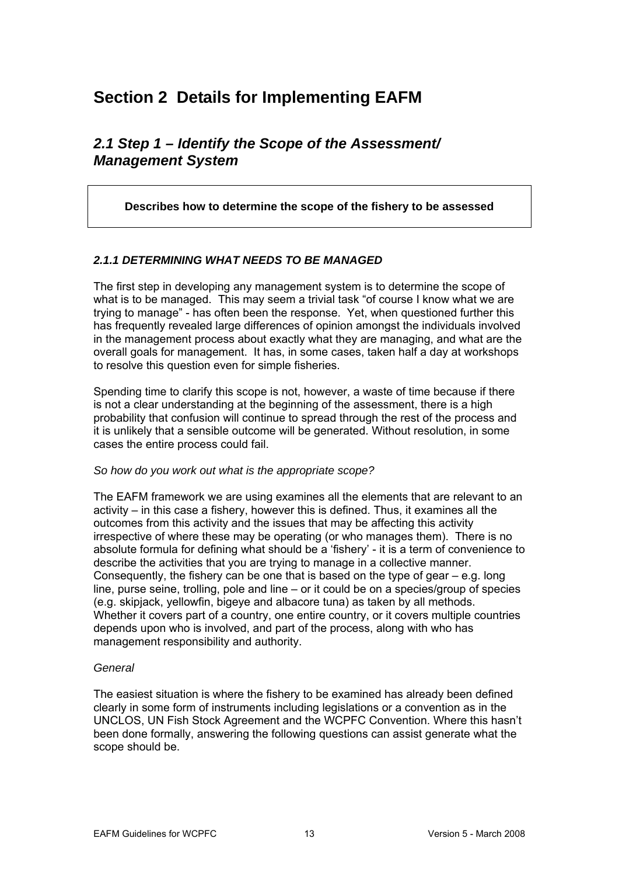# <span id="page-12-0"></span>**Section 2 Details for Implementing EAFM**

## *2.1 Step 1 – Identify the Scope of the Assessment/ Management System*

## **Describes how to determine the scope of the fishery to be assessed**

## *2.1.1 DETERMINING WHAT NEEDS TO BE MANAGED*

The first step in developing any management system is to determine the scope of what is to be managed. This may seem a trivial task "of course I know what we are trying to manage" - has often been the response. Yet, when questioned further this has frequently revealed large differences of opinion amongst the individuals involved in the management process about exactly what they are managing, and what are the overall goals for management. It has, in some cases, taken half a day at workshops to resolve this question even for simple fisheries.

Spending time to clarify this scope is not, however, a waste of time because if there is not a clear understanding at the beginning of the assessment, there is a high probability that confusion will continue to spread through the rest of the process and it is unlikely that a sensible outcome will be generated. Without resolution, in some cases the entire process could fail.

#### *So how do you work out what is the appropriate scope?*

The EAFM framework we are using examines all the elements that are relevant to an activity – in this case a fishery, however this is defined. Thus, it examines all the outcomes from this activity and the issues that may be affecting this activity irrespective of where these may be operating (or who manages them). There is no absolute formula for defining what should be a 'fishery' - it is a term of convenience to describe the activities that you are trying to manage in a collective manner. Consequently, the fishery can be one that is based on the type of gear  $-e.a$ . long line, purse seine, trolling, pole and line – or it could be on a species/group of species (e.g. skipjack, yellowfin, bigeye and albacore tuna) as taken by all methods. Whether it covers part of a country, one entire country, or it covers multiple countries depends upon who is involved, and part of the process, along with who has management responsibility and authority.

#### *General*

The easiest situation is where the fishery to be examined has already been defined clearly in some form of instruments including legislations or a convention as in the UNCLOS, UN Fish Stock Agreement and the WCPFC Convention. Where this hasn't been done formally, answering the following questions can assist generate what the scope should be.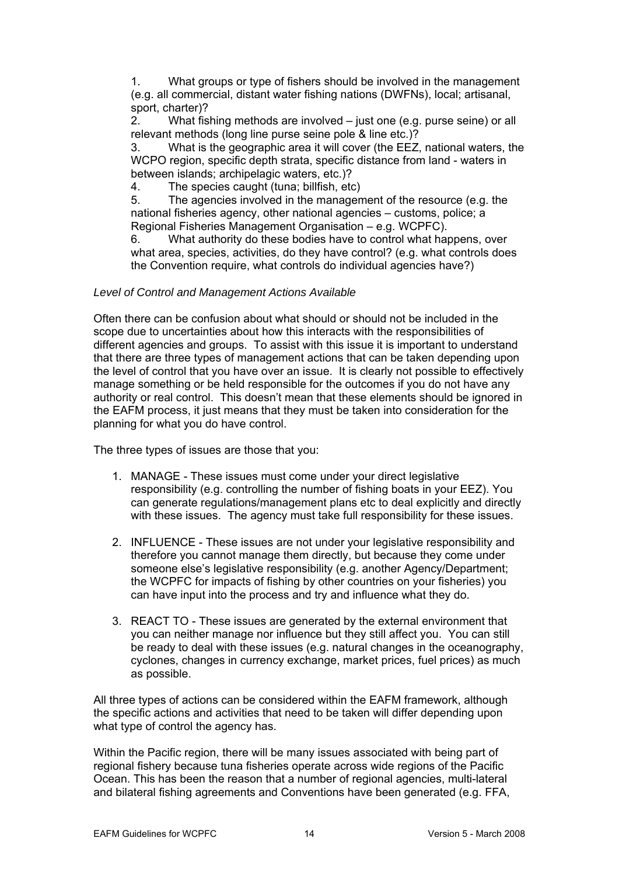1. What groups or type of fishers should be involved in the management (e.g. all commercial, distant water fishing nations (DWFNs), local; artisanal, sport, charter)?

2. What fishing methods are involved – just one (e.g. purse seine) or all relevant methods (long line purse seine pole & line etc.)?

3. What is the geographic area it will cover (the EEZ, national waters, the WCPO region, specific depth strata, specific distance from land - waters in between islands; archipelagic waters, etc.)?

4. The species caught (tuna; billfish, etc)

5. The agencies involved in the management of the resource (e.g. the national fisheries agency, other national agencies – customs, police; a Regional Fisheries Management Organisation – e.g. WCPFC).

6. What authority do these bodies have to control what happens, over what area, species, activities, do they have control? (e.g. what controls does the Convention require, what controls do individual agencies have?)

## *Level of Control and Management Actions Available*

Often there can be confusion about what should or should not be included in the scope due to uncertainties about how this interacts with the responsibilities of different agencies and groups. To assist with this issue it is important to understand that there are three types of management actions that can be taken depending upon the level of control that you have over an issue. It is clearly not possible to effectively manage something or be held responsible for the outcomes if you do not have any authority or real control. This doesn't mean that these elements should be ignored in the EAFM process, it just means that they must be taken into consideration for the planning for what you do have control.

The three types of issues are those that you:

- 1. MANAGE These issues must come under your direct legislative responsibility (e.g. controlling the number of fishing boats in your EEZ). You can generate regulations/management plans etc to deal explicitly and directly with these issues. The agency must take full responsibility for these issues.
- 2. INFLUENCE These issues are not under your legislative responsibility and therefore you cannot manage them directly, but because they come under someone else's legislative responsibility (e.g. another Agency/Department; the WCPFC for impacts of fishing by other countries on your fisheries) you can have input into the process and try and influence what they do.
- 3. REACT TO These issues are generated by the external environment that you can neither manage nor influence but they still affect you. You can still be ready to deal with these issues (e.g. natural changes in the oceanography, cyclones, changes in currency exchange, market prices, fuel prices) as much as possible.

All three types of actions can be considered within the EAFM framework, although the specific actions and activities that need to be taken will differ depending upon what type of control the agency has.

Within the Pacific region, there will be many issues associated with being part of regional fishery because tuna fisheries operate across wide regions of the Pacific Ocean. This has been the reason that a number of regional agencies, multi-lateral and bilateral fishing agreements and Conventions have been generated (e.g. FFA,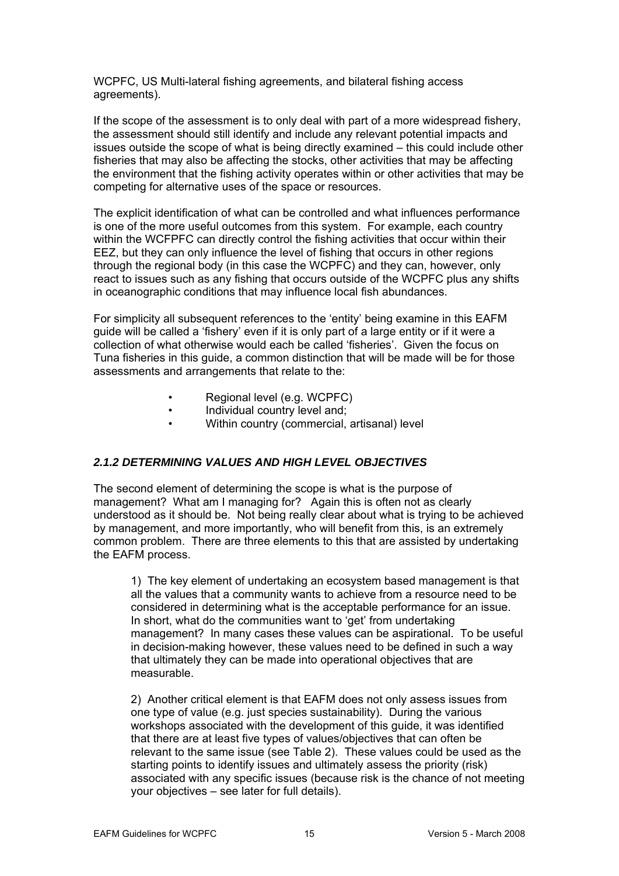<span id="page-14-0"></span>WCPFC, US Multi-lateral fishing agreements, and bilateral fishing access agreements).

If the scope of the assessment is to only deal with part of a more widespread fishery, the assessment should still identify and include any relevant potential impacts and issues outside the scope of what is being directly examined – this could include other fisheries that may also be affecting the stocks, other activities that may be affecting the environment that the fishing activity operates within or other activities that may be competing for alternative uses of the space or resources.

The explicit identification of what can be controlled and what influences performance is one of the more useful outcomes from this system. For example, each country within the WCFPFC can directly control the fishing activities that occur within their EEZ, but they can only influence the level of fishing that occurs in other regions through the regional body (in this case the WCPFC) and they can, however, only react to issues such as any fishing that occurs outside of the WCPFC plus any shifts in oceanographic conditions that may influence local fish abundances.

For simplicity all subsequent references to the 'entity' being examine in this EAFM guide will be called a 'fishery' even if it is only part of a large entity or if it were a collection of what otherwise would each be called 'fisheries'. Given the focus on Tuna fisheries in this guide, a common distinction that will be made will be for those assessments and arrangements that relate to the:

- Regional level (e.g. WCPFC)
- Individual country level and;
- Within country (commercial, artisanal) level

## *2.1.2 DETERMINING VALUES AND HIGH LEVEL OBJECTIVES*

The second element of determining the scope is what is the purpose of management? What am I managing for? Again this is often not as clearly understood as it should be. Not being really clear about what is trying to be achieved by management, and more importantly, who will benefit from this, is an extremely common problem. There are three elements to this that are assisted by undertaking the EAFM process.

1) The key element of undertaking an ecosystem based management is that all the values that a community wants to achieve from a resource need to be considered in determining what is the acceptable performance for an issue. In short, what do the communities want to 'get' from undertaking management? In many cases these values can be aspirational. To be useful in decision-making however, these values need to be defined in such a way that ultimately they can be made into operational objectives that are measurable.

2) Another critical element is that EAFM does not only assess issues from one type of value (e.g. just species sustainability). During the various workshops associated with the development of this guide, it was identified that there are at least five types of values/objectives that can often be relevant to the same issue (see Table 2). These values could be used as the starting points to identify issues and ultimately assess the priority (risk) associated with any specific issues (because risk is the chance of not meeting your objectives – see later for full details).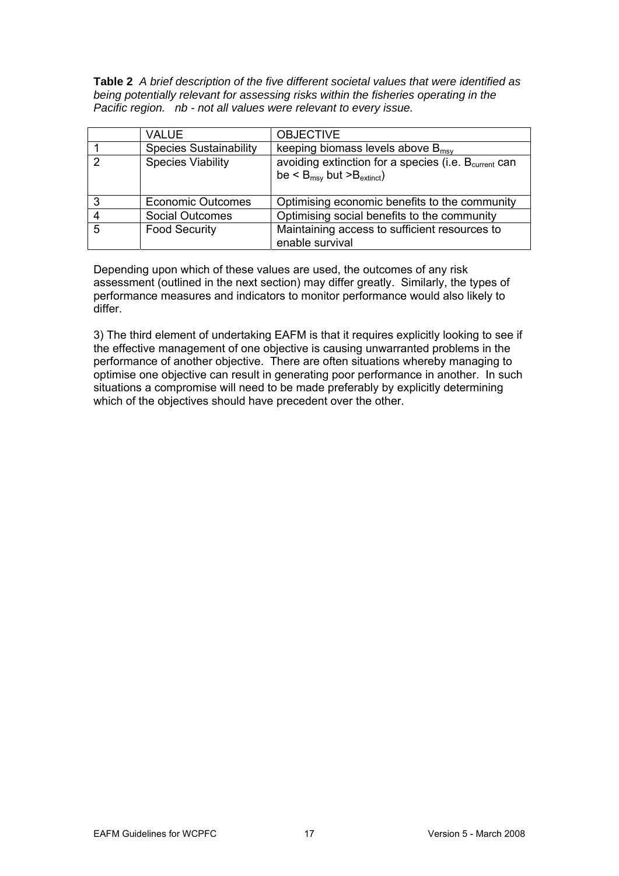**Table 2** *A brief description of the five different societal values that were identified as being potentially relevant for assessing risks within the fisheries operating in the Pacific region. nb - not all values were relevant to every issue.* 

|                 | <b>VALUE</b>                  | <b>OBJECTIVE</b>                                                                                                                 |
|-----------------|-------------------------------|----------------------------------------------------------------------------------------------------------------------------------|
|                 | <b>Species Sustainability</b> | keeping biomass levels above $B_{\text{msv}}$                                                                                    |
| $\mathcal{D}$   | <b>Species Viability</b>      | avoiding extinction for a species (i.e. B <sub>current</sub> can<br>be $\leq$ B <sub>msy</sub> but $\geq$ B <sub>extinct</sub> ) |
| 3               | <b>Economic Outcomes</b>      | Optimising economic benefits to the community                                                                                    |
|                 | <b>Social Outcomes</b>        | Optimising social benefits to the community                                                                                      |
| $5\overline{5}$ | <b>Food Security</b>          | Maintaining access to sufficient resources to<br>enable survival                                                                 |

Depending upon which of these values are used, the outcomes of any risk assessment (outlined in the next section) may differ greatly. Similarly, the types of performance measures and indicators to monitor performance would also likely to differ.

3) The third element of undertaking EAFM is that it requires explicitly looking to see if the effective management of one objective is causing unwarranted problems in the performance of another objective. There are often situations whereby managing to optimise one objective can result in generating poor performance in another. In such situations a compromise will need to be made preferably by explicitly determining which of the objectives should have precedent over the other.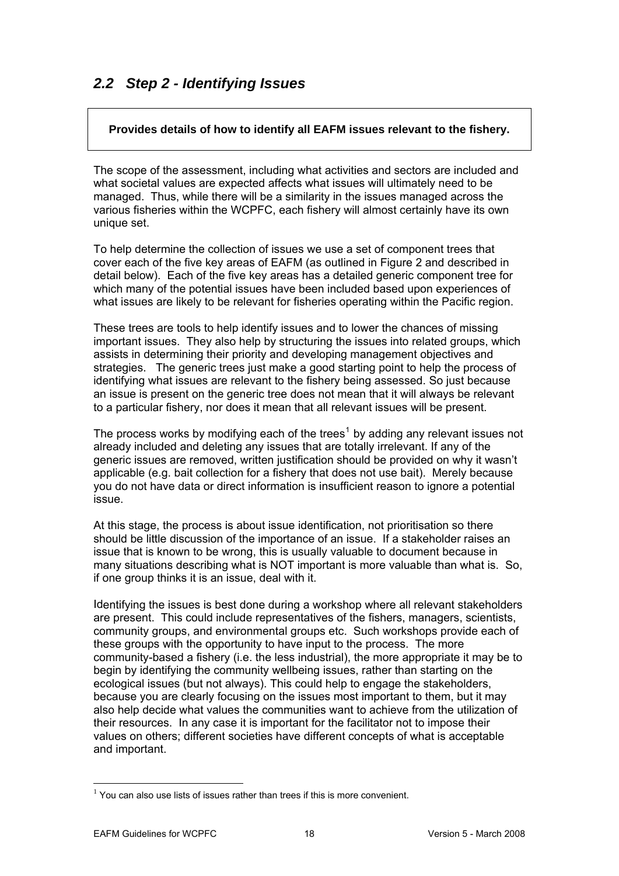# <span id="page-17-0"></span>*2.2 Step 2 - Identifying Issues*

## **Provides details of how to identify all EAFM issues relevant to the fishery.**

The scope of the assessment, including what activities and sectors are included and what societal values are expected affects what issues will ultimately need to be managed. Thus, while there will be a similarity in the issues managed across the various fisheries within the WCPFC, each fishery will almost certainly have its own unique set.

To help determine the collection of issues we use a set of component trees that cover each of the five key areas of EAFM (as outlined in Figure 2 and described in detail below). Each of the five key areas has a detailed generic component tree for which many of the potential issues have been included based upon experiences of what issues are likely to be relevant for fisheries operating within the Pacific region.

hese trees are tools to help identify issues and to lower the chances of missing T important issues. They also help by structuring the issues into related groups, which strategies. The generic trees just make a good starting point to help the process of assists in determining their priority and developing management objectives and identifying what issues are relevant to the fishery being assessed. So just because an issue is present on the generic tree does not mean that it will always be relevant to a particular fishery, nor does it mean that all relevant issues will be present.

The process works by modifying each of the trees<sup>1</sup> by adding any relevant issues not generic issues are removed, written justification should be provided on why it wasn't already included and deleting any issues that are totally irrelevant. If any of the applicable (e.g. bait collection for a fishery that does not use bait). Merely because you do not have data or direct information is insufficient reason to ignore a potential issue.

At this stage, the process is about issue identification, not prioritisation so there should be little discussion of the importance of an issue. If a stakeholder raises an many situations describing what is NOT important is more valuable than what is. So, issue that is known to be wrong, this is usually valuable to document because in if one group thinks it is an issue, deal with it.

Identifying the issues is best done during a workshop where all relevant stakeholders community-based a fishery (i.e. the less industrial), the more appropriate it may be to because you are clearly focusing on the issues most important to them, but it may also help decide what values the communities want to achieve from the utilization of values on others; different societies have different concepts of what is acceptable are present. This could include representatives of the fishers, managers, scientists, community groups, and environmental groups etc. Such workshops provide each of these groups with the opportunity to have input to the process. The more begin by identifying the community wellbeing issues, rather than starting on the ecological issues (but not always). This could help to engage the stakeholders, their resources. In any case it is important for the facilitator not to impose their and important.

1

 $1$  You can also use lists of issues rather than trees if this is more convenient.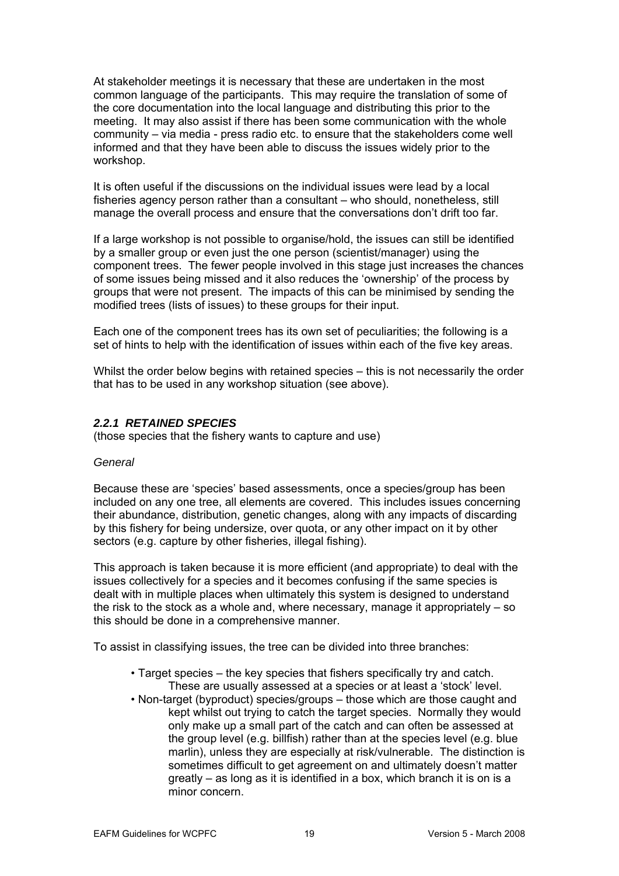<span id="page-18-0"></span>At stakeholder meetings it is necessary that these are undertaken in the most common language of the participants. This may require the translation of some of meeting. It may also assist if there has been some communication with the whole the core documentation into the local language and distributing this prior to the community – via media - press radio etc. to ensure that the stakeholders come well informed and that they have been able to discuss the issues widely prior to the workshop.

It is often useful if the discussions on the individual issues were lead by a local fisheries agency person rather than a consultant – who should, nonetheless, still manage the overall process and ensure that the conversations don't drift too far.

If a large workshop is not possible to organise/hold, the issues can still be identified component trees. The fewer people involved in this stage just increases the chances by a smaller group or even just the one person (scientist/manager) using the of some issues being missed and it also reduces the 'ownership' of the process by groups that were not present. The impacts of this can be minimised by sending the modified trees (lists of issues) to these groups for their input.

Each one of the component trees has its own set of peculiarities; the following is a set of hints to help with the identification of issues within each of the five key areas.

Whilst the order below begins with retained species - this is not necessarily the order that has to be used in any workshop situation (see above).

#### *2.2.1 RETAINED SPECIES*

(those species that the fishery wants to capture and use)

#### General

Because these are 'species' based assessments, once a species/group has been included on any one tree, all elements are covered. This includes issues concerning their abundance, distribution, genetic changes, along with any impacts of discarding by this fishery for being undersize, over quota, or any other impact on it by other sectors (e.g. capture by other fisheries, illegal fishing).

This approach is taken because it is more efficient (and appropriate) to deal with the dealt with in multiple places when ultimately this system is designed to understand issues collectively for a species and it becomes confusing if the same species is the risk to the stock as a whole and, where necessary, manage it appropriately – so this should be done in a comprehensive manner.

To assist in classifying issues, the tree can be divided into three branches:

- Target species the key species that fishers specifically try and catch. These are usually assessed at a species or at least a 'stock' level.
- Non-t arget (byproduct) species/groups those which are those caught and minor concern. kept whilst out trying to catch the target species. Normally they would only make up a small part of the catch and can often be assessed at the group level (e.g. billfish) rather than at the species level (e.g. blue marlin), unless they are especially at risk/vulnerable. The distinction is sometimes difficult to get agreement on and ultimately doesn't matter greatly – as long as it is identified in a box, which branch it is on is a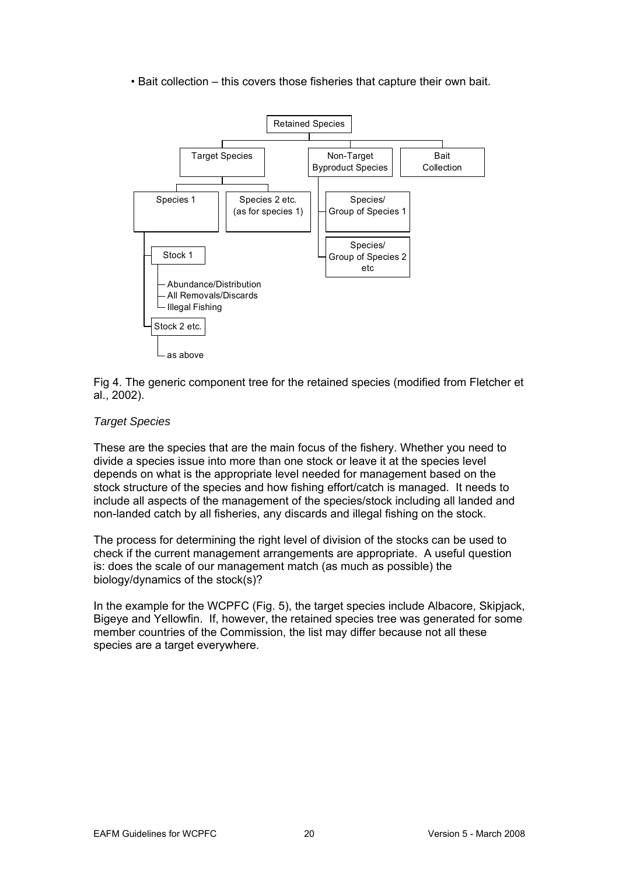• Bait c ollection – this covers those fisheries that capture their own bait.



Fig 4. The generic component tree for the retained species (modified from Fletcher et al., 2002).

## *Target Species*

These are the species that are the main focus of the fishery. Whether you need to divide a species issue into more than one stock or leave it at the species level stock structure of the species and how fishing effort/catch is managed. It needs to include all aspects of the management of the species/stock including all landed and depends on what is the appropriate level needed for management based on the non-landed catch by all fisheries, any discards and illegal fishing on the stock.

The process for determining the right level of division of the stocks can be used to heck if the current management arrangements are appropriate. A useful question c is: does the scale of our management match (as much as possible) the biology/dynamics of the stock(s)?

In the example for the WCPFC (Fig. 5), the target species include Albacore, Skipjack, Bigeye and Yellowfin. If, however, the retained species tree was generated for some member countries of the Commission, the list may differ because not all these species are a target everywhere.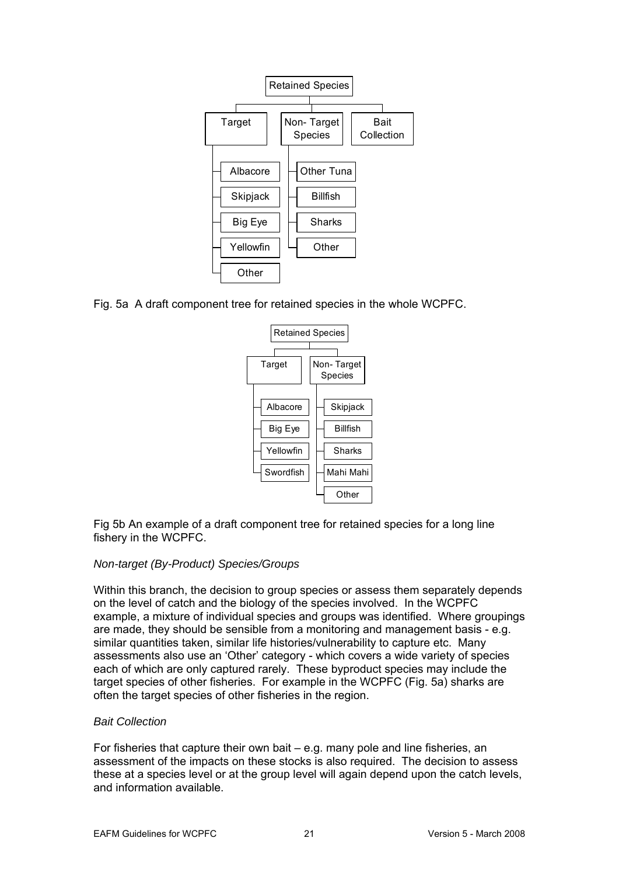

Fig. 5a A draft component tree for retained species in the whole WCPFC.



Fig 5b An example of a draft component tree for retained species for a long line fishery in the WCPFC.

## *Non-target (By-Product) Species/Groups*

Within this branch, the decision to group species or assess them separately depends on the level of catch and the biology of the species involved. In the WCPFC example, a mixture of individual species and groups was identified. Where groupings are made, they should be sensible from a monitoring and management basis - e.g. similar quantities taken, similar life histories/vulnerability to capture etc. Many assessments also use an 'Other' category - which covers a wide variety of species each of which are only captured rarely. These byproduct species may include the target species of other fisheries. For example in the WCPFC (Fig. 5a) sharks are often the target species of other fisheries in the region.

## *Bait Collection*

For fisheries that capture their own bait – e.g. many pole and line fisheries, an assessment of the impacts on these stocks is also required. The decision to assess these at a species level or at the group level will again depend upon the catch levels, and information available.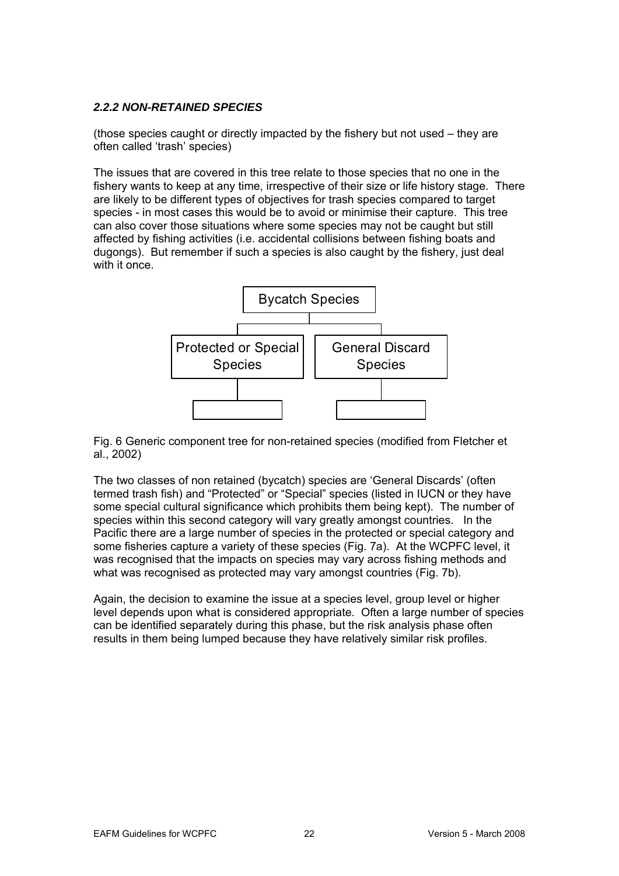## <span id="page-21-0"></span>*2.2.2 NON-RETAINED SPECIES*

(those species caught or directly impacted by the fishery but not used – they are often called 'trash' species)

The issues that are covered in this tree relate to those species that no one in the fishery wants to keep at any time, irrespective of their size or life history stage. There are likely to be different types of objectives for trash species compared to target species - in most cases this would be to avoid or minimise their capture. This tree can also cover those situations where some species may not be caught but still affected by fishing activities (i.e. accidental collisions between fishing boats and dugongs). But remember if such a species is also caught by the fishery, just deal with it once.



Fig. 6 Generic component tree for non-retained species (modified from Fletcher et al., 2002)

The two classes of non retained (bycatch) species are 'General Discards' (often termed trash fish) and "Protected" or "Special" species (listed in IUCN or they have some special cultural significance which prohibits them being kept). The number of species within this second category will vary greatly amongst countries. In the Pacific there are a large number of species in the protected or special category and some fisheries capture a variety of these species (Fig. 7a). At the WCPFC level, it was recognised that the impacts on species may vary across fishing methods and what was recognised as protected may vary amongst countries (Fig. 7b).

Again, the decision to examine the issue at a species level, group level or higher level depends upon what is considered appropriate. Often a large number of species can be identified separately during this phase, but the risk analysis phase often results in them being lumped because they have relatively similar risk profiles.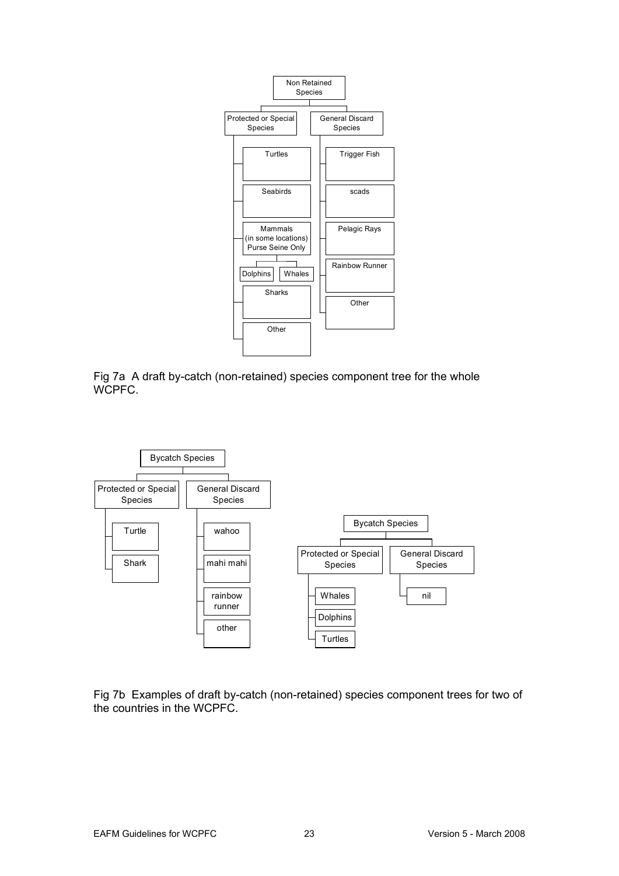

Fig 7a A draft by-catch (non-retained) species component tree for the whole WCPFC.



Fig 7b Examples of draft by-catch (non-retained) species component trees for two of the countries in the WCPFC.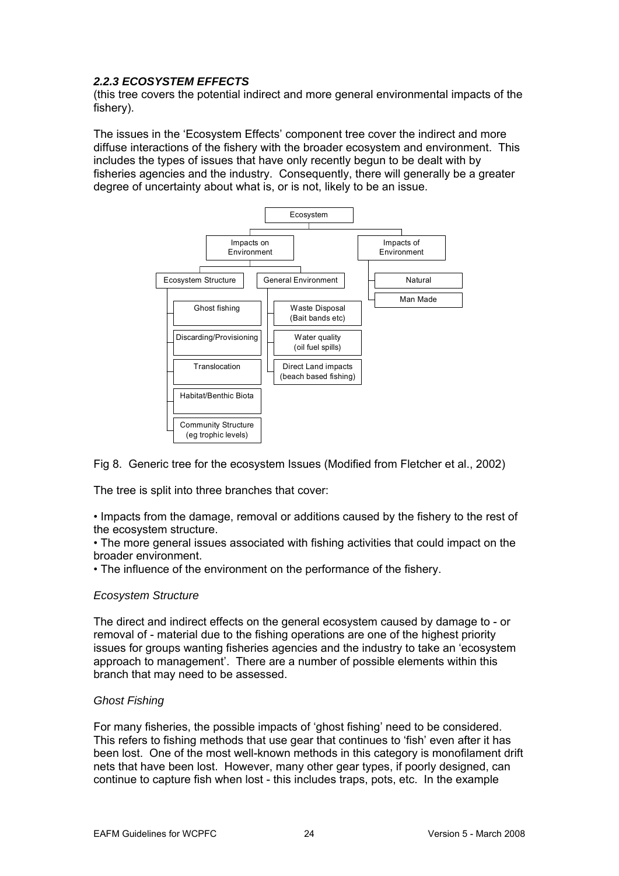## <span id="page-23-0"></span>*2.2.3 ECOSYSTEM EFFECTS*

(this tree covers the potential indirect and more general environmental impacts of the fishery).

The issues in the 'Ecosystem Effects' component tree cover the indirect and more diffuse interactions of the fishery with the broader ecosystem and environment. This fisheries agencies and the industry. Consequently, there will generally be a greater includes the types of issues that have only recently begun to be dealt with by degree of uncertainty about what is, or is not, likely to be an issue.



Fig 8. Generic tree for the ecosystem Issues (Modified from Fletcher et al., 2002)

The tree is split into three branches that cover:

• Impacts from the damage, removal or additions caused by the fishery to the rest of the ecosystem structure.

• The more general issues associated with fishing activities that could impact on the broader environment.

• The influence of the environment on the performance of the fishery.

## *Ecosystem Structure*

The direct and indirect effects on the general ecosystem caused by damage to - or issues for groups wanting fisheries agencies and the industry to take an 'ecosystem removal of - material due to the fishing operations are one of the highest priority approach to management'. There are a number of possible elements within this branch that may need to be assessed.

## *Ghost Fishing*

For many fisheries, the possible impacts of 'ghost fishing' need to be considered. been lost. One of the most well-known methods in this category is monofilament drift This refers to fishing methods that use gear that continues to 'fish' even after it has nets that have been lost. However, many other gear types, if poorly designed, can continue to capture fish when lost - this includes traps, pots, etc. In the example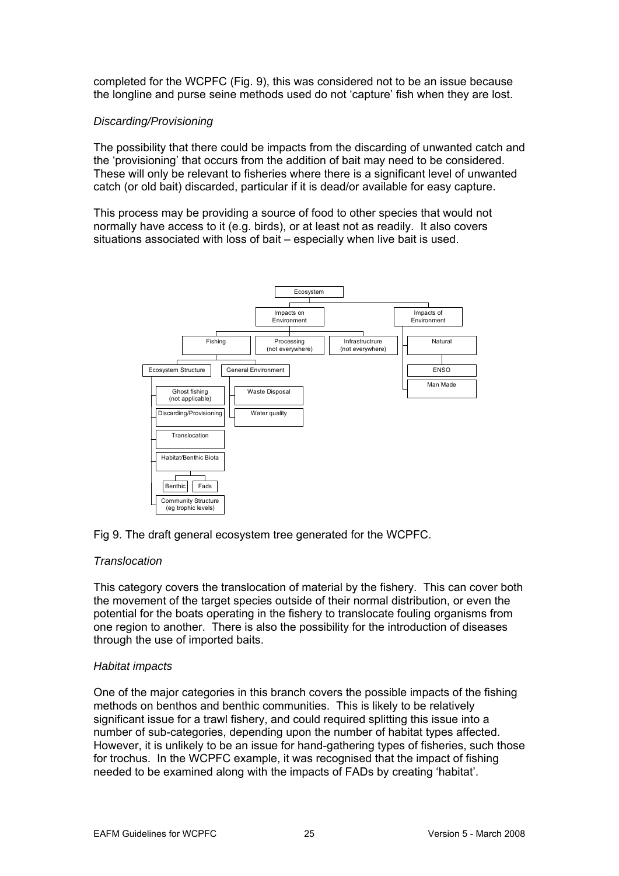completed for the WCPFC (Fig. 9), this was considered not to be an issue because the longline and purse seine methods used do not 'capture' fish when they are lost.

## *Discarding/Provisioning*

The possibility that there could be impacts from the discarding of unwanted catch and the 'provisioning' that occurs from the addition of bait may need to be considered. These will only be relevant to fisheries where there is a significant level of unwanted catch (or old bait) discarded, particular if it is dead/or available for easy capture.

This process may be providing a source of food to other species that would not normally have access to it (e.g. birds), or at least not as readily. It also covers situations associated with loss of bait – especially when live bait is used.



## Fig 9. The draft general ecosystem tree generated for the WCPFC.

#### *Translocation*

This category covers the translocation of material by the fishery. This can cover both the movement of the target species outside of their normal distribution, or even the potential for the boats operating in the fishery to translocate fouling organisms from one region to another. There is also the possibility for the introduction of diseases through the use of imported baits.

#### *Habitat impacts*

One of the major categories in this branch covers the possible impacts of the fishing methods on benthos and benthic communities. This is likely to be relatively significant issue for a trawl fishery, and could required splitting this issue into a number of sub-categories, depending upon the number of habitat types affected. However, it is unlikely to be an issue for hand-gathering types of fisheries, such those for trochus. In the WCPFC example, it was recognised that the impact of fishing needed to be examined along with the impacts of FADs by creating 'habitat'.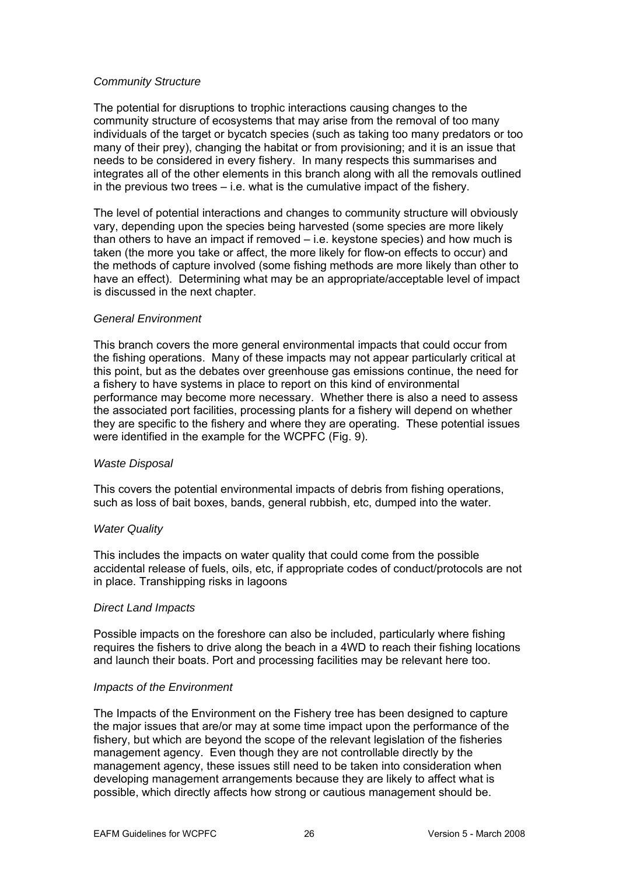#### *Community Structure*

The potential for disruptions to trophic interactions causing changes to the community structure of ecosystems that may arise from the removal of too many individuals of the target or bycatch species (such as taking too many predators or too many of their prey), changing the habitat or from provisioning; and it is an issue that needs to be considered in every fishery. In many respects this summarises and integrates all of the other elements in this branch along with all the removals outlined in the previous two trees – i.e. what is the cumulative impact of the fishery.

The level of potential interactions and changes to community structure will obviously vary, depending upon the species being harvested (some species are more likely than others to have an impact if removed – i.e. keystone species) and how much is taken (the more you take or affect, the more likely for flow-on effects to occur) and the methods of capture involved (some fishing methods are more likely than other to have an effect). Determining what may be an appropriate/acceptable level of impact is discussed in the next chapter.

#### *General Environment*

This branch covers the more general environmental impacts that could occur from the fishing operations. Many of these impacts may not appear particularly critical at this point, but as the debates over greenhouse gas emissions continue, the need for a fishery to have systems in place to report on this kind of environmental performance may become more necessary. Whether there is also a need to assess the associated port facilities, processing plants for a fishery will depend on whether they are specific to the fishery and where they are operating. These potential issues were identified in the example for the WCPFC (Fig. 9).

#### *Waste Disposal*

This covers the potential environmental impacts of debris from fishing operations, such as loss of bait boxes, bands, general rubbish, etc, dumped into the water.

#### *Water Quality*

This includes the impacts on water quality that could come from the possible accidental release of fuels, oils, etc, if appropriate codes of conduct/protocols are not in place. Transhipping risks in lagoons

#### *Direct Land Impacts*

Possible impacts on the foreshore can also be included, particularly where fishing requires the fishers to drive along the beach in a 4WD to reach their fishing locations and launch their boats. Port and processing facilities may be relevant here too.

#### *Impacts of the Environment*

The Impacts of the Environment on the Fishery tree has been designed to capture the major issues that are/or may at some time impact upon the performance of the fishery, but which are beyond the scope of the relevant legislation of the fisheries management agency. Even though they are not controllable directly by the management agency, these issues still need to be taken into consideration when developing management arrangements because they are likely to affect what is possible, which directly affects how strong or cautious management should be.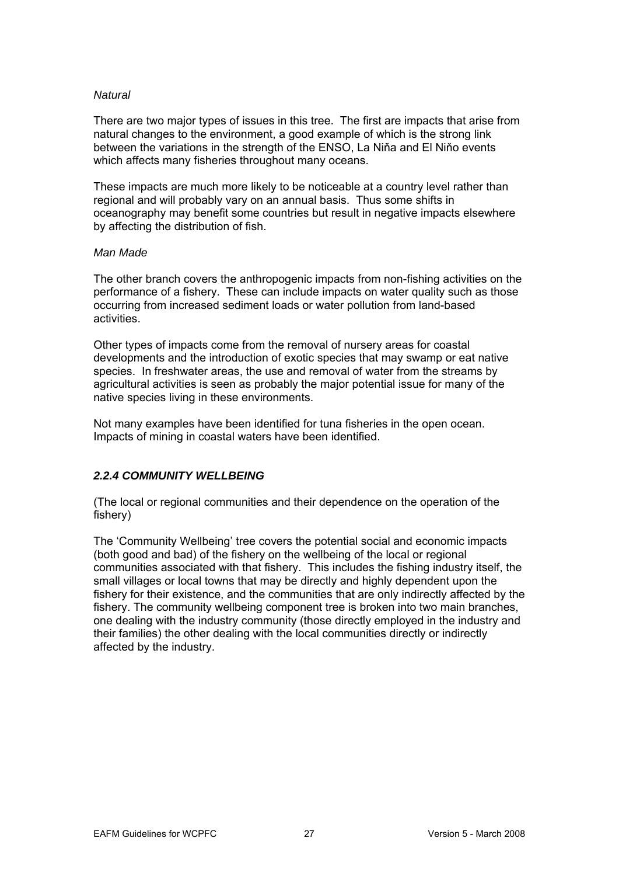#### <span id="page-26-0"></span>*Natural*

There are two major types of issues in this tree. The first are impacts that arise from natural changes to the environment, a good example of which is the strong link between the variations in the strength of the ENSO, La Niňa and El Niňo events which affects many fisheries throughout many oceans.

These impacts are much more likely to be noticeable at a country level rather than regional and will probably vary on an annual basis. Thus some shifts in oceanography may benefit some countries but result in negative impacts elsewhere by affecting the distribution of fish.

#### *Man Made*

The other branch covers the anthropogenic impacts from non-fishing activities on the performance of a fishery. These can include impacts on water quality such as those occurring from increased sediment loads or water pollution from land-based activities.

Other types of impacts come from the removal of nursery areas for coastal developments and the introduction of exotic species that may swamp or eat native species. In freshwater areas, the use and removal of water from the streams by agricultural activities is seen as probably the major potential issue for many of the native species living in these environments.

Not many examples have been identified for tuna fisheries in the open ocean. Impacts of mining in coastal waters have been identified.

## *2.2.4 COMMUNITY WELLBEING*

(The local or regional communities and their dependence on the operation of the fishery)

The 'Community Wellbeing' tree covers the potential social and economic impacts (both good and bad) of the fishery on the wellbeing of the local or regional communities associated with that fishery. This includes the fishing industry itself, the small villages or local towns that may be directly and highly dependent upon the fishery for their existence, and the communities that are only indirectly affected by the fishery. The community wellbeing component tree is broken into two main branches, one dealing with the industry community (those directly employed in the industry and their families) the other dealing with the local communities directly or indirectly affected by the industry.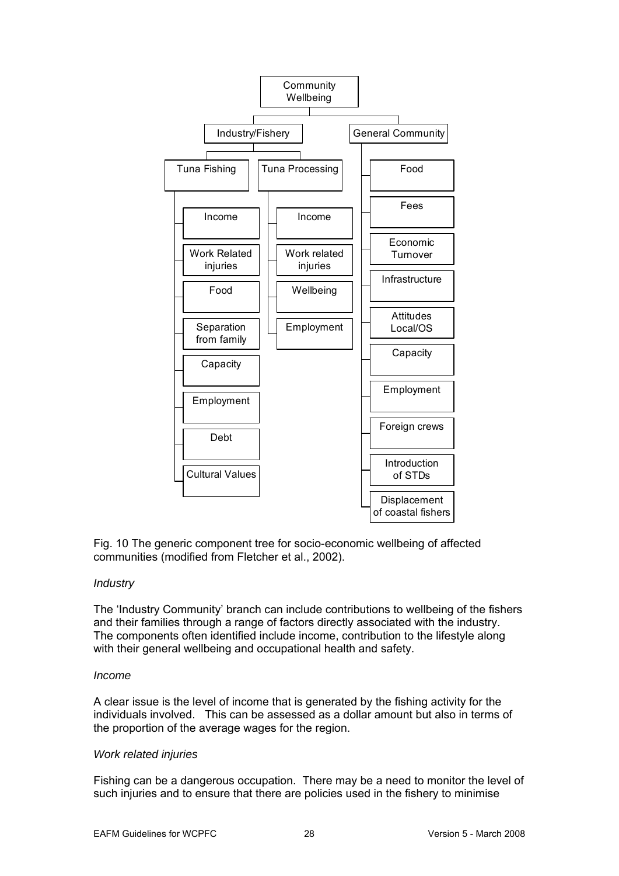

Fig. 10 The generic component tree for socio-economic wellbeing of affected communities (modified from Fletcher et al., 2002).

#### *Industry*

The 'Industry Community' branch can include contributions to wellbeing of the fishers and their families through a range of factors directly associated with the industry. The components often identified include income, contribution to the lifestyle along with their general wellbeing and occupational health and safety.

#### *Income*

A clear issue is the level of income that is generated by the fishing activity for the individuals involved. This can be assessed as a dollar amount but also in terms of the proportion of the average wages for the region.

#### *Work related injuries*

Fishing can be a dangerous occupation. There may be a need to monitor the level of such injuries and to ensure that there are policies used in the fishery to minimise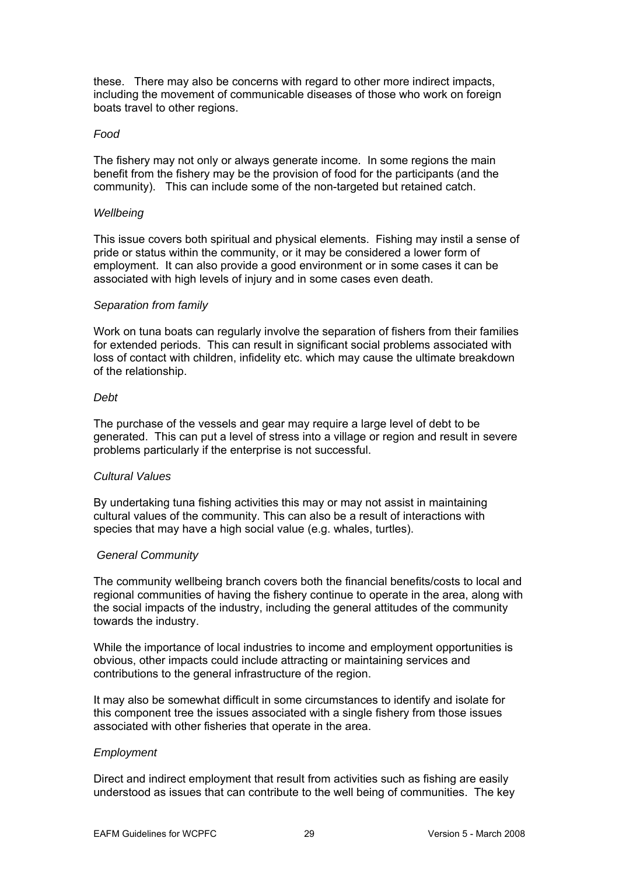these. There may also be concerns with regard to other more indirect impacts, including the movement of communicable diseases of those who work on foreign boats travel to other regions.

#### *Food*

The fishery may not only or always generate income. In some regions the main benefit from the fishery may be the provision of food for the participants (and the community). This can include some of the non-targeted but retained catch.

#### *Wellbeing*

This issue covers both spiritual and physical elements. Fishing may instil a sense of pride or status within the community, or it may be considered a lower form of employment. It can also provide a good environment or in some cases it can be associated with high levels of injury and in some cases even death.

#### *Separation from family*

Work on tuna boats can regularly involve the separation of fishers from their families for extended periods. This can result in significant social problems associated with loss of contact with children, infidelity etc. which may cause the ultimate breakdown of the relationship.

#### *Debt*

The purchase of the vessels and gear may require a large level of debt to be generated. This can put a level of stress into a village or region and result in severe problems particularly if the enterprise is not successful.

#### *Cultural Values*

By undertaking tuna fishing activities this may or may not assist in maintaining cultural values of the community. This can also be a result of interactions with species that may have a high social value (e.g. whales, turtles).

#### *General Community*

The community wellbeing branch covers both the financial benefits/costs to local and regional communities of having the fishery continue to operate in the area, along with the social impacts of the industry, including the general attitudes of the community towards the industry.

While the importance of local industries to income and employment opportunities is obvious, other impacts could include attracting or maintaining services and contributions to the general infrastructure of the region.

It may also be somewhat difficult in some circumstances to identify and isolate for this component tree the issues associated with a single fishery from those issues associated with other fisheries that operate in the area.

#### *Employment*

Direct and indirect employment that result from activities such as fishing are easily understood as issues that can contribute to the well being of communities. The key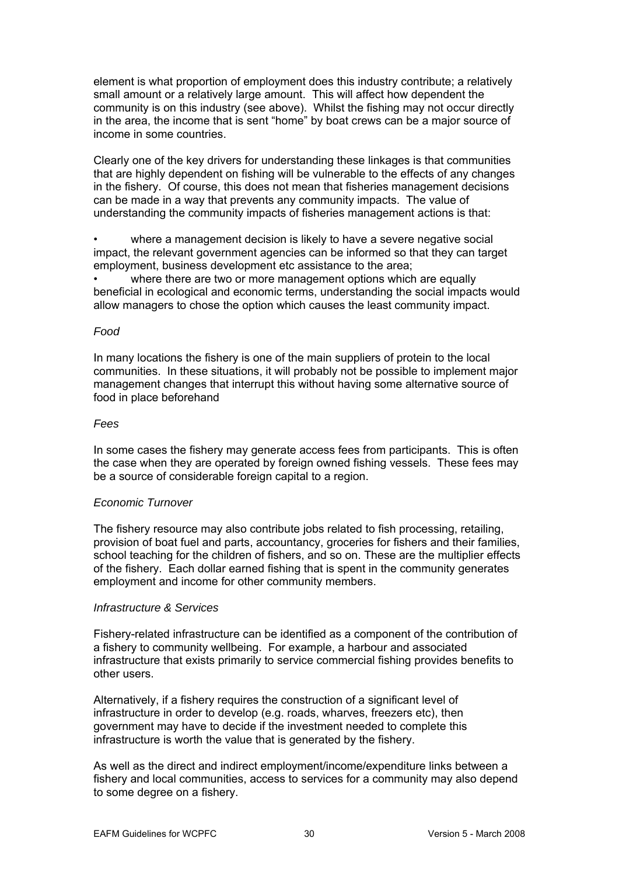element is what proportion of employment does this industry contribute; a relatively small amount or a relatively large amount. This will affect how dependent the community is on this industry (see above). Whilst the fishing may not occur directly in the area, the income that is sent "home" by boat crews can be a major source of income in some countries.

Clearly one of the key drivers for understanding these linkages is that communities that are highly dependent on fishing will be vulnerable to the effects of any changes in the fishery. Of course, this does not mean that fisheries management decisions can be made in a way that prevents any community impacts. The value of understanding the community impacts of fisheries management actions is that:

where a management decision is likely to have a severe negative social impact, the relevant government agencies can be informed so that they can target employment, business development etc assistance to the area;

where there are two or more management options which are equally beneficial in ecological and economic terms, understanding the social impacts would allow managers to chose the option which causes the least community impact.

#### *Food*

In many locations the fishery is one of the main suppliers of protein to the local communities. In these situations, it will probably not be possible to implement major management changes that interrupt this without having some alternative source of food in place beforehand

#### *Fees*

In some cases the fishery may generate access fees from participants. This is often the case when they are operated by foreign owned fishing vessels. These fees may be a source of considerable foreign capital to a region.

#### *Economic Turnover*

The fishery resource may also contribute jobs related to fish processing, retailing, provision of boat fuel and parts, accountancy, groceries for fishers and their families, school teaching for the children of fishers, and so on. These are the multiplier effects of the fishery. Each dollar earned fishing that is spent in the community generates employment and income for other community members.

#### *Infrastructure & Services*

Fishery-related infrastructure can be identified as a component of the contribution of a fishery to community wellbeing. For example, a harbour and associated infrastructure that exists primarily to service commercial fishing provides benefits to other users.

Alternatively, if a fishery requires the construction of a significant level of infrastructure in order to develop (e.g. roads, wharves, freezers etc), then government may have to decide if the investment needed to complete this infrastructure is worth the value that is generated by the fishery.

As well as the direct and indirect employment/income/expenditure links between a fishery and local communities, access to services for a community may also depend to some degree on a fishery.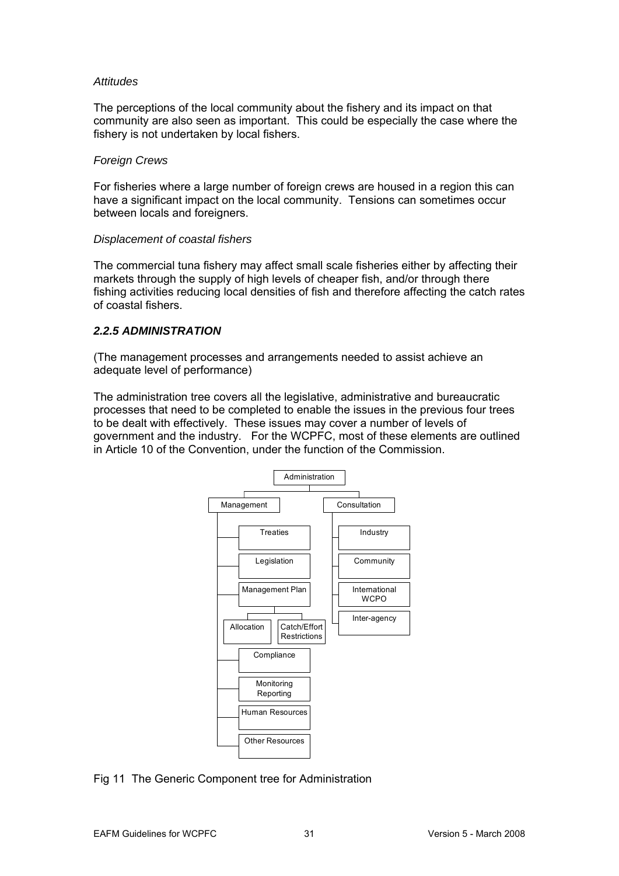#### <span id="page-30-0"></span>*Attitudes*

The perceptions of the local community about the fishery and its impact on that community are also seen as important. This could be especially the case where the fishery is not undertaken by local fishers.

#### *Foreign Crews*

For fisheries where a large number of foreign crews are housed in a region this can have a significant impact on the local community. Tensions can sometimes occur between locals and foreigners.

#### *Displacement of coastal fishers*

The commercial tuna fishery may affect small scale fisheries either by affecting their markets through the supply of high levels of cheaper fish, and/or through there fishing activities reducing local densities of fish and therefore affecting the catch rates of coastal fishers.

## *2.2.5 ADMINISTRATION*

(The management processes and arrangements needed to assist achieve an adequate level of performance)

The administration tree covers all the legislative, administrative and bureaucratic processes that need to be completed to enable the issues in the previous four trees to be dealt with effectively. These issues may cover a number of levels of government and the industry. For the WCPFC, most of these elements are outlined in Article 10 of the Convention, under the function of the Commission.



## Fig 11 The Generic Component tree for Administration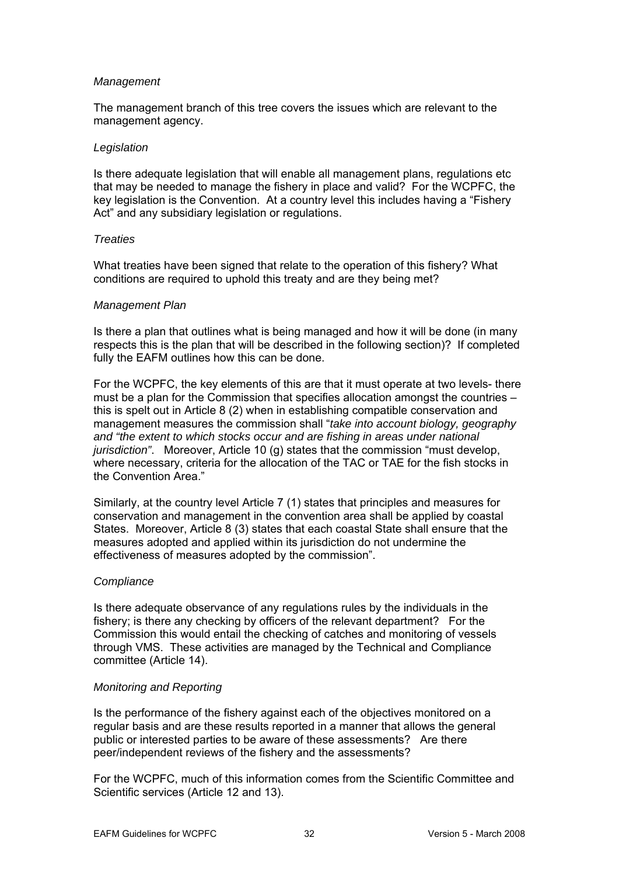#### *Management*

The management branch of this tree covers the issues which are relevant to the management agency.

#### *Legislation*

Is there adequate legislation that will enable all management plans, regulations etc that may be needed to manage the fishery in place and valid? For the WCPFC, the key legislation is the Convention. At a country level this includes having a "Fishery Act" and any subsidiary legislation or regulations.

#### *Treaties*

What treaties have been signed that relate to the operation of this fishery? What conditions are required to uphold this treaty and are they being met?

#### *Management Plan*

Is there a plan that outlines what is being managed and how it will be done (in many respects this is the plan that will be described in the following section)? If completed fully the EAFM outlines how this can be done.

For the WCPFC, the key elements of this are that it must operate at two levels- there must be a plan for the Commission that specifies allocation amongst the countries – this is spelt out in Article 8 (2) when in establishing compatible conservation and management measures the commission shall "*take into account biology, geography and "the extent to which stocks occur and are fishing in areas under national jurisdiction"*. Moreover, Article 10 (g) states that the commission "must develop, where necessary, criteria for the allocation of the TAC or TAE for the fish stocks in the Convention Area."

Similarly, at the country level Article 7 (1) states that principles and measures for conservation and management in the convention area shall be applied by coastal States. Moreover, Article 8 (3) states that each coastal State shall ensure that the measures adopted and applied within its jurisdiction do not undermine the effectiveness of measures adopted by the commission".

## *Compliance*

Is there adequate observance of any regulations rules by the individuals in the fishery; is there any checking by officers of the relevant department? For the Commission this would entail the checking of catches and monitoring of vessels through VMS. These activities are managed by the Technical and Compliance committee (Article 14).

## *Monitoring and Reporting*

Is the performance of the fishery against each of the objectives monitored on a regular basis and are these results reported in a manner that allows the general public or interested parties to be aware of these assessments? Are there peer/independent reviews of the fishery and the assessments?

For the WCPFC, much of this information comes from the Scientific Committee and Scientific services (Article 12 and 13).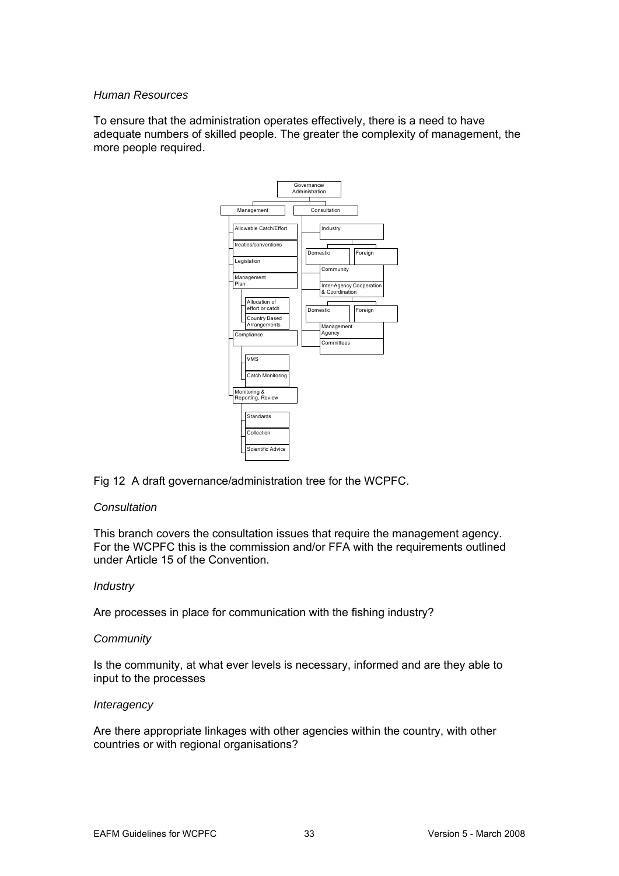## *Human Resources*

To ensure that the administration operates effectively, there is a need to have adequate numbers of skilled people. The greater the complexity of management, the more people required.



Fig 12 A draft governance/administration tree for the WCPFC.

#### *Consultation*

This branch covers the consultation issues that require the management agency. For the WCPFC this is the commission and/or FFA with the requirements outlined under Article 15 of the Convention.

#### *Industry*

Are processes in place for communication with the fishing industry?

#### *Community*

Is the community, at what ever levels is necessary, informed and are they able to input to the processes

#### *Interagency*

Are there appropriate linkages with other agencies within the country, with other countries or with regional organisations?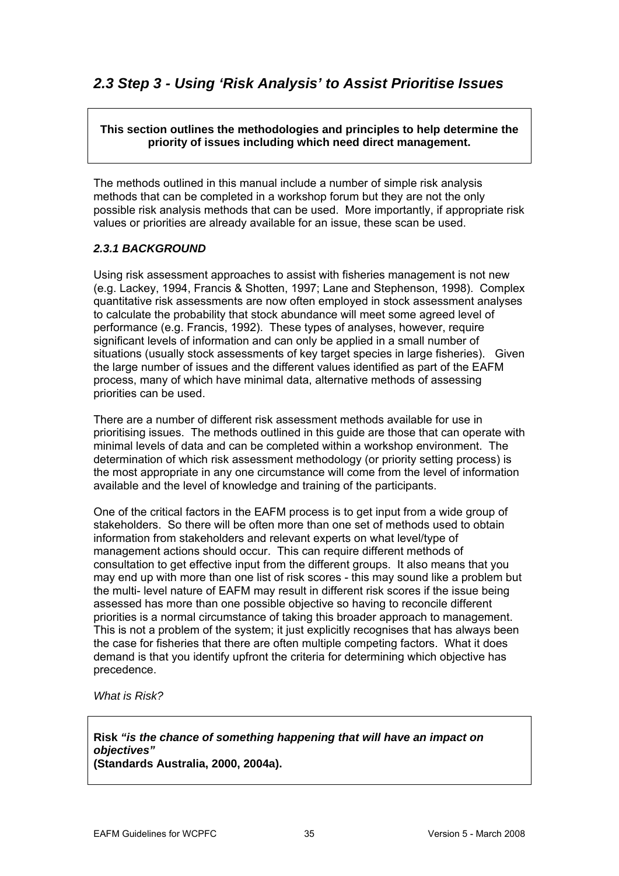## <span id="page-34-0"></span>**This section outlines the methodologies and principles to help determine the priority of issues including which need direct management.**

The methods outlined in this manual include a number of simple risk analysis methods that can be completed in a workshop forum but they are not the only possible risk analysis methods that can be used. More importantly, if appropriate risk values or priorities are already available for an issue, these scan be used.

## *2.3.1 BACKGROUND*

Using risk assessment approaches to assist with fisheries management is not new .g. Lackey, 1994, Francis & Shotten, 1997; Lane and Stephenson, 1998). Complex (e quantitative risk assessments are now often employed in stock assessment analyses to calculate the probability that stock abundance will meet some agreed level of performance (e.g. Francis, 1992). These types of analyses, however, require significant levels of information and can only be applied in a small number of situations (usually stock assessments of key target species in large fisheries). Given the large number of issues and the different values identified as part of the EAFM process, many of which have minimal data, alternative methods of assessing priorities can be used.

available and the level of knowledge and training of the participants. There are a number of different risk assessment methods available for use in prioritising issues. The methods outlined in this guide are those that can operate with minimal levels of data and can be completed within a workshop environment. The determination of which risk assessment methodology (or priority setting process) is the most appropriate in any one circumstance will come from the level of information

One of the critical factors in the EAFM process is to get input from a wide group of stakeholders. So there will be often more than one set of methods used to obtain information from stakeholders and relevant experts on what level/type of management actions should occur. This can require different methods of consultation to get effective input from the different groups. It also means that you may end up with more than one list of risk scores - this may sound like a problem but priorities is a normal circumstance of taking this broader approach to management. the multi- level nature of EAFM may result in different risk scores if the issue being assessed has more than one possible objective so having to reconcile different This is not a problem of the system; it just explicitly recognises that has always been the case for fisheries that there are often multiple competing factors. What it does demand is that you identify upfront the criteria for determining which objective has precedence.

*What is Risk?*

# **Risk** *"is the chance of something happening that will have an impact on objectives"*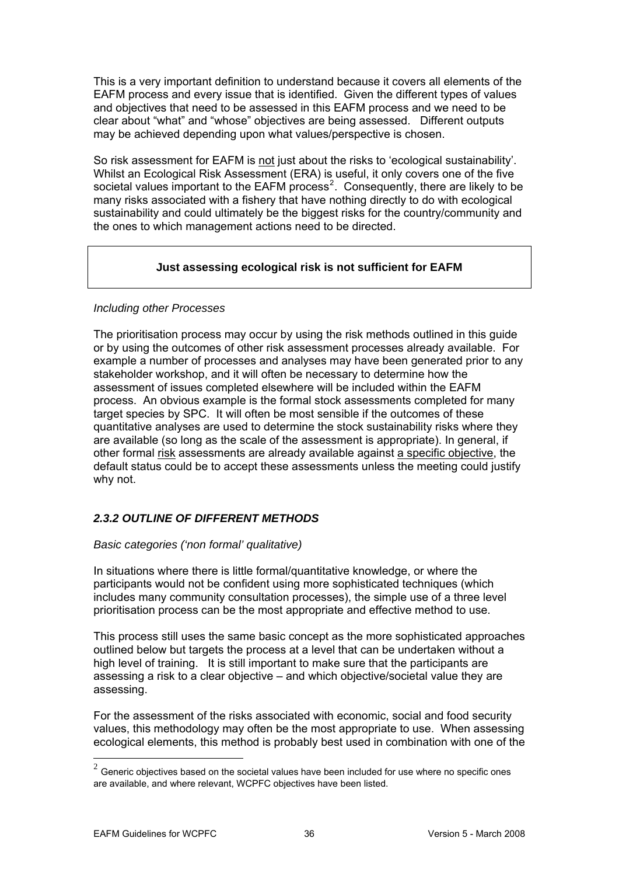<span id="page-35-0"></span>This is a very important definition to understand because it covers all elements of the EAFM process and every issue that is identified. Given the different types of value s and objectives that need to be assessed in this EAFM process and we need to be clear a bout "what" and "whose" objectives are being assessed. Different outputs may be achieved depending upon what values/perspective is chosen.

So risk assessment for EAFM is not just about the risks to 'ecological sustainability'. societal values important to the EAFM process<sup>2</sup>. Consequently, there are likely to be many risks associated with a fishery that have nothing directly to do with ecological sustainability and could ultimately be the biggest risks for the country/community and Whilst an Ecological Risk Assessment (ERA) is useful, it only covers one of the five the ones to which management actions need to be directed.

## **Just assessing ecological risk is not sufficient for EAFM**

## *Including other Processes*

The prioritisation process may occur by using the risk methods outlined in this guide or by using the outcomes of other risk assessment processes already available. For example a number of proc esses and analyses may have been generated prior to any stakeholder workshop, and it will often be necessary to determine how the are available (so long as the scale of the assessment is appropriate). In general, if assessment of issues completed elsewhere will be included within the EAFM process. An obvious example is the formal stock assessments completed for many target species by SPC. It will often be most sensible if the outcomes of these quantitative analyses are used to determine the stock sustainability risks where they other formal risk assessments are already available against a specific objective, the default status could be to accept these assessments unless the meeting could justify why not.

## *2.3.2 OUTLINE OF DIFFERENT METHODS*

## *Basic categories ('non formal' qualitative)*

includes many community consultation processes), the simple use of a three level prioritisation process can be the most appropriate and effective method to use. In situations where there is little formal/quantitative knowledge, or where the participants would not be confident using more sophisticated techniques (which

This process still uses the same basic concept as the more sophisticated approaches outlined below but targets the process at a level that can be undertaken without a high level of training. It is still important to make sure that the participants are assessing a risk to a clear objective – and which objective/societal value they are assessing.

For the assessment of the risks associated with economic, social and food security values, this methodology may often be the most appropriate to use. When assessing ecological elements, this method is probably best used in combination with one of the

1

 $^{2}$  Generic objectives based on the societal values have been included for use where no specific ones are available, and where relevant, WCPFC objectives have been listed.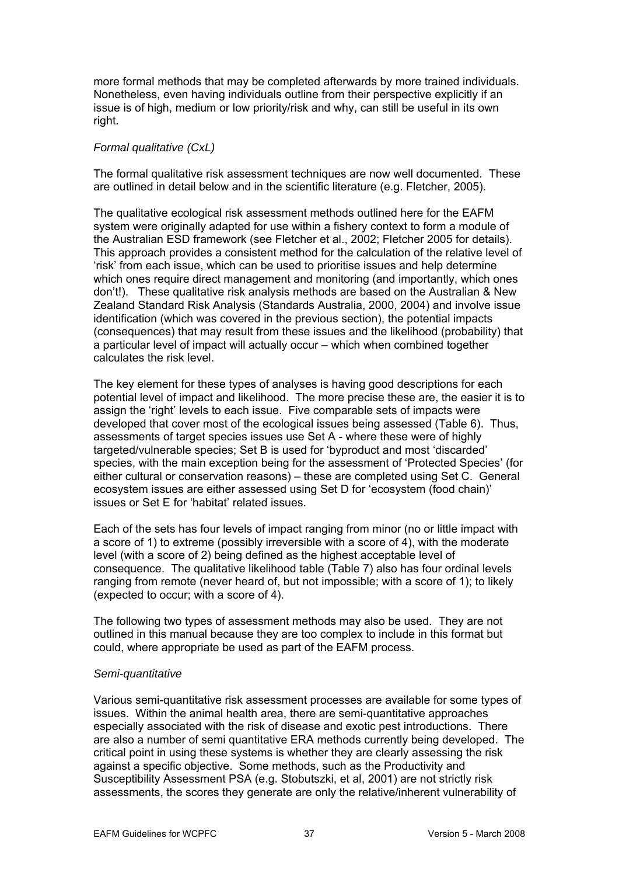more formal methods that may be completed afterwards by more trained i ndividuals. Nonetheless, even having individuals outline from their perspective explicitly i f an issue is of high, medium or low priority/risk and why, can still be useful in its o wn right.

## *Formal qualitative (CxL)*

The formal qualitative risk assessment techniques are now well documented. These are outlined in detail below and in the scientific literature (e.g. Fletcher, 2005).

The qualitative ecological risk assessment methods outlined here for the EAFM system were originally adapted for use within a fishery context to form a module of the Australian ESD framework (see Fletcher et al., 2002; Fletcher 2005 for details). This approach provides a consistent method for the calculation of the relative level of which ones require direct management and monitoring (and importantly, which ones don't!). These qualitative risk analysis methods are based on the Australian & New Zealand Standard Risk Analysis (Standards Australia, 2000, 2004) and involve issue identification (which was covered in the previous section), the potential impacts (consequences) that may result from these issues and the likelihood (probability) that 'risk' from each issue, which can be used to prioritise issues and help determine a particular level of impact will actually occur – which when combined together calculates the risk level.

The key element for these types of analyses is having good descriptions for each otential level of impact and likelihood. The more precise these are, the easier it is to p assign the 'right' levels to each issue. Five comparable sets of impacts were developed tha t cover most of the ecological issues being assessed (Table 6). Thus, assessments of target species issues use Set A - where these were of highly targeted/vulnerable species; Set B is used for 'byproduct and most 'discarded' species, with the main exception being for the assessment of 'Protected Species' (for either cultural or conservation reasons) – these are completed using Set C. General ecosystem issues are either assessed using Set D for 'ecosystem (food chain)' issues or Set E for 'habitat' related issues.

Each of the sets has four levels of impact ranging from minor (no or little impact with a score of 1) to extreme (possibly irreversible with a score of 4), with the moderate conseq uence. The qualitative likelihood table (Table 7) also has four ordinal levels ranging from remote (never heard of, but not impossible; with a score of 1); to likely xpected to occur; with a score of 4). (e level (with a score of 2) being defined as the highest acceptable level of

The fol lowing two types of assessment methods may also be used. They are not outlined in this manual because they are too complex to include in this format but could, w here appropriate be used as part of the EAFM process.

## *Semi-quantitative*

Various semi-quantitative risk assessment processes are available for some types of issues. Within the animal health area, there are semi-quantitative approaches especially associated with the risk of disease and exotic pest introductions. There are also a number of semi quantitative ERA methods currently being developed. The critical point in using these systems is whether they are clearly assessing the risk against a specific objective. Some methods, such as the Productivity and Susceptibility Assessment PSA (e.g. Stobutszki, et al, 2001) are not strictly risk assessments, the scores they generate are only the relative/inherent vulnerability of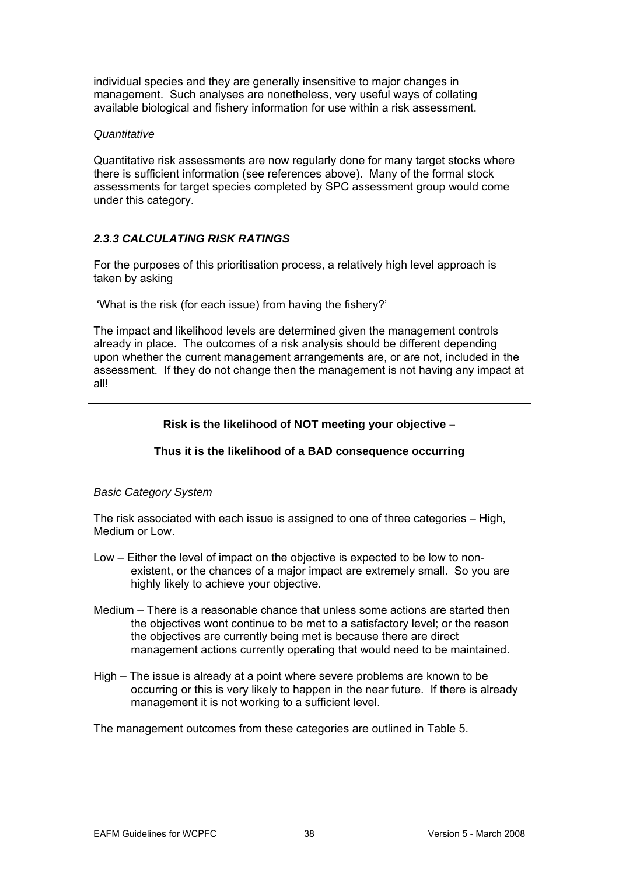individual species and they are generally insensitive to major changes in management. Such analyses are nonetheless, very useful ways of collating available biological and fishery information for use within a risk assessment.

#### *Quantitative*

Quantitative risk assessments are now regularly done for many target stocks where there is sufficient information (see references above). Many of the formal stock assessments for target species completed by SPC assessment group would come under this category.

## *2.3.3 CALCULATING RISK RA TINGS*

For the purposes of this prioritisation process, a relatively high level approach is taken by asking

'What is the risk (for each issue) from having the fishery?'

The impact and likelihood levels are determined given the management controls already in place. The outcomes of a risk analysis should be different depending upon whether the current management arrangements are, or are not, included in the assessment. If they do not change then the management is not having any impact at all!

## **Risk is the likelihood of NOT meeting your objective –**

## **Thus it is the likelihood of a BAD consequence occurring**

## *Basic Category System*

The risk associated with each issue is assigned to one of three categories – High, Medium or Low.

- existent, or the chances of a major impact are extremely small. So you are Low – Either the level of impact on the objective is expected to be low to nonhighly likely to achieve your objective.
- Medium There is a reasonable chance that unless some actions are started then the objectives wont continue to be met to a satisfactory level; or the reason the objectives are currently being met is because there are direct management actions currently operating that would need to be maintained.
- High The issue is already at a point where severe problems are known to be occurring or this is very likely to happen in the near future. If there is already management it is not working to a sufficient level.

The management outcomes from these categories are outlined in Table 5.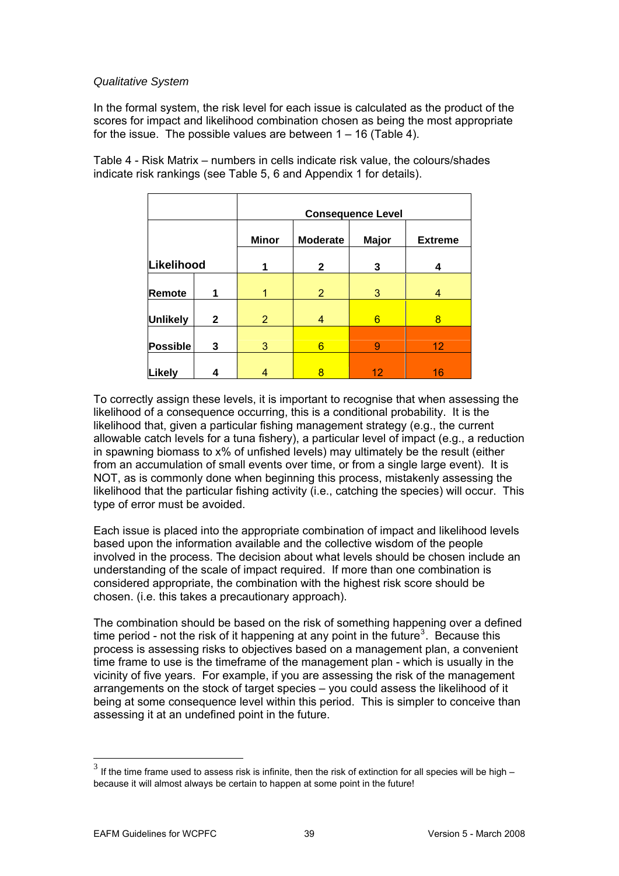## *Qualitative System*

scores for impact and likelihood combination chosen as being the most appropriate for the issue. The possible values are between 1 – 16 (Table 4). In the formal system, the risk level for each issue is calculated as the product of the

|                 |              | <b>Consequence Level</b> |                 |              |                |  |
|-----------------|--------------|--------------------------|-----------------|--------------|----------------|--|
|                 |              | <b>Minor</b>             | <b>Moderate</b> | <b>Major</b> | <b>Extreme</b> |  |
| Likelihood      |              | 1                        | $\mathbf{2}$    | 3            | 4              |  |
| Remote          | 1            |                          | $\overline{2}$  | 3            | 4              |  |
| <b>Unlikely</b> | $\mathbf{2}$ | $\overline{2}$           | 4               | 6            | 8              |  |
| Possible        | 3            | 3                        | 6               | 9            | 12             |  |
| Likely          | 4            |                          | 8               | 12           | 16             |  |

Table 4 - Risk Matrix – numbers in cells indicate risk value, the colours/shades indicate risk rankings (see Table 5, 6 and Appendix 1 for details).

To correctly assign these levels, it is important to recognise that when assessing the likelihood of a consequence occurring, this is a conditional probability. It is the likelihood that, given a particular fishing management strategy (e.g., the current allowable catch levels for a tuna fishery), a particular level of impact (e.g., a reduction in spawning biomass to x% of unfished levels) may ultimately be the result (either from an accumulation of small events over time, or from a single large event). It is NOT, as is commonly done when beginning this process, mistakenly assessing the likelihood that the particular fishing activity (i.e., catching the species) will occur. This type of error must be avoided.

involved in the process. The decision about what levels should be chosen include an understanding of the scale of impact required. If more than one combination is considered appropriate, the combination with the highest risk score should be Each issue is placed into the appropriate combination of impact and likelihood levels based upon the information available and the collective wisdom of the people chosen. (i.e. this takes a precautionary approach).

time frame to use is the timeframe of the management plan - which is usually in the assessing it at an undefined point in the future. The combination should be based on the risk of something happening over a defined time period - not the risk of it happening at any point in the future<sup>3</sup>. Because this process is assessing risks to objectives based on a management plan, a convenient vicinity of five years. For example, if you are assessing the risk of the management arrangements on the stock of target species – you could assess the likelihood of it being at some consequence level within this period. This is simpler to conceive than

 $\overline{a}$ 

1

 $3$  If the time frame used to assess risk is infinite, then the risk of extinction for all species will be high – because it will almost always be certain to happen at some point in the future!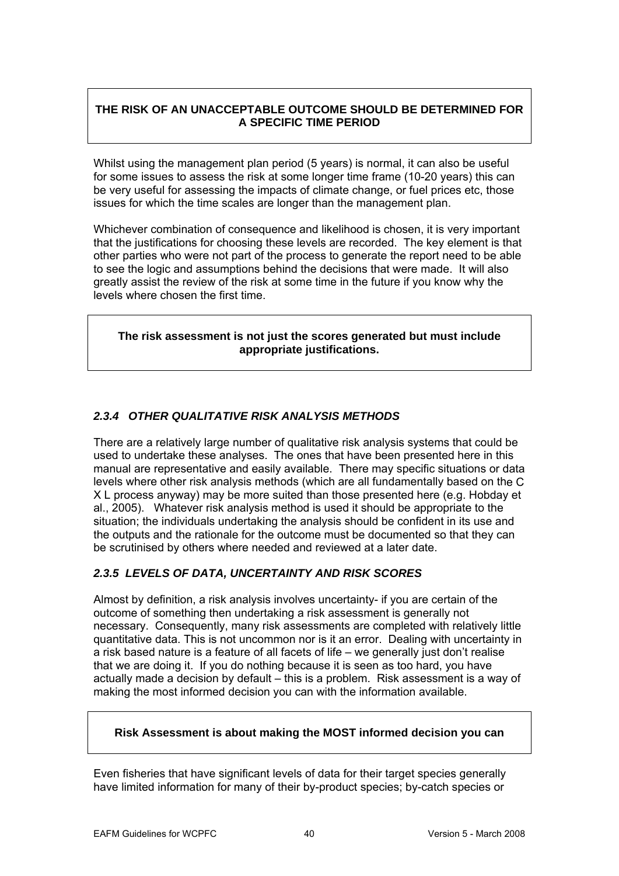## **THE RISK OF AN UNACCEPTABLE OUTCOME SHOULD BE DETERMINED FOR A SPECIFIC TIME PERIOD**

Whilst using the management plan period (5 years) is normal, it can also be useful for some issues to assess the risk at some longer time frame (10-20 years) this can be very useful for assessing the impacts of climate change, or fuel prices etc, those issues for which the time scales are longer than the management plan.

Whichever combination of consequence and likelihood is chosen, it is very important th at the justifications for choosing these levels are recorded. The key element is that other parties who were not part of the process to generate the report need to be able to see the logic and assumptions behind the decisions that were made. It will also greatly assist the review of the risk at some time in the future if you know why the levels where chosen the first time.

## **The risk assessment is not just the scores generated but must include appropriate justifications.**

## *2.3.4 OTHER QUALITATIVE RISK ANALYSIS METHODS*

There are a relatively large number of qualitative risk analysis systems that could be used to undertake these analyses. The ones that have been presented here in this levels where other risk analysis methods (which are all fundamentally based on the C X L process anyway) may be more suited than those presented here (e.g. Hobday et manual are representative and easily available. There may specific situations or data al., 2005). Whatever risk analysis method is used it should be appropriate to the situation; the individuals undertaking the analysis should be confident in its use and the outputs and the rationale for the outcome must be documented so that they can be scrutinised by others where needed and reviewed at a later date.

## *2.3.5 LEVELS OF DATA, UNCERTAINTY AND RISK SCORES*

necessary. Consequently, many risk assessments are completed with relatively little quantitative data. This is not uncommon nor is it an error. Dealing with uncertainty in a risk based nature is a feature of all facets of life – we generally just don't realise that we are doing it. If you do nothing because it is seen as too hard, you have actually made a decision by default – this is a problem. Risk assessment is a way of Almost by definition, a risk analysis involves uncertainty- if you are certain of the outcome of something then undertaking a risk assessment is generally not making the most informed decision you can with the information available.

## **Risk Assessment is about making the MOST informed decision you can**

Even fisheries that have significant levels of data for their target species generally have limited information for many of their by-product species; by-catch species or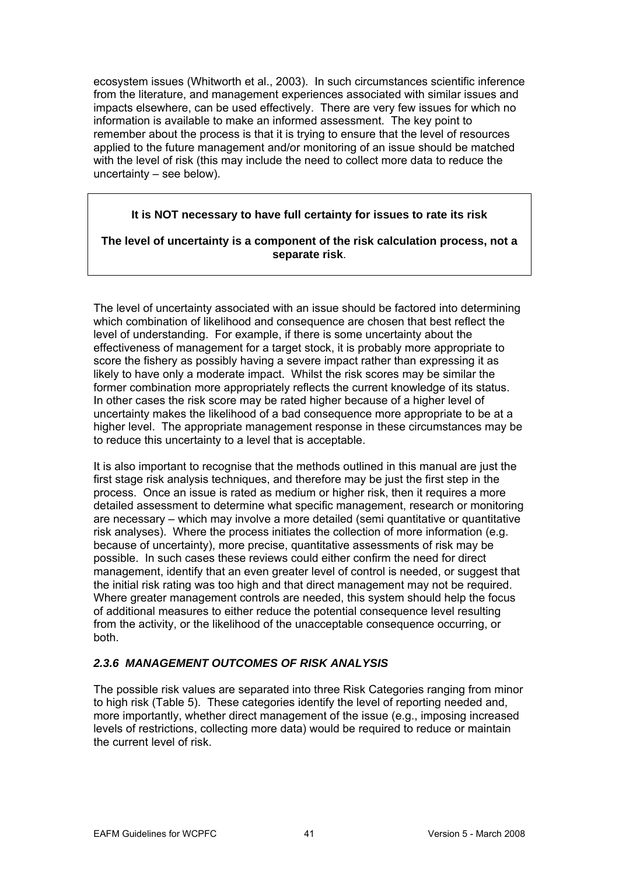ecosystem issues (Whitworth et al., 2003). In such circumstances scientific inferen ce from the literature, and management experiences associated with similar issues and impacts elsewh ere, can be used effectively. There are very few issues for which no information is available to make an informed assessment. The key point to applied to the future management and/or monitoring of an issue should be matched with the level of risk (this may include the need to collect more data to reduce the remember about the process is that it is trying to ensure that the level of resources uncertainty – see below).

## **It is NOT necessary to have full certainty for issues to rate its risk**

## **The level of uncertainty is a component of the risk calculation process, not a separate risk**.

The level of uncertainty associated with an issue should be factored into determining which combination of likelihood and consequence are chosen that best reflect the level of understanding. For example, if there is some uncertainty about the effectiveness of management for a target stock, it is probably more appropriate to score the fishery as possibly having a severe impact rather than expressing it as likely to have only a moderate impact. Whilst the risk score s may be similar the former combination more appropriately reflects the current knowledge of its status. In other cases the risk score may be rated higher because of a higher level of uncertainty makes the likelihood of a bad consequence more appropriate to be at a higher level. The appropriate management response in these circumstances may be to reduce this uncertainty to a level that is acceptable.

It is also important to recognise that the methods outlined in this manual are just the first stage risk analysis techniques, and therefore may be just the first step in the process. Once an issue is rated as medium or higher risk, then it requires a more detailed assessment to determine what specific management, research or monitoring are necessary – which may involve a more detailed (semi quantitative or quantitative risk analyses). Where the process initiates the collection of more information (e.g. be because of uncertainty), more precise, quantitative assessments of risk may possible. In such cases these reviews could either confirm the need for direct management, identify that an even greater level of control is needed, or suggest that the initial risk rating was too high and that direct management may not be required. Where greater management controls are needed, this system should help the focus of additional measures to either reduce the potential consequence level resulting from the activity, or the likelihood of the unacceptable consequence occurring, or both.

## *2.3.6 MANAGEMENT OUTCOMES OF RISK ANALYSIS*

The possible risk values are separated into three Risk Categories ranging from minor levels of restrictions, collecting more data) would be required to reduce or maintain the current level of risk. to high risk (Table 5). These categories identify the level of reporting needed and, more importantly, whether direct management of the issue (e.g., imposing increased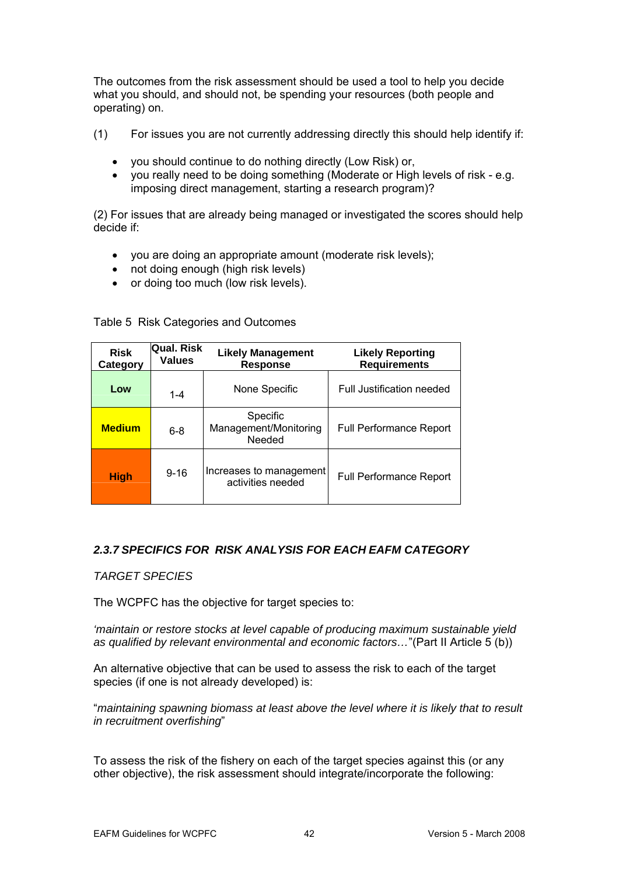The outcomes from the risk assessment should be used a tool to help you decide what yo u should, and should not, be spending your resources (both people and operati ng) on.

- (1) For issues you are not currently addressing directly this should help identify if:
	- you should continue to do nothing directly (Low Risk) or,
	- imposing direct management, starting a research program)? • you really need to be doing something (Moderate or High levels of risk - e.g.

(2) For issues that are already being managed or investigated the scores should help decide if:

- you are doing an appropriate amount (moderate risk levels);
- not doing enough (high risk levels)
- or doing too much (low risk levels).

| <b>Risk</b><br>Category | <b>Qual. Risk</b><br><b>Values</b> | <b>Likely Management</b><br><b>Response</b>  | <b>Likely Reporting</b><br><b>Requirements</b> |
|-------------------------|------------------------------------|----------------------------------------------|------------------------------------------------|
| Low                     | $1 - 4$                            | None Specific                                | <b>Full Justification needed</b>               |
| <b>Medium</b>           | $6 - 8$                            | Specific<br>Management/Monitoring<br>Needed  | <b>Full Performance Report</b>                 |
| <b>High</b>             | $9 - 16$                           | Increases to management<br>activities needed | <b>Full Performance Report</b>                 |

Table 5 Risk Categories and Outcomes

## *2.3.7 SPECIFICS FOR RISK ANALYSIS FOR EACH EAFM CATEGORY*

*TARGET SPECIES* 

The WCPFC has the objective for target species to:

*'maintain or restore stocks at level capable of producing maximum sustainable yield as qualified by relevant environmental and economic factors…*"(Part II Article 5 (b))

species (if one is not already developed) is: An alternative objective that can be used to assess the risk to each of the target

"*maintaining spawning biomass at least above the level where it is likely that to result in recruitment overfishing*"

other objective), the risk assessment should integrate/incorporate the following: To assess the risk of the fishery on each of the target species against this (or any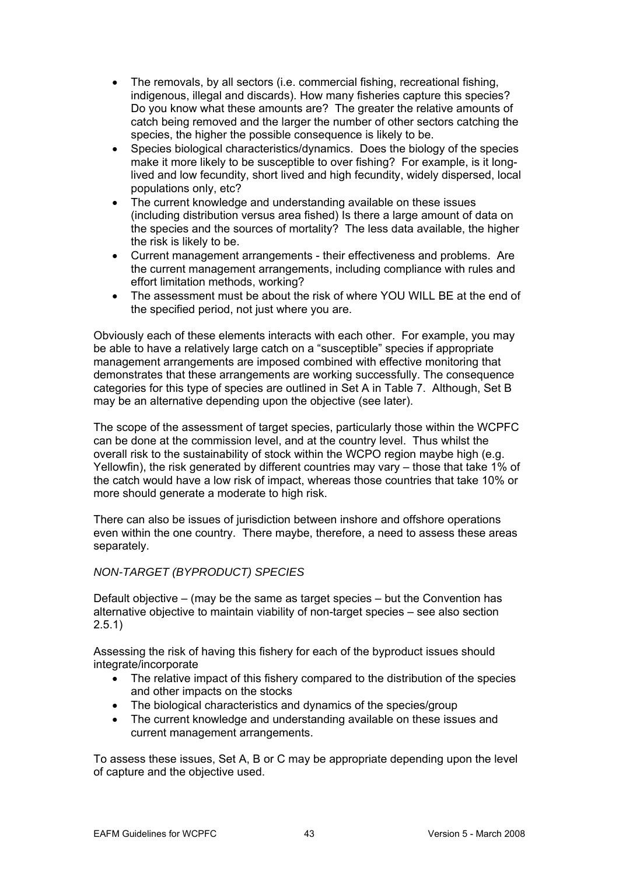- The removals, by all sectors (i.e. commercial fishing, recreational fishing, indigenous, illegal and discards). How many fisheries capture this species? Do you know what these amounts are? The greater the relative amounts of catch being removed and the larger the number of other sectors catching the species, the higher the possible consequence is likely to be.
- Species biological characteristics/dynamics. Does the biology of the species make it more likely to be susceptible to over fishing? For example, is it longlived and low fecundity, short lived and high fecundity, widely dispersed, local populations only, etc?
- The current knowledge and understanding available on these issues the species and the sources of mortality? The less data available, the higher (including distribution versus area fished) Is there a large amount of data on the risk is likely to be.
- effort limitation methods, working? • Current management arrangements - their effectiveness and problems. Are the current management arrangements, including compliance with rules and
- The assessment must be about the risk of where YOU WILL BE at the end of the specified period, not just where you are.

Obviously each of these elements interacts with each other. For example, you may management arrangements are imposed combined with effective monitoring that demonstrates that these arrangements are working successfully. The consequence be able to have a relatively large catch on a "susceptible" species if appropriate categories for this type of species are outlined in Set A in Table 7. Although, Set B may be an alternative depending upon the objective (see later).

. overall risk to the sustainability of stock within the WCPO region maybe high (e.g Yellowfin), the risk generated by different countries may vary – those that take 1% of the catch would have a low risk of impact, whereas those countries that take 10% or more should generate a moderate to high risk. The scope of the assessment of target species, particularly those within the WCPFC can be done at the commission level, and at the country level. Thus whilst the

even within the one country. There maybe, therefore, a need to assess these areas There can also be issues of jurisdiction between inshore and offshore operations separately.

## *NON-TARGET (BYPRODUCT) SPECIES*

Default objective – (may be the same as target species – but the Convention has alternative objective to maintain viability of non-target species – see also section 2.5.1)

Assessing the risk of having this fishery for each of the byproduct issues should integrate/incorporate

- The relative impact of this fishery compared to the distribution of the species and other impacts on the stocks
- The biological characteristics and dynamics of the species/group
- The current knowledge and understanding available on these issues and current management arrangements.

To assess these issues, Set A, B or C may be appropriate depending upon the level of capture and the objective used.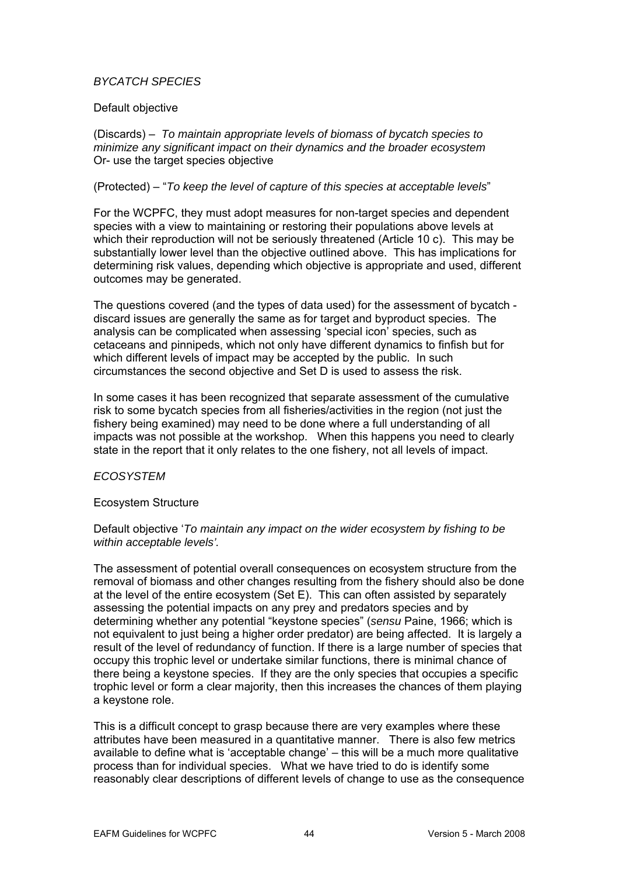## *BYCATCH SPECIES*

#### Default objective

*minimize any significant impact on their dynamics and the broader ecosystem* Or- use the target species objective (Discards) – *To maintain appropriate levels of biomass of bycatch species to* 

(Protected) – "*To keep the level of capture of this species at acceptable levels*"

For the WCPFC, they must adopt measures for non-target species and dependent species with a view to maintaining or restoring their populations above levels at which their reproduction will not be seriously threatened (Article 10 c). This may be substantially lower level than the objective outlined above. This has implications for determining risk values, depending which objective is appropriate and used, different outcomes may be generated.

The questions covered (and the types of data used) for the assessment of bycatch discard issues are generally the same as for target and byproduct species. The analysis can be complicated when assessing 'special icon' species, such as cetaceans and pinnipeds, which not only have different dynamics to finfish but for which different levels of impact may be accepted by the public. In such circumstances the second objective and Set D is used to assess the risk.

In some cases it has been recognized that separate assessment of the cumulative risk to some bycatch species from all fisheries/activities in the region (not just the fishery being examined) may need to be done where a full understanding of all impacts was not possible at the workshop. When this happens you need to clearly state in the report that it only relates to the one fishery, not all levels of impact.

#### *ECOSYSTEM*

## Ecosystem Structure

#### Default objective '*To maintain any impact on the wider ecosystem by fishing to be within acceptable levels'.*

The assessment of potential overall consequences on ecosystem structure from the removal of biomass and other changes resulting from the fishery should also be done at the level of the entire ecosystem (Set E). This can often assisted by separately assessing the potential impacts on any prey and predators species and by determining whether any potential "keystone species" (*sensu* Paine, 1966; which is not equivalent to just being a higher order predator) are being affected. It is largely a result of the level of redundancy of function. If there is a large number of species that occupy this trophic level or undertake similar functions, there is minimal chance of there being a keystone species. If they are the only species that occupies a specific trophic level or form a clear majority, then this increases the chances of them playing a keystone role.

This is a difficult concept to grasp because there are very examples where these attributes have been measured in a quantitative manner. There is also few metrics available to define what is 'acceptable change' – this will be a much more qualitative process than for individual species. What we have tried to do is identify some reasonably clear descriptions of different levels of change to use as the consequence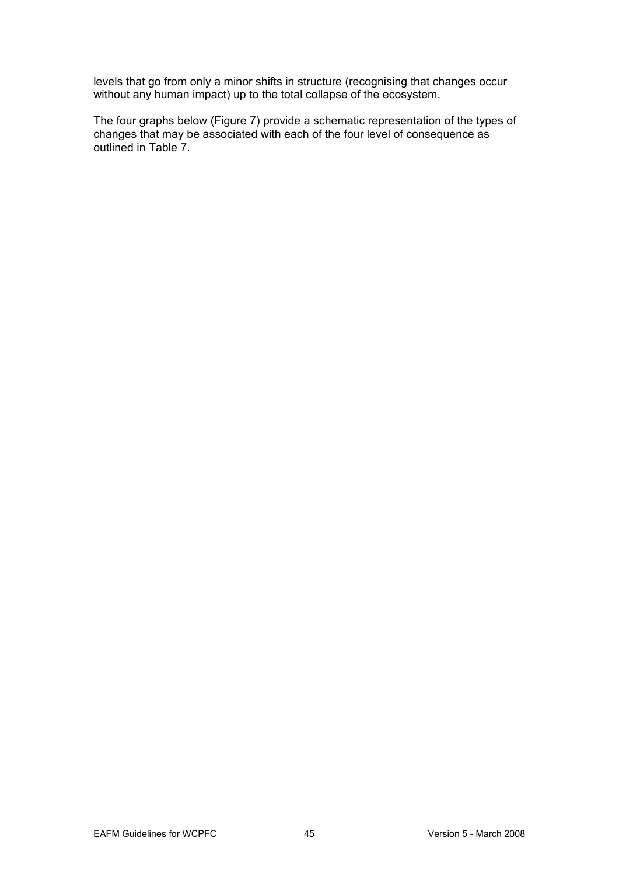levels that go from only a minor shifts in structure (recognising that changes occur without any human impact) up to the total collapse of the ecosystem.

The four graphs below (Figure 7) provide a schematic representation of the types of changes that may be associated with each of the four level of consequence as outlined in Table 7.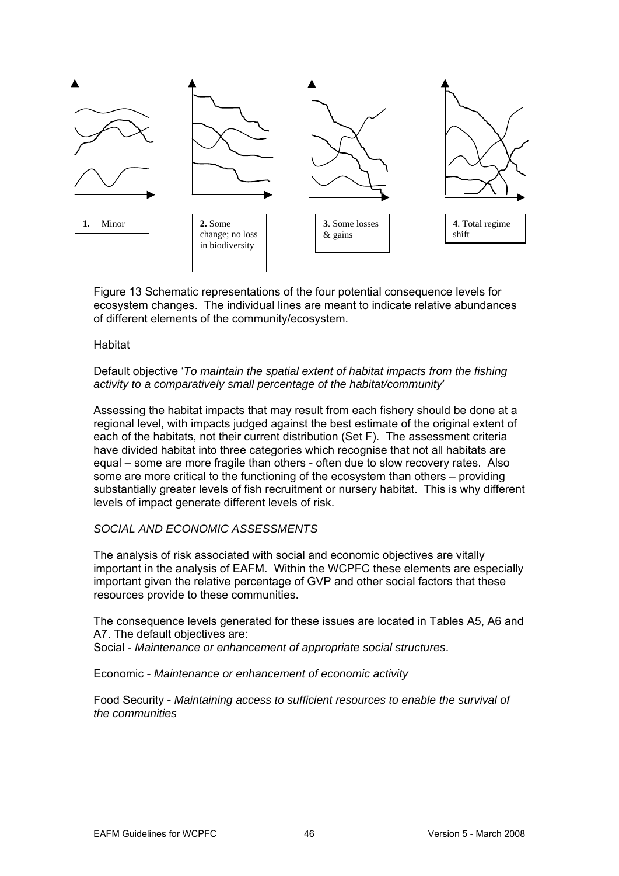

Figure 13 Schematic representations of the four potential consequence levels for ecosystem changes. The individual lines are meant to indicate relative abundances of different elements of the community/ecosystem.

#### **Habitat**

#### Default objective 'To maintain the spatial extent of habitat impacts from the fishing *activity to a comparatively small percentage of the habitat/community*'

regional level, with impacts judged against the best estimate of the original extent of each of the habitats, not their current distribution (Set F). The assessment criteria equal – some are more fragile than others - often due to slow recovery rates. Also substantially greater levels of fish recruitment or nursery habitat. This is why different levels of impact generate different levels of risk. Assessing the habitat impacts that may result from each fishery should be done at a have divided habitat into three categories which recognise that not all habitats are some are more critical to the functioning of the ecosystem than others – providing

#### *SOCIAL AND ECONOMIC ASSESSMENTS*

The analysis of risk associated with social and economic objectives are vitally important in the analysis of EAFM. Within the WCPFC these elements are especially important given the relative percentage of GVP and other social factors that these resources provide to these communities.

The consequence levels generated for these issues are located in Tables A5, A6 and A7. The default objectives are:

Social - *Maintenance or enhancement of appropriate social structures*.

Economic - *Maintenance or enhancement of economic activity*

Food Security - *Maintaining access to sufficient resources to enable the survival of e communities th*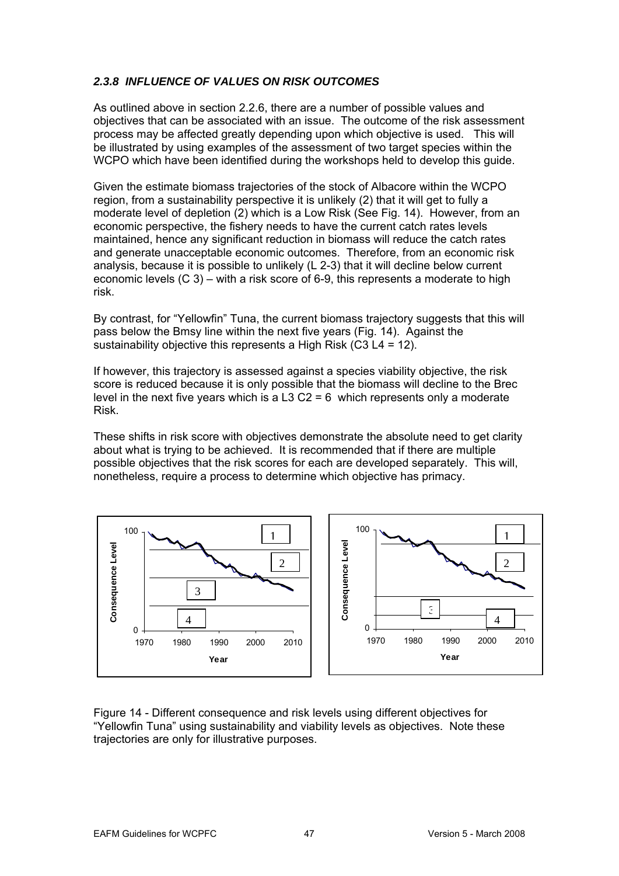## *2.3.8 INFLUENCE OF VALUES ON RISK OUTCOMES*

As outlined above in section 2.2.6, there are a number of possible values and process may be affected greatly depending upon which objective is used. This will WCPO which have been identified during the workshops held to develop this guide. objectives that can be associated with an issue. The outcome of the risk assessment be illustrated by using examples of the assessment of two target species within the

moderate level of depletion (2) which is a Low Risk (See Fig. 14). However, from an conomic perspective, the fishery needs to have the current catch rates levels e analysis, because it is possible to unlikely (L 2-3) that it will decline below current economic levels (C 3) – with a risk score of 6-9, this represents a moderate to high Given the estimate biomass trajectories of the stock of Albacore within the WCPO region, from a sustainability perspective it is unlikely (2) that it will get to fully a maintained, hence any significant reduction in biomass will reduce the catch rates and generate unacceptable economic outcomes. Therefore, from an economic risk risk.

By contrast, for "Yellowfin" Tuna, the current biomass trajectory suggests that this will pass below the Bmsy line within the next five years (Fig. 14). Against the sustainability objective this represents a High Risk (C3 L4 = 12).

If however, this trajectory is assessed against a species viability objective, the risk score is reduced because it is only possible that the biomass will decline to the Brec level in the next five years which is a L3 C2 = 6 which represents only a moderate Risk.

possible objectives that the risk scores for each are developed separately. This will, These shifts in risk score with objectives demonstrate the absolute need to get clarity about what is trying to be achieved. It is recommended that if there are multiple nonetheless, require a process to determine which objective has primacy.



Figure 14 - Different consequence and risk levels using different objectives for "Yellowfin Tuna" using sustainability and viability levels as objectives. Note these trajectories are only for illustrative purposes.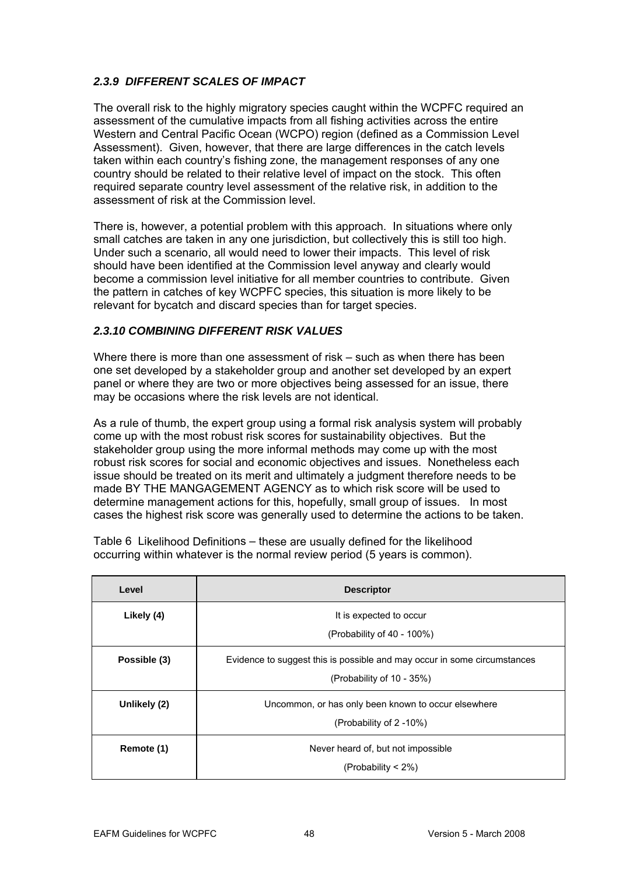## **2.3.9 DIFFERENT SCALES OF IMPACT**

The overall risk to the highly migratory species caught within the WCPFC required an assessment of the cumulative impacts from all fishing activities across the entire Western and Central Pacific Ocean (WCPO) region (defined as a Commission Level Assessment). Given, however, that there are large differences in the catch levels taken within each country's fishing zone, the management responses of any one country should be related to their relative level of impact on the stock. This often required separate country level assessment of the relative risk, in addition to the assessment of risk at the Commission level.

There is, however, a potential problem with this approach. In situations where only small catches are taken in any one jurisdiction, but collectively this is still too high. Under such a scenario, all would need to lower their impacts. This level of risk should have been identified at the Commission level anyway and clearly would become a commission level initiative for all member countries to contribute. Given the pattern in catches of key WCPFC species, this situation is more likely to be relevant for bycatch and discard species than for target species.

## 2.3.10 COMBINING DIFFERENT RISK VALUES

Where there is more than one assessment of risk – such as when there has been one set developed by a stakeholder group and another set developed by an expert panel or where they are two or more objectives being assessed for an issue, there may be occasions where the risk levels are not identical.

As a rule of thumb, the expert group using a formal risk analysis system will probably come up with the most robust risk scores for sustainability objectives. But the stakeholder group using the more informal methods may come up with the most robust risk scores for social and economic objectives and issues. Nonetheless each issue should be treated on its merit and ultimately a judgment therefore needs to be made BY THE MANGAGEMENT AGENCY as to which risk score will be used to determine management actions for this, hopefully, small group of issues. In most cases the highest risk score was generally used to determine the actions to be taken.

Table 6 Likelihood Definitions – these are usually defined for the likelihood occurring within whatever is the normal review period (5 years is common).

| Level        | <b>Descriptor</b>                                                                                     |
|--------------|-------------------------------------------------------------------------------------------------------|
| Likely (4)   | It is expected to occur<br>(Probability of 40 - 100%)                                                 |
| Possible (3) | Evidence to suggest this is possible and may occur in some circumstances<br>(Probability of 10 - 35%) |
| Unlikely (2) | Uncommon, or has only been known to occur elsewhere<br>(Probability of 2 -10%)                        |
| Remote (1)   | Never heard of, but not impossible<br>(Probability $<$ 2%)                                            |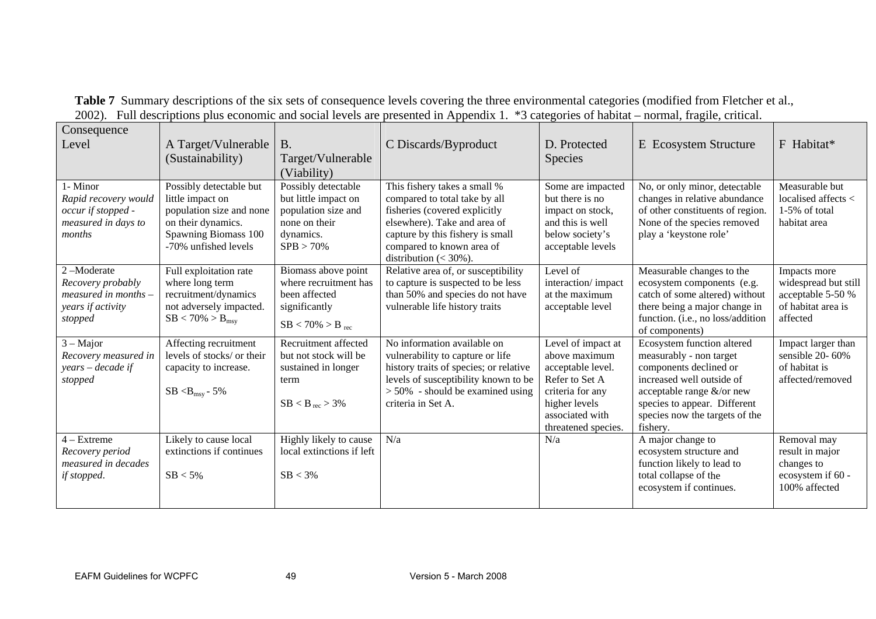| Consequence<br>Level                                                                    | A Target/Vulnerable<br>(Sustainability)                                                                                                       | <b>B.</b><br>Target/Vulnerable<br>(Viability)                                                                    | C Discards/Byproduct                                                                                                                                                                                                         | D. Protected<br><b>Species</b>                                                                                                                            | E Ecosystem Structure                                                                                                                                                                                                            | F Habitat*                                                                                  |
|-----------------------------------------------------------------------------------------|-----------------------------------------------------------------------------------------------------------------------------------------------|------------------------------------------------------------------------------------------------------------------|------------------------------------------------------------------------------------------------------------------------------------------------------------------------------------------------------------------------------|-----------------------------------------------------------------------------------------------------------------------------------------------------------|----------------------------------------------------------------------------------------------------------------------------------------------------------------------------------------------------------------------------------|---------------------------------------------------------------------------------------------|
| 1- Minor<br>Rapid recovery would<br>occur if stopped -<br>measured in days to<br>months | Possibly detectable but<br>little impact on<br>population size and none<br>on their dynamics.<br>Spawning Biomass 100<br>-70% unfished levels | Possibly detectable<br>but little impact on<br>population size and<br>none on their<br>dynamics.<br>$SPB > 70\%$ | This fishery takes a small %<br>compared to total take by all<br>fisheries (covered explicitly<br>elsewhere). Take and area of<br>capture by this fishery is small<br>compared to known area of<br>distribution $(< 30\%$ ). | Some are impacted<br>but there is no<br>impact on stock,<br>and this is well<br>below society's<br>acceptable levels                                      | No, or only minor, detectable<br>changes in relative abundance<br>of other constituents of region.<br>None of the species removed<br>play a 'keystone role'                                                                      | Measurable but<br>localised affects $\lt$<br>1-5% of total<br>habitat area                  |
| 2-Moderate<br>Recovery probably<br>measured in months -<br>years if activity<br>stopped | Full exploitation rate<br>where long term<br>recruitment/dynamics<br>not adversely impacted.<br>$SB < 70\% > B_{msv}$                         | Biomass above point<br>where recruitment has<br>been affected<br>significantly<br>$SB < 70\% > B_{rec}$          | Relative area of, or susceptibility<br>to capture is suspected to be less<br>than 50% and species do not have<br>vulnerable life history traits                                                                              | Level of<br>interaction/impact<br>at the maximum<br>acceptable level                                                                                      | Measurable changes to the<br>ecosystem components (e.g.<br>catch of some altered) without<br>there being a major change in<br>function. (i.e., no loss/addition<br>of components)                                                | Impacts more<br>widespread but still<br>acceptable 5-50 %<br>of habitat area is<br>affected |
| $3 - Major$<br>Recovery measured in<br>years – decade if<br>stopped                     | Affecting recruitment<br>levels of stocks/ or their<br>capacity to increase.<br>$SB < B_{\rm msy}$ - 5%                                       | Recruitment affected<br>but not stock will be<br>sustained in longer<br>term<br>$SB < B_{rec} > 3\%$             | No information available on<br>vulnerability to capture or life<br>history traits of species; or relative<br>levels of susceptibility known to be<br>$> 50\%$ - should be examined using<br>criteria in Set A.               | Level of impact at<br>above maximum<br>acceptable level.<br>Refer to Set A<br>criteria for any<br>higher levels<br>associated with<br>threatened species. | Ecosystem function altered<br>measurably - non target<br>components declined or<br>increased well outside of<br>acceptable range $&\text{/or new}$<br>species to appear. Different<br>species now the targets of the<br>fishery. | Impact larger than<br>sensible 20-60%<br>of habitat is<br>affected/removed                  |
| $4 - Extreme$<br>Recovery period<br>measured in decades<br>if stopped.                  | Likely to cause local<br>extinctions if continues<br>$SB < 5\%$                                                                               | Highly likely to cause<br>local extinctions if left<br>$SB < 3\%$                                                | N/a                                                                                                                                                                                                                          | N/a                                                                                                                                                       | A major change to<br>ecosystem structure and<br>function likely to lead to<br>total collapse of the<br>ecosystem if continues.                                                                                                   | Removal may<br>result in major<br>changes to<br>ecosystem if 60 -<br>100% affected          |

Summary descriptions of the six sets of consequence levels covering the three environmental categories (modified from Fletch 2002). Full descriptions plus economic and social levels are presented in Appendix 1. \*3 categories of habitat – normal, fra **Table 7** Summary descriptions of the six sets of soci consequence levels c l levels are presente overi<br>d in *l* ng the three enviro pendix 1. \*3 cat nmen gori tal categorie of habitat – s (mo nor fied from Flet gile, critical. er et al.,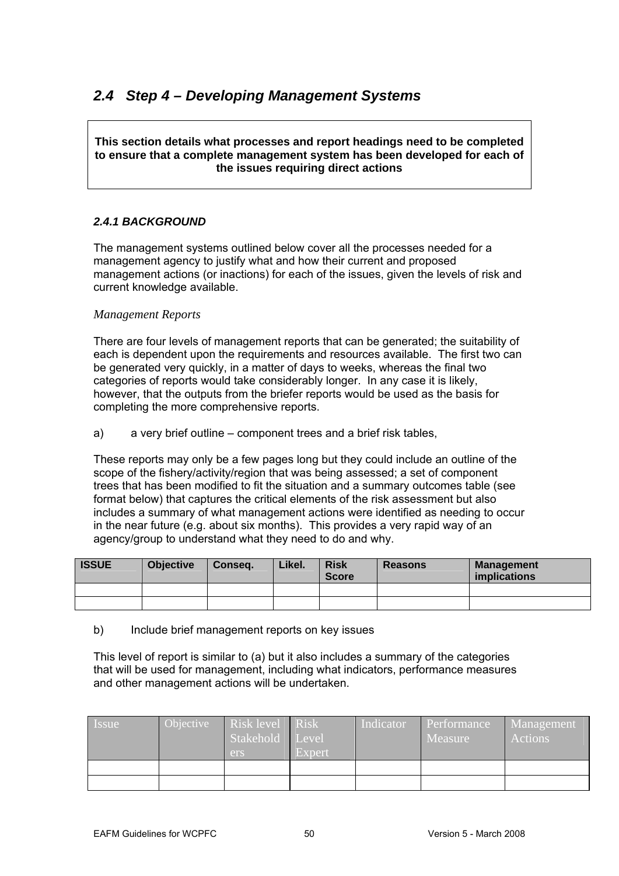# *2.4 Step 4 – Developing Management Systems*

**This section details what processes and report headings need to be completed to ensure that a complete management system has been developed for each of the issues requiring direct actions** 

## *2.4.1 BACKGROUND*

The management systems outlined below cover all the processes needed for a management actions (or inactions) for each of the issues, given the levels of risk and management agency to justify what and how their current and proposed current knowledge available.

## *Management Reports*

There are four levels of management reports that can be generated; the suitability of each is dependent upon the requirements and resources available. The first two can be generated very quickly, in a matter of days to weeks, whereas the final two categories o f reports would take considerably longer. In any case it is likely, however, that the outputs from the briefer reports would be used as the basis for completing the more comprehensive reports.

#### a) a very brief outline – component trees and a brief risk tables,

These reports may only be a few pages long but they could include an outline of the scope of the fishery/activity/region that was bein g assessed; a set of component trees that has been modified to fit the situation and a summary outcomes table (see format below) that captures the critical elements of the risk assessment but also includes a summary of what management actions were identified as needing to occur in the near f uture (e.g. about six months). This provides a very rapid way of an agency/group to understand what they need to do and why.

| <b>ISSUE</b> | <b>Objective</b> | Conseq. | Likel. | <b>Risk</b><br><b>Score</b> | <b>Reasons</b> | <b>Management</b><br><i>implications</i> |
|--------------|------------------|---------|--------|-----------------------------|----------------|------------------------------------------|
|              |                  |         |        |                             |                |                                          |
|              |                  |         |        |                             |                |                                          |

#### b) Include brief management reports on key issues

This level of report is similar to (a) but it also includes a summary of the categories that will be used for management, including what indicators, performance measures and other management actions will be undertaken.

| Issue | Objective | Risk level Risk<br>Stakehold<br>ers | $\vert$ Level<br>Expert | Indicator | Performance<br>Measure | <b>Management</b><br>Actions |
|-------|-----------|-------------------------------------|-------------------------|-----------|------------------------|------------------------------|
|       |           |                                     |                         |           |                        |                              |
|       |           |                                     |                         |           |                        |                              |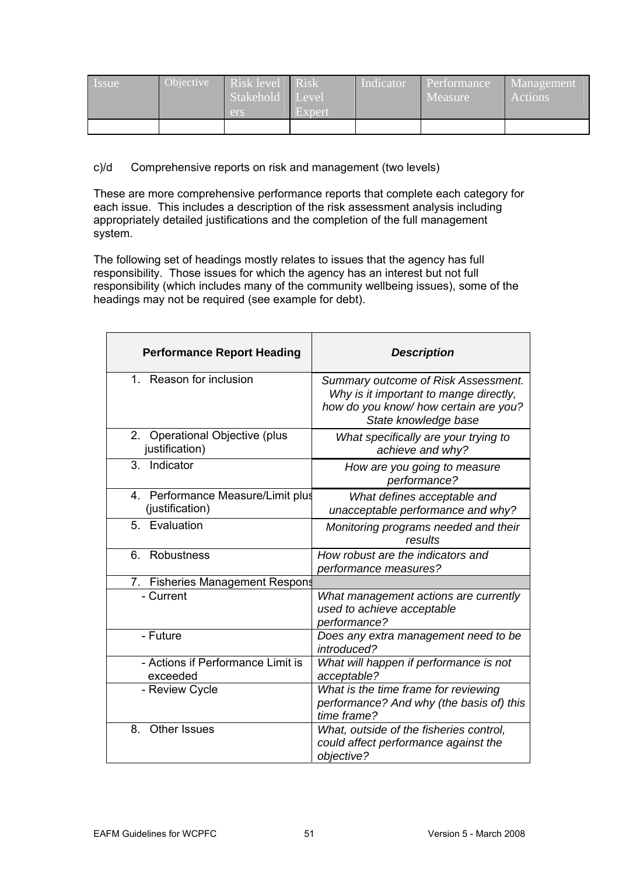| l Issue | <b>Objective</b> | Risk level<br>Stakehold Level<br><b>ers</b> | <b>N</b> Risk<br>Expert | Indicator | <i><u><b>Performance</b></u></i><br>Measure | Management<br>Actions |
|---------|------------------|---------------------------------------------|-------------------------|-----------|---------------------------------------------|-----------------------|
|         |                  |                                             |                         |           |                                             |                       |

c)/d Comprehensive reports on risk and management (two levels)

These are more comprehensive performance reports that complete each category for e ach issue. This includes a description of the risk assessment analysis including appropriately detailed justifications and the completion of the full management system.

The following set of headings mostly relates to issues that the agency has full responsibility. Those issues for which the agency has an interest but not full responsibility (which includes many of the community wellbeing issues), some of the headings may not be required (see example for debt).

| <b>Performance Report Heading</b>                    | <b>Description</b>                                                                                                                             |
|------------------------------------------------------|------------------------------------------------------------------------------------------------------------------------------------------------|
| 1. Reason for inclusion                              | Summary outcome of Risk Assessment.<br>Why is it important to mange directly,<br>how do you know/ how certain are you?<br>State knowledge base |
| 2. Operational Objective (plus<br>justification)     | What specifically are your trying to<br>achieve and why?                                                                                       |
| Indicator<br>3.                                      | How are you going to measure<br>performance?                                                                                                   |
| 4. Performance Measure/Limit plus<br>(justification) | What defines acceptable and<br>unacceptable performance and why?                                                                               |
| 5. Evaluation                                        | Monitoring programs needed and their<br>results                                                                                                |
| Robustness<br>6                                      | How robust are the indicators and<br>performance measures?                                                                                     |
| 7. Fisheries Management Respons                      |                                                                                                                                                |
| - Current                                            | What management actions are currently<br>used to achieve acceptable<br>performance?                                                            |
| - Future                                             | Does any extra management need to be<br>introduced?                                                                                            |
| - Actions if Performance Limit is<br>exceeded        | What will happen if performance is not<br>acceptable?                                                                                          |
| - Review Cycle                                       | What is the time frame for reviewing<br>performance? And why (the basis of) this<br>time frame?                                                |
| Other Issues<br>8.                                   | What, outside of the fisheries control,<br>could affect performance against the<br>objective?                                                  |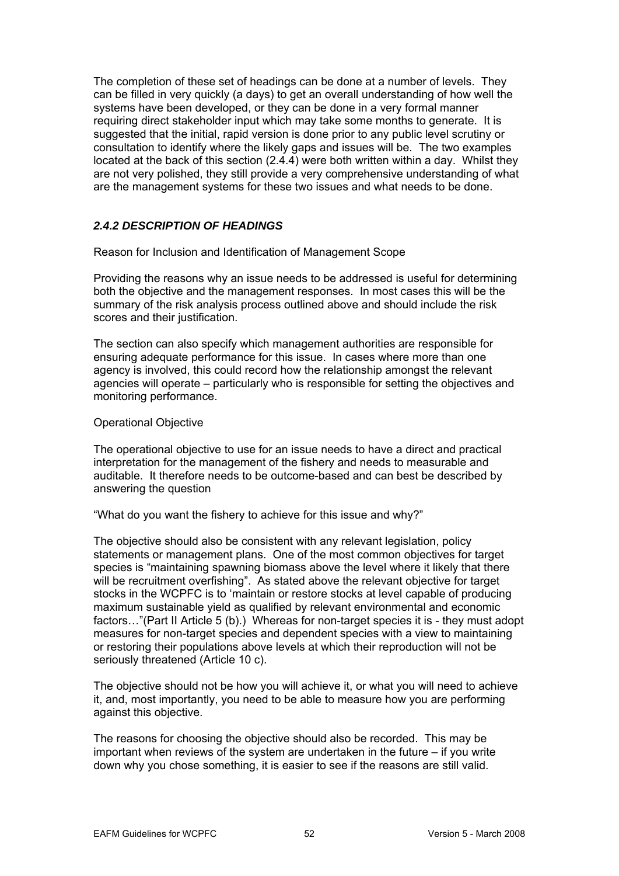The completion of these set of headings can be done at a number of levels. They can be filled in very quickly (a days) to get an overall understanding of how well the systems have been developed, or they can be done in a very formal manner located at the back of this section (2.4.4) were both written within a day. Whilst they are not very polished, they still provide a very comprehensive understanding of what are the management systems for these two issues and what needs to be done. requiring direct stakeholder input which may take some months to generate. It is suggested that the initial, rapid version is done prior to any public level scrutiny or consultation to identify where the likely gaps and issues will be. The two examples

## *2.4.2 DESCRIPTION OF HEADINGS*

Reason for Inclusion and Identification of Management Scope

Providing the reasons why an issue needs to be addressed is useful for determining both the objective and the management responses. In most cases this will be the summary of the risk analysis process outlined above and should include the risk scores and their justification.

ensuring adequate performance for this issue. In cases where more than one agency is involved, this could record how the relationship amongst the relevant The section can also specify which management authorities are responsible for agencies will operate – particularly who is responsible for setting the objectives and monitoring performance.

#### Operational Objective

The op erational objective to use for an issue needs to have a direct and practical auditable. It therefore needs to be outcome-based and can best be described by interpretation for the management of the fishery and needs to measurable and answering the question

"What do you want the fishery to achieve for this issue and why?"

statements or management plans. One of the most common objectives for target species is "maintaining spawning biomass above the level where it likely that there will be recruitment overfishing". As stated above the relevant objective for target The objective should also be consistent with any relevant legislation, policy stocks in the WCPFC is to 'maintain or restore stocks at level capable of producing maximum sustainable yield as qualified by relevant environmental and economic factors…"(Part II Article 5 (b).) Whereas for non-target species it is - they must adopt measures for non-target species and dependent species with a view to maintaining or restoring their populations above levels at which their reproduction will not be seriously threatened (Article 10 c).

The objective should not be how you will achieve it, or what you will need to achieve it, and, most importantly, you need to be able to measure how you are performing against this objective.

The reasons for choosing the objective should also be recorded. This may be important when reviews of the system are undertaken in the future – if you write down why you chose something, it is easier to see if the reasons are still valid.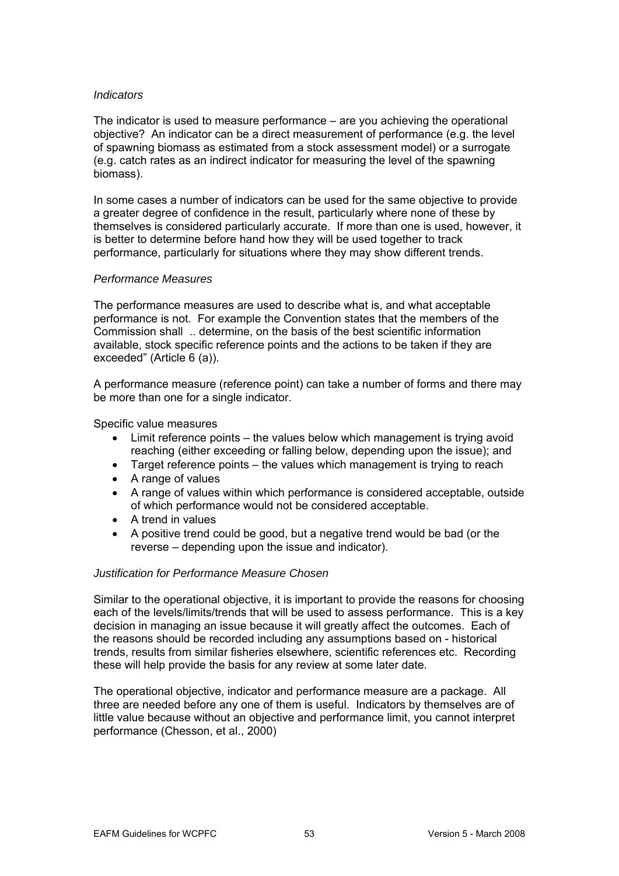#### *Indicators*

The indicator is used to measure performance – are you achieving the operational objective? An indicator can be a direct measurement of performance (e.g. the level of spawning biomass as estimated from a stock assessment model) or a surrogate (e.g. catch rates as an indirect indicator for measuring the level of the spawning biomass).

In some cases a number of indicators can be used for the same objective to provide themselves is considered particularly accurate. If more than one is used, however, it a greater degree of confidence in the result, particularly where none of these by is better to determine before hand how they will be used together to track performance, particularly for situations where they may show different trends.

#### *Measures Performance*

The performance measures are used to describe what is, and what acceptable performance is not. For example the Convention states that the members of the Commission shall .. determine, on the basis of the best scientific information available, stock specific reference points and the actions to be taken if they are exceeded" (Article 6 (a)).

A performance measure (reference point) can take a number of forms and there may be more than one for a single indicator.

Specific value measures

- $\bullet$  Limit reference points the values below which management is trying avoid reaching (either exceeding or falling below, depending upon the issue); and
- Target reference points the values which management is trying to reach
- A range of values
- A range of values within which performance is considered acceptable, outside of which performance would not be considered acceptable.
- A trend in values
- A positive trend could be good, but a negative trend would be bad (or the reverse – depending upon the issue and indicator).

#### *Justification for Performance Measure Chosen*

Similar to the operational objective, it is important to provide the reasons for choosing each of the levels/limits/trends that will be used to assess performance. This is a key decision in managing an issue because it will greatly affect the outcomes. Each of the reasons should be recorded including any assumptions based on - historical trends, results from similar fisheries elsewhere, scientific references etc. Recording these will help provide the basis for any review at some later date.

The operational objective, indicator and performance measure are a package. All three are needed before any one of them is useful. Indicators by themselves are of little value because without an objective and performance limit, you cannot interpret performance (Chesson, et al., 2000)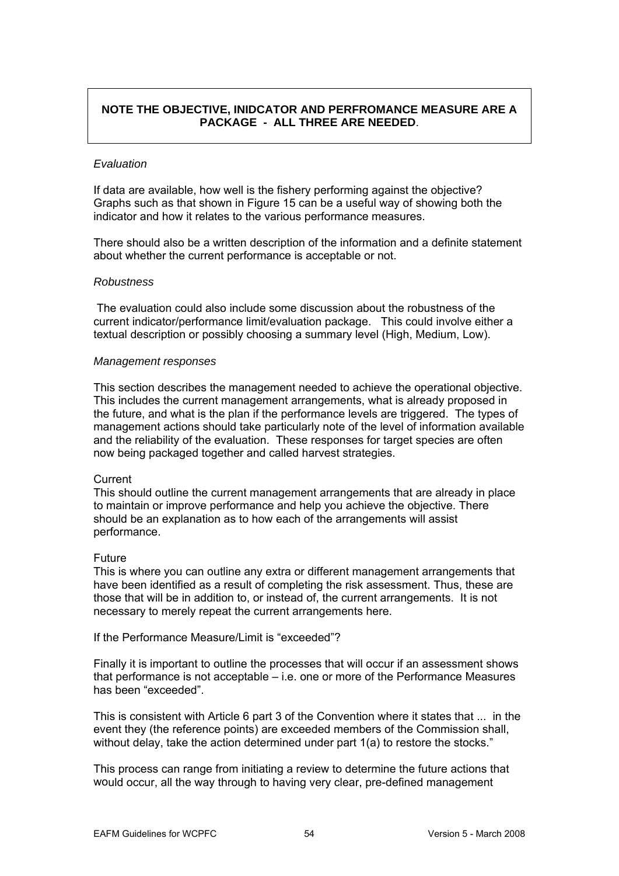## **NOTE THE OBJECTIVE, INIDCATOR AND PERFROMANCE MEASURE ARE A PACKAGE - ALL THREE ARE NEEDED**.

#### *Evaluation*

If data are available, how well is the fishery performing against the objective? Graphs such as that shown in Figure 15 can be a useful way of showing both the indicator and how it relates to the various performance measures.

There should also be a written description of the information and a definite statement about whether the current performance is acceptable or not.

#### *Robustness*

 The evaluation could also include some discussion about the robustness of the current indicator/performance limit/evaluation package. This could involve either a textual description or possibly choosing a summary level (High, Medium, Low).

#### *Management responses*

This section describes the management needed to achieve the operational objective. This includes the current management arrangements, what is already proposed in the future, and what is the plan if the performance levels are triggered. The types of management actions should take particularly note of the level of information available and the reliability of the evaluation. These responses for target species are often now being packaged together and called harvest strategies.

#### **Current**

This should outline the current management arrangements that are already in place to maintain or improve performance and help you achieve the objective. There should be an explanation as to how each of the arrangements will assist performance.

#### Future

This is where you can outline any extra or different management arrangements that have been identified as a result of completing the risk assessment. Thus, these are those that will be in addition to, or instead of, the current arrangements. It is not necessary to merely repeat the current arrangements here.

If the Performance Measure/Limit is "exceeded"?

Finally it is important to outline the processes that will occur if an assessment shows that performance is not acceptable  $-$  i.e. one or more of the Performance Measures has been "exceeded".

This is consistent with Article 6 part 3 of the Convention where it states that ... in the event they (the reference points) are exceeded members of the Commission shall, without delay, take the action determined under part 1(a) to restore the stocks."

This process can range from initiating a review to determine the future actions that would occur, all the way through to having very clear, pre-defined management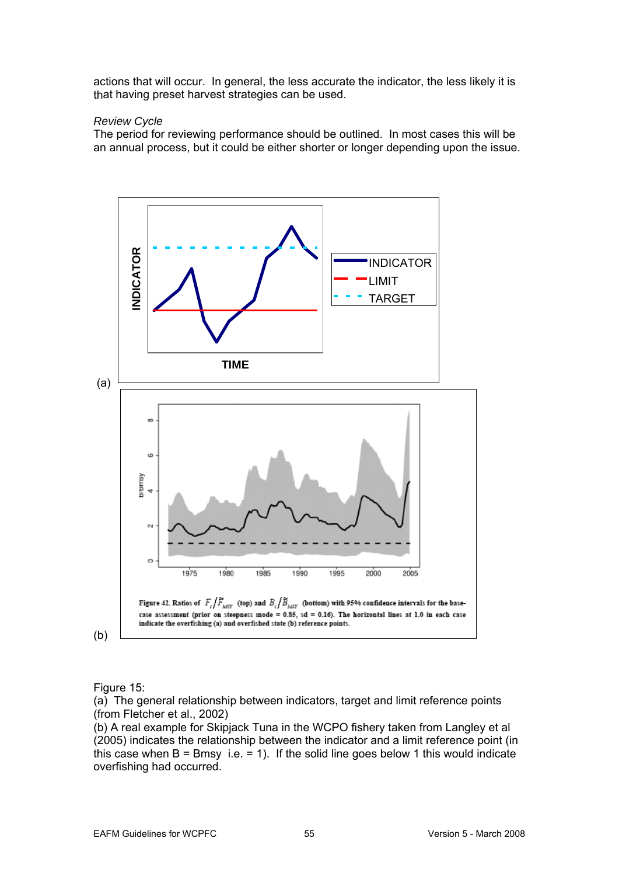actions that will occur. In general, the less accurate the indicator, the less likely it is that having preset harvest strategies can be used.

#### *Review Cycle*

The period for reviewing performance should be outlined. In most cases this will be an annual process, but it could be either shorter or longer depending upon the issue.



Figure 15:

(a) The general relationship between indicator s, target and limit reference points (from Fletcher et al., 2002)

(b) A real example for Skipjack Tuna in the WCPO fishery taken from Langley et al (2005) indicates the relationship between the indicator and a limit reference point (in this case when  $B = B$ msy i.e. = 1). If the solid line goes below 1 this would indicate overfishing had occurred.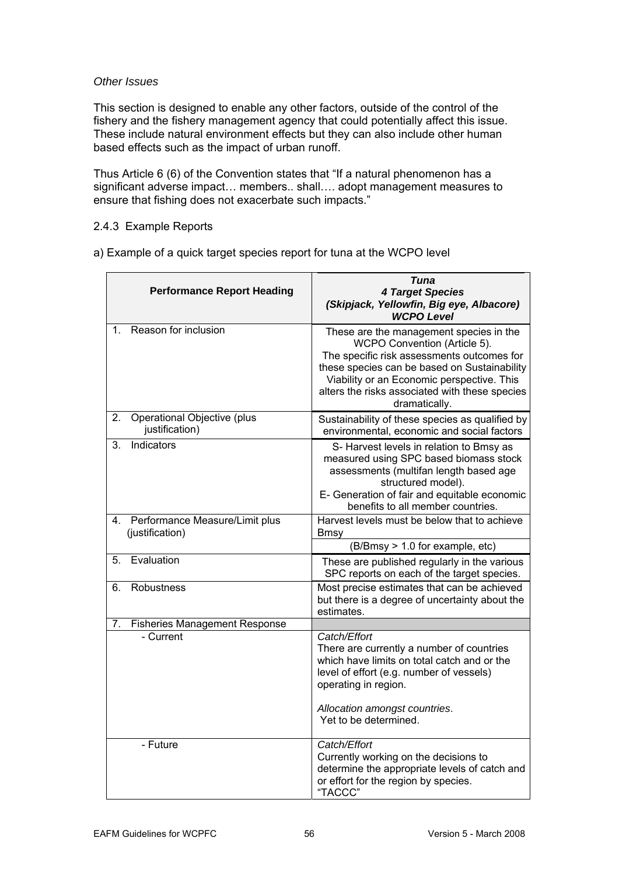#### *Other Issues*

This section is designed to enable any other factors, outside of the control of the fishery and the fishery management agency that could potentially affect this issue. These include natural environment effects but they can also include other human based effects such as the impact of urban runoff.

Thus Article 6 (6) of the Convention states that "If a natural phenomenon has a significant adverse impact... members.. shall.... adopt management measures to ensure that fishing does not exacerbate suc h impacts."

## 2.4.3 Example Reports

a) Example of a quick target species report for tuna at the WCPO level

|         | <b>Performance Report Heading</b>                 | Tuna<br><b>4 Target Species</b><br>(Skipjack, Yellowfin, Big eye, Albacore)<br><b>WCPO Level</b>                                                                                                                                                                                       |
|---------|---------------------------------------------------|----------------------------------------------------------------------------------------------------------------------------------------------------------------------------------------------------------------------------------------------------------------------------------------|
| $1_{-}$ | Reason for inclusion                              | These are the management species in the<br>WCPO Convention (Article 5).<br>The specific risk assessments outcomes for<br>these species can be based on Sustainability<br>Viability or an Economic perspective. This<br>alters the risks associated with these species<br>dramatically. |
| 2.      | Operational Objective (plus<br>justification)     | Sustainability of these species as qualified by<br>environmental, economic and social factors                                                                                                                                                                                          |
| 3.      | Indicators                                        | S-Harvest levels in relation to Bmsy as<br>measured using SPC based biomass stock<br>assessments (multifan length based age<br>structured model).<br>E- Generation of fair and equitable economic<br>benefits to all member countries.                                                 |
| 4.      | Performance Measure/Limit plus<br>(justification) | Harvest levels must be below that to achieve<br><b>Bmsy</b>                                                                                                                                                                                                                            |
|         |                                                   | (B/Bmsy > 1.0 for example, etc)                                                                                                                                                                                                                                                        |
| 5.      | Evaluation                                        | These are published regularly in the various<br>SPC reports on each of the target species.                                                                                                                                                                                             |
| 6.      | <b>Robustness</b>                                 | Most precise estimates that can be achieved<br>but there is a degree of uncertainty about the<br>estimates.                                                                                                                                                                            |
| 7.      | <b>Fisheries Management Response</b>              |                                                                                                                                                                                                                                                                                        |
|         | - Current                                         | Catch/Effort<br>There are currently a number of countries<br>which have limits on total catch and or the<br>level of effort (e.g. number of vessels)<br>operating in region.<br>Allocation amongst countries.                                                                          |
|         |                                                   | Yet to be determined.                                                                                                                                                                                                                                                                  |
|         | - Future                                          | Catch/Effort<br>Currently working on the decisions to<br>determine the appropriate levels of catch and<br>or effort for the region by species.<br>"TACCC"                                                                                                                              |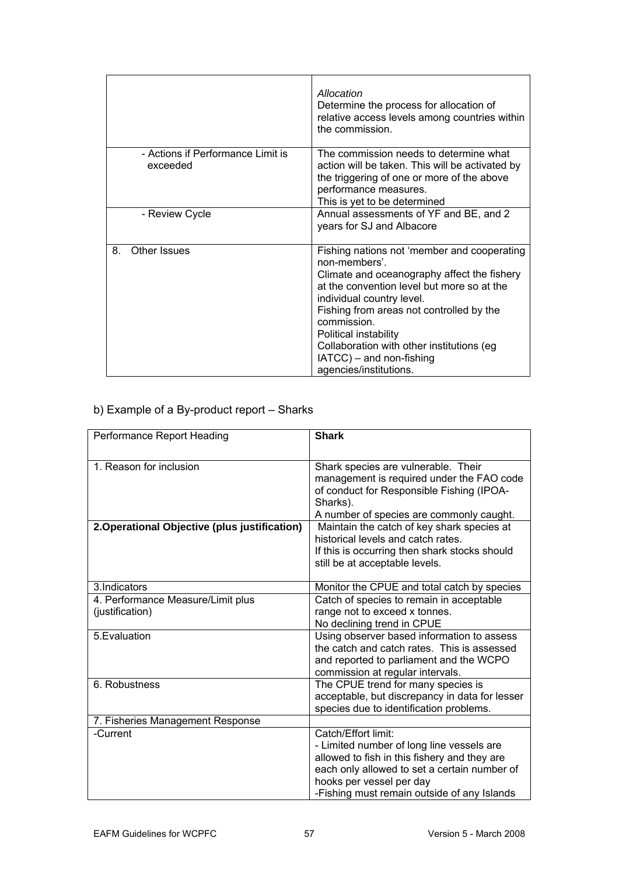|    |                                               | Allocation<br>Determine the process for allocation of<br>relative access levels among countries within<br>the commission.                                                                                                                                                                                                                                                    |
|----|-----------------------------------------------|------------------------------------------------------------------------------------------------------------------------------------------------------------------------------------------------------------------------------------------------------------------------------------------------------------------------------------------------------------------------------|
|    | - Actions if Performance Limit is<br>exceeded | The commission needs to determine what<br>action will be taken. This will be activated by<br>the triggering of one or more of the above<br>performance measures.<br>This is yet to be determined                                                                                                                                                                             |
|    | - Review Cycle                                | Annual assessments of YF and BE, and 2<br>years for SJ and Albacore                                                                                                                                                                                                                                                                                                          |
| 8. | Other Issues                                  | Fishing nations not 'member and cooperating<br>non-members'<br>Climate and oceanography affect the fishery<br>at the convention level but more so at the<br>individual country level.<br>Fishing from areas not controlled by the<br>commission.<br>Political instability<br>Collaboration with other institutions (eg<br>IATCC) - and non-fishing<br>agencies/institutions. |

## b) Example of a By-product report – Sharks

| Performance Report Heading                           | <b>Shark</b>                                                                                                                                                                                                                                |
|------------------------------------------------------|---------------------------------------------------------------------------------------------------------------------------------------------------------------------------------------------------------------------------------------------|
| 1. Reason for inclusion                              | Shark species are vulnerable. Their<br>management is required under the FAO code<br>of conduct for Responsible Fishing (IPOA-<br>Sharks).<br>A number of species are commonly caught.                                                       |
| 2. Operational Objective (plus justification)        | Maintain the catch of key shark species at<br>historical levels and catch rates.<br>If this is occurring then shark stocks should<br>still be at acceptable levels.                                                                         |
| 3. Indicators                                        | Monitor the CPUE and total catch by species                                                                                                                                                                                                 |
| 4. Performance Measure/Limit plus<br>(justification) | Catch of species to remain in acceptable<br>range not to exceed x tonnes.<br>No declining trend in CPUE                                                                                                                                     |
| 5. Evaluation                                        | Using observer based information to assess<br>the catch and catch rates. This is assessed<br>and reported to parliament and the WCPO<br>commission at regular intervals.                                                                    |
| 6. Robustness                                        | The CPUE trend for many species is<br>acceptable, but discrepancy in data for lesser<br>species due to identification problems.                                                                                                             |
| 7. Fisheries Management Response                     |                                                                                                                                                                                                                                             |
| -Current                                             | Catch/Effort limit:<br>- Limited number of long line vessels are<br>allowed to fish in this fishery and they are<br>each only allowed to set a certain number of<br>hooks per vessel per day<br>-Fishing must remain outside of any Islands |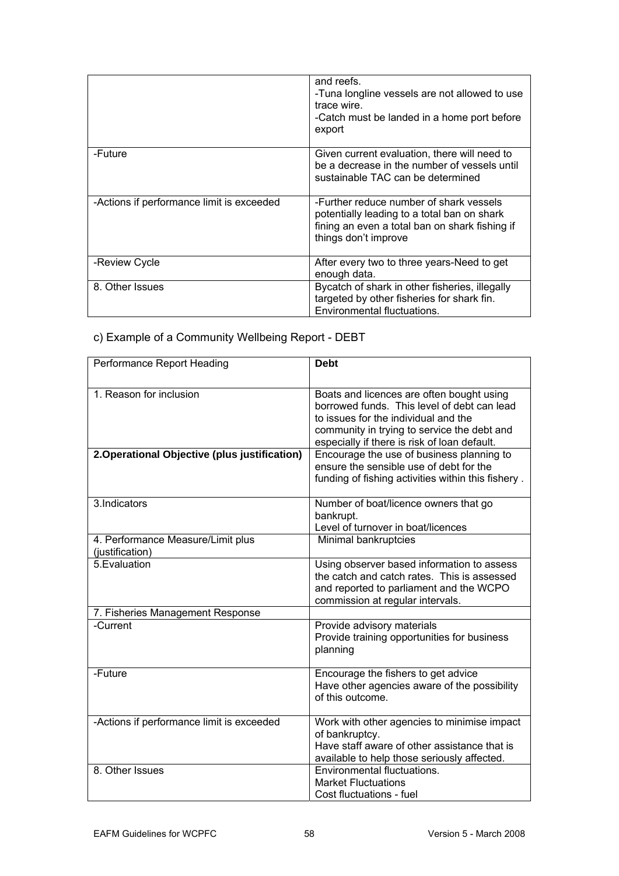|                                           | and reefs.<br>-Tuna longline vessels are not allowed to use<br>trace wire.<br>-Catch must be landed in a home port before<br>export                              |
|-------------------------------------------|------------------------------------------------------------------------------------------------------------------------------------------------------------------|
| -Future                                   | Given current evaluation, there will need to<br>be a decrease in the number of vessels until<br>sustainable TAC can be determined                                |
| -Actions if performance limit is exceeded | -Further reduce number of shark vessels<br>potentially leading to a total ban on shark<br>fining an even a total ban on shark fishing if<br>things don't improve |
| -Review Cycle                             | After every two to three years-Need to get<br>enough data.                                                                                                       |
| 8. Other Issues                           | Bycatch of shark in other fisheries, illegally<br>targeted by other fisheries for shark fin.<br>Environmental fluctuations.                                      |

c) Example of a Community Wellbeing Report - DEBT

| Performance Report Heading                           | <b>Debt</b>                                                                                                                                                                                                                     |
|------------------------------------------------------|---------------------------------------------------------------------------------------------------------------------------------------------------------------------------------------------------------------------------------|
| 1. Reason for inclusion                              | Boats and licences are often bought using<br>borrowed funds. This level of debt can lead<br>to issues for the individual and the<br>community in trying to service the debt and<br>especially if there is risk of loan default. |
| 2. Operational Objective (plus justification)        | Encourage the use of business planning to<br>ensure the sensible use of debt for the<br>funding of fishing activities within this fishery.                                                                                      |
| 3.Indicators                                         | Number of boat/licence owners that go<br>bankrupt.<br>Level of turnover in boat/licences                                                                                                                                        |
| 4. Performance Measure/Limit plus<br>(justification) | Minimal bankruptcies                                                                                                                                                                                                            |
| 5. Evaluation                                        | Using observer based information to assess<br>the catch and catch rates. This is assessed<br>and reported to parliament and the WCPO<br>commission at regular intervals.                                                        |
| 7. Fisheries Management Response                     |                                                                                                                                                                                                                                 |
| -Current                                             | Provide advisory materials<br>Provide training opportunities for business<br>planning                                                                                                                                           |
| -Future                                              | Encourage the fishers to get advice<br>Have other agencies aware of the possibility<br>of this outcome.                                                                                                                         |
| -Actions if performance limit is exceeded            | Work with other agencies to minimise impact<br>of bankruptcy.<br>Have staff aware of other assistance that is<br>available to help those seriously affected.                                                                    |
| 8. Other Issues                                      | Environmental fluctuations.<br><b>Market Fluctuations</b><br>Cost fluctuations - fuel                                                                                                                                           |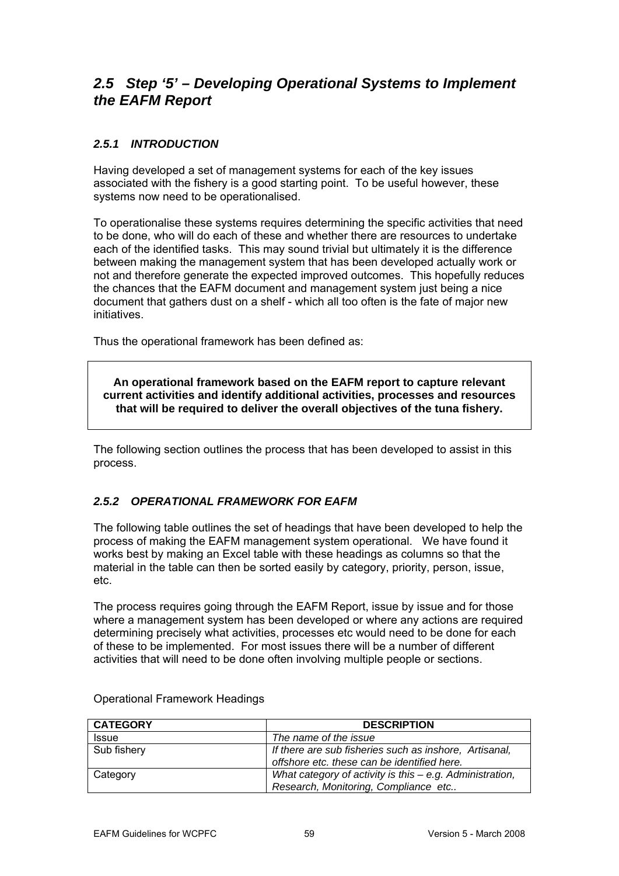## 2.5 Step '5' – Developing Operational Systems to Implement **the EAFM Report**

## 2.5.1 INTRODUCTION

Having developed a set of management systems for each of the key issues associated with the fishery is a good starting point. To be useful however, these systems now need to be operationalised.

To operationalise these systems requires determining the specific activities that need to be done, who will do each of these and whether there are resources to undertake between making the management system that has been developed actually work or not and therefore generate the expected improved outcomes. This hopefully reduces the chances that the EAFM document and management system just being a nice each of the identified tasks. This may sound trivial but ultimately it is the difference document that gathers dust on a shelf - which all too often is the fate of major new initiatives.

Thus the operational framework has been defined as:

**An operational framework based on the EAFM report to capture relevant current activities and identify additional activities, processes and resources that will be required to deliver the overall objectives of the tuna fishery.** 

The following section outlines the process that has been developed to assist in this proce ss.

## **2.5.2 OPERATIONAL FRAMEWORK FOR EAFM**

The following table outlines the set of headings that have been developed to help the process of making the EAFM management system operational. We have found it works best by making an Excel table with these headings as columns so that the material in the table can then be sorted easily by category, priority, person, issue, et c.

The process requires going through the EAFM Report, issue by issue and for those where a management system has been developed or where any actions are required determining precisely what activities, processes etc would need to be done for each of these to be implemented. For most issues there will be a number of different activities that will need to be done often involving multiple people or sections.

| <b>CATEGORY</b> | <b>DESCRIPTION</b>                                                                                    |  |
|-----------------|-------------------------------------------------------------------------------------------------------|--|
| <b>Issue</b>    | The name of the issue                                                                                 |  |
| Sub fishery     | If there are sub fisheries such as inshore, Artisanal,<br>offshore etc. these can be identified here. |  |
| Category        | What category of activity is this $-e.g.$ Administration,<br>Research, Monitoring, Compliance etc     |  |

Operational Framework Headings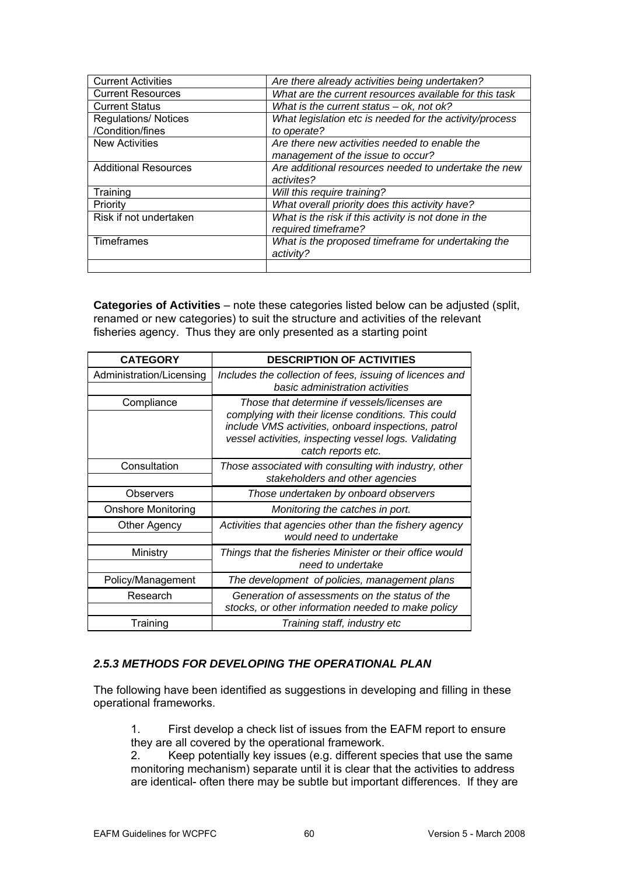| <b>Current Activities</b>   | Are there already activities being undertaken?          |  |
|-----------------------------|---------------------------------------------------------|--|
| <b>Current Resources</b>    | What are the current resources available for this task  |  |
| <b>Current Status</b>       | What is the current status $-$ ok, not ok?              |  |
| <b>Regulations/ Notices</b> | What legislation etc is needed for the activity/process |  |
| /Condition/fines            | to operate?                                             |  |
| <b>New Activities</b>       | Are there new activities needed to enable the           |  |
|                             | management of the issue to occur?                       |  |
| <b>Additional Resources</b> | Are additional resources needed to undertake the new    |  |
|                             | activites?                                              |  |
| Training                    | Will this require training?                             |  |
| Priority                    | What overall priority does this activity have?          |  |
| Risk if not undertaken      | What is the risk if this activity is not done in the    |  |
|                             | required timeframe?                                     |  |
| Timeframes                  | What is the proposed timeframe for undertaking the      |  |
|                             | activity?                                               |  |
|                             |                                                         |  |

**Categories of Activities** – note these categories listed below can be adjusted (split, rename d or new categories) to suit the structure and activities of the relevant fisherie s agency. Thus they are only presented as a starting point

| <b>CATEGORY</b>           | <b>DESCRIPTION OF ACTIVITIES</b>                                                                                                                                                                                                          |
|---------------------------|-------------------------------------------------------------------------------------------------------------------------------------------------------------------------------------------------------------------------------------------|
| Administration/Licensing  | Includes the collection of fees, issuing of licences and<br>basic administration activities                                                                                                                                               |
| Compliance                | Those that determine if vessels/licenses are<br>complying with their license conditions. This could<br>include VMS activities, onboard inspections, patrol<br>vessel activities, inspecting vessel logs. Validating<br>catch reports etc. |
| Consultation              | Those associated with consulting with industry, other<br>stakeholders and other agencies                                                                                                                                                  |
| Observers                 | Those undertaken by onboard observers                                                                                                                                                                                                     |
| <b>Onshore Monitoring</b> | Monitoring the catches in port.                                                                                                                                                                                                           |
| Other Agency              | Activities that agencies other than the fishery agency<br>would need to undertake                                                                                                                                                         |
| Ministry                  | Things that the fisheries Minister or their office would<br>need to undertake                                                                                                                                                             |
| Policy/Management         | The development of policies, management plans                                                                                                                                                                                             |
| Research                  | Generation of assessments on the status of the<br>stocks, or other information needed to make policy                                                                                                                                      |
| Training                  | Training staff, industry etc                                                                                                                                                                                                              |

## *2.5.3 METHODS FOR DEVELOPING THE OPERATIONAL PLAN*

The following have been identified as suggestions in developing and filling in these operational frameworks.

1. First develop a check list of issues from the EAFM report to ensure they are all covered by the operational framework.

2. Keep potentially key issues (e.g. different species that use the same monitoring mechanism) separate until it is clear that the activities to address are identical- often there may be subtle but important differences. If they are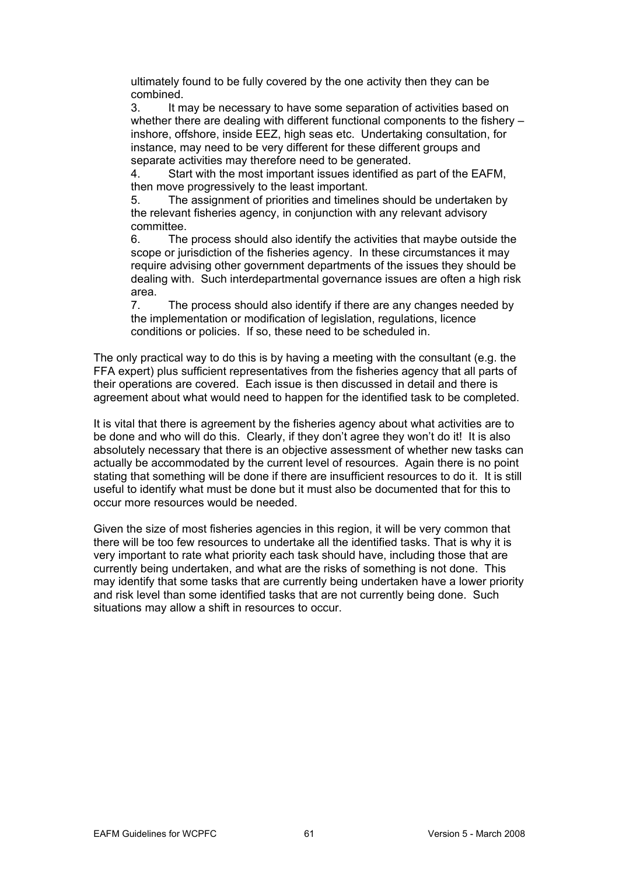ultimately found to be fully covered by the one activity then they can be combined.

3. It may be necessary to have some separation of activities based on whether there are dealing with different functional components to the fishery  $$ inshore, offshore, inside EEZ, high seas etc. Undertaking consultation, for instance, may need to be very different for these different groups and separate activities may therefore need to be generated.

4. Start with the most important issues identified as part of the EAFM, then move progressively to the least important.

The assignment of priorities and timelines should be undertaken by the relevant fisheries agency, in conjunction with any relevant advisory 5. committee.

6. The process should also identify the activities that maybe outside the scope or jurisdiction of the fisheries agency. In these circumstances it may require advising other government departments of the issues they should be dealing with. Such interdepartmental governance issues are often a high risk area.

7. The process should also identify if there are any changes needed by the implementation or modification of legislation, regulations, licence conditions or policies. If so, these need to be scheduled in.

The only practical way to do this is by having a meeting with the consultant (e.g. the agreement about what would need to happen for the identified task to be completed. FFA expert) plus sufficient representatives from the fisheries agency that all parts of their operations are covered. Each issue is then discussed in detail and there is

It is vital that there is agreement by the fisheries agency about what activities are to be done and who will do this. Clearly, if they don't agree they won't do it! It is also absolutely necessary that there is an objective assessment of whether new tasks can actually be accommodated by the current level of resources. Again there is no point stating that something will be done if there are insufficient resources to do it. It is still useful to identify what must be done but it must also be documented that for this to occur more resources would be needed.

and risk level than some identified tasks that are not currently being done. Such situations may allow a shift in resources to occur. Given the size of most fisheries agencies in this region, it will be very common that there will be too few resources to undertake all the identified tasks. That is why it is very important to rate what priority each task should have, including those that are currently being undertaken, and what are the risks of something is not done. This may identify that some tasks that are currently being undertaken have a lower priority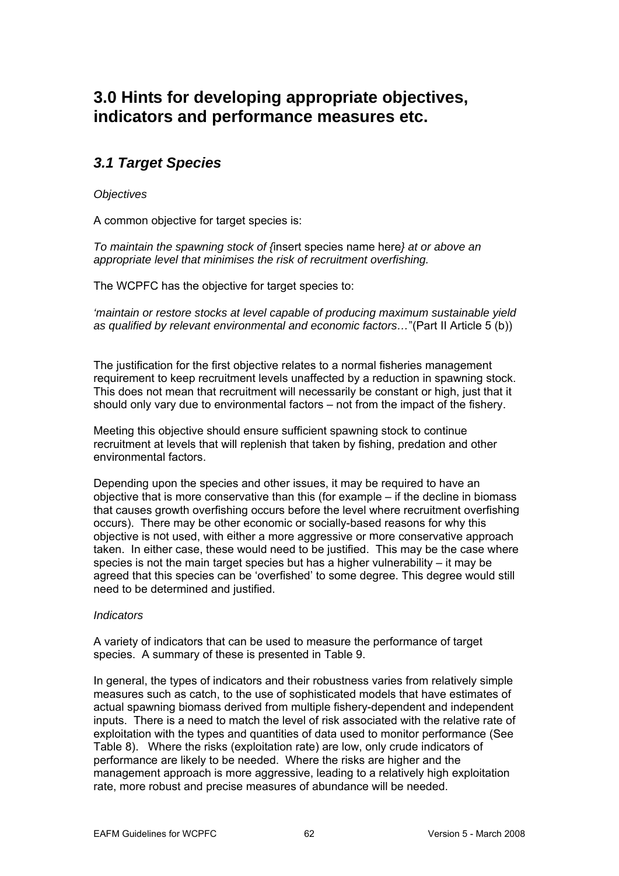# **3.0 Hints for developing appropriate objectives, indicators and performance measures etc.**

## *3.1 Target Species*

*Objectives* 

A commo n objective for target species is:

*To maintain the spawning stock of {*insert species name here*} at or above an appropriate level that minimises the risk of recruitment overfishing.* 

The WCPFC has the objective for t arget species to:

*'maintain or restore stocks at level capable of producing maximum sustainable yield as qualified by relevant environmental and economic factors…*"(Part II Article 5 (b))

requirement to keep recruitment levels unaffected by a reduction in spawning stock. The justification for the first objective relates to a normal fisheries management This does not mean that recruitment will necessarily be constant or high, just that it should only vary due to environmental factors – not from the impact of the fishery.

Meeting this objective should ensure sufficient spawning stock to continue recruitment at levels that will replenish that taken by fishing, predation and other environmental factors.

that causes growth overfishing occurs before the level where recruitment overfishing occurs). There may be other economic or socially-based reasons for why this objective is not used, with either a more aggressive or more conservative approach taken. In either case, these would need to be justified. This may be the case where species is not the main target species but has a higher vulnerability  $-$  it may be agreed that this species can be 'overfished' to some degree. This degree would still need to be determined and justified. Depending upon the species and other issues, it may be required to have an objective that is more conservative than this (for example – if the decline in biomass

## *Indicators*

A variety of indicators that can be used to measure the performance of target species. A summary of these is presented in Table 9.

In general, the types of indicators and their robustness varies from relatively simple measures such as catch, to the use of sophisticated models that have estimates of actual spawning biomass derived from multiple fishery-dependent and independent inputs. There is a need to match the level of risk associated with the relative rate of exploitation with the types and quantities of data used to monitor performance (See Table 8). Where the risks (exploitation rate) are low, only crude indicators of performance are likely to be needed. Where the risks are higher and the management approach is more aggressive, leading to a relatively high exploitation rate, more robust and precise measures of abundance will be needed.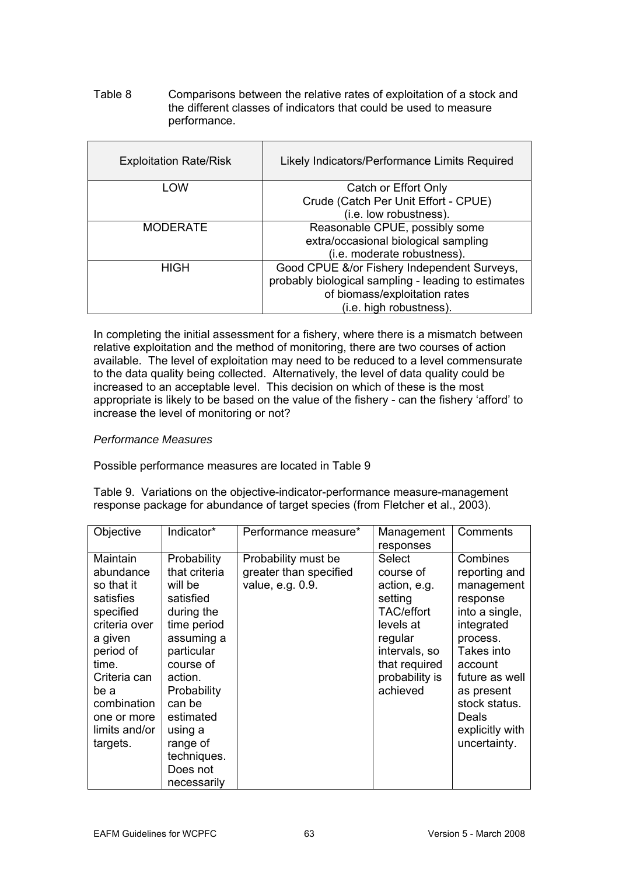Table 8 Comparisons between the relative rates of exploitation of a stock and the different classes of indicators that could be used to measure . performance

| <b>Exploitation Rate/Risk</b> | Likely Indicators/Performance Limits Required       |
|-------------------------------|-----------------------------------------------------|
| LOW                           | Catch or Effort Only                                |
|                               | Crude (Catch Per Unit Effort - CPUE)                |
|                               | (i.e. low robustness).                              |
| <b>MODERATE</b>               | Reasonable CPUE, possibly some                      |
|                               | extra/occasional biological sampling                |
|                               | (i.e. moderate robustness).                         |
| <b>HIGH</b>                   | Good CPUE &/or Fishery Independent Surveys,         |
|                               | probably biological sampling - leading to estimates |
|                               | of biomass/exploitation rates                       |
|                               | (i.e. high robustness).                             |

In completing the initial assessment for a fishery, where there is a mismatch between relative exploitation and the method of monitoring, there are two courses of action available. The level of exploitation may need to be reduced to a level commensurate to the data quality being collected. Alternatively, the level of data quality could be increased to an acceptable level. This decision on which of these is the most appropriate is likely to be based on the value of the fishery - can the fishery 'afford' to increase the level of monitoring or not?

### *Performance M easures*

Possible performance measures are located in Table 9

Table 9. Variations on the objective-indicator-performance measure-management response package for abundance of target species (from Fletcher et al., 2003).

| Objective                                                                                                                                                                                          | Indicator*                                                                                                                                                                                                                                   | Performance measure*                                              | Management<br>responses                                                                                                                              | Comments                                                                                                                                                                                                              |
|----------------------------------------------------------------------------------------------------------------------------------------------------------------------------------------------------|----------------------------------------------------------------------------------------------------------------------------------------------------------------------------------------------------------------------------------------------|-------------------------------------------------------------------|------------------------------------------------------------------------------------------------------------------------------------------------------|-----------------------------------------------------------------------------------------------------------------------------------------------------------------------------------------------------------------------|
| Maintain<br>abundance<br>so that it<br>satisfies<br>specified<br>criteria over<br>a given<br>period of<br>time.<br>Criteria can<br>be a<br>combination<br>one or more<br>limits and/or<br>targets. | Probability<br>that criteria<br>will be<br>satisfied<br>during the<br>time period<br>assuming a<br>particular<br>course of<br>action.<br>Probability<br>can be<br>estimated<br>using a<br>range of<br>techniques.<br>Does not<br>necessarily | Probability must be<br>greater than specified<br>value, e.g. 0.9. | Select<br>course of<br>action, e.g.<br>setting<br>TAC/effort<br>levels at<br>regular<br>intervals, so<br>that required<br>probability is<br>achieved | Combines<br>reporting and<br>management<br>response<br>into a single,<br>integrated<br>process.<br>Takes into<br>account<br>future as well<br>as present<br>stock status.<br>Deals<br>explicitly with<br>uncertainty. |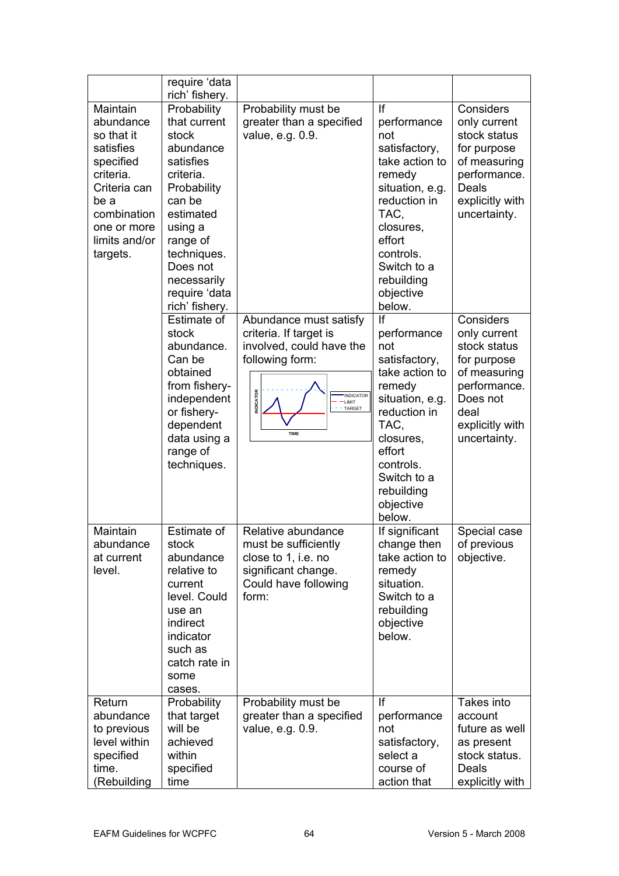|                                                                                                                                                               | require 'data<br>rich' fishery.                                                                                                                                                                                       |                                                                                                                                                                            |                                                                                                                                                                                                          |                                                                                                                                                 |
|---------------------------------------------------------------------------------------------------------------------------------------------------------------|-----------------------------------------------------------------------------------------------------------------------------------------------------------------------------------------------------------------------|----------------------------------------------------------------------------------------------------------------------------------------------------------------------------|----------------------------------------------------------------------------------------------------------------------------------------------------------------------------------------------------------|-------------------------------------------------------------------------------------------------------------------------------------------------|
| Maintain<br>abundance<br>so that it<br>satisfies<br>specified<br>criteria.<br>Criteria can<br>be a<br>combination<br>one or more<br>limits and/or<br>targets. | Probability<br>that current<br>stock<br>abundance<br>satisfies<br>criteria.<br>Probability<br>can be<br>estimated<br>using a<br>range of<br>techniques.<br>Does not<br>necessarily<br>require 'data<br>rich' fishery. | Probability must be<br>greater than a specified<br>value, e.g. 0.9.                                                                                                        | If<br>performance<br>not<br>satisfactory,<br>take action to<br>remedy<br>situation, e.g.<br>reduction in<br>TAC,<br>closures,<br>effort<br>controls.<br>Switch to a<br>rebuilding<br>objective<br>below. | Considers<br>only current<br>stock status<br>for purpose<br>of measuring<br>performance.<br><b>Deals</b><br>explicitly with<br>uncertainty.     |
|                                                                                                                                                               | Estimate of<br>stock<br>abundance.<br>Can be<br>obtained<br>from fishery-<br>independent<br>or fishery-<br>dependent<br>data using a<br>range of<br>techniques.                                                       | Abundance must satisfy<br>criteria. If target is<br>involved, could have the<br>following form:<br><b>INDICATOR</b><br><b>INDICATOR</b><br>-LIMIT<br>TARGET<br><b>TIME</b> | If<br>performance<br>not<br>satisfactory,<br>take action to<br>remedy<br>situation, e.g.<br>reduction in<br>TAC,<br>closures,<br>effort<br>controls.<br>Switch to a<br>rebuilding<br>objective<br>below. | Considers<br>only current<br>stock status<br>for purpose<br>of measuring<br>performance.<br>Does not<br>deal<br>explicitly with<br>uncertainty. |
| Maintain<br>abundance<br>at current<br>level.                                                                                                                 | Estimate of<br>stock<br>abundance<br>relative to<br>current<br>level. Could<br>use an<br>indirect<br>indicator<br>such as<br>catch rate in<br>some<br>cases.                                                          | Relative abundance<br>must be sufficiently<br>close to 1, i.e. no<br>significant change.<br>Could have following<br>form:                                                  | If significant<br>change then<br>take action to<br>remedy<br>situation.<br>Switch to a<br>rebuilding<br>objective<br>below.                                                                              | Special case<br>of previous<br>objective.                                                                                                       |
| Return<br>abundance<br>to previous<br>level within<br>specified<br>time.<br>(Rebuilding                                                                       | Probability<br>that target<br>will be<br>achieved<br>within<br>specified<br>time                                                                                                                                      | Probability must be<br>greater than a specified<br>value, e.g. 0.9.                                                                                                        | If<br>performance<br>not<br>satisfactory,<br>select a<br>course of<br>action that                                                                                                                        | Takes into<br>account<br>future as well<br>as present<br>stock status.<br>Deals<br>explicitly with                                              |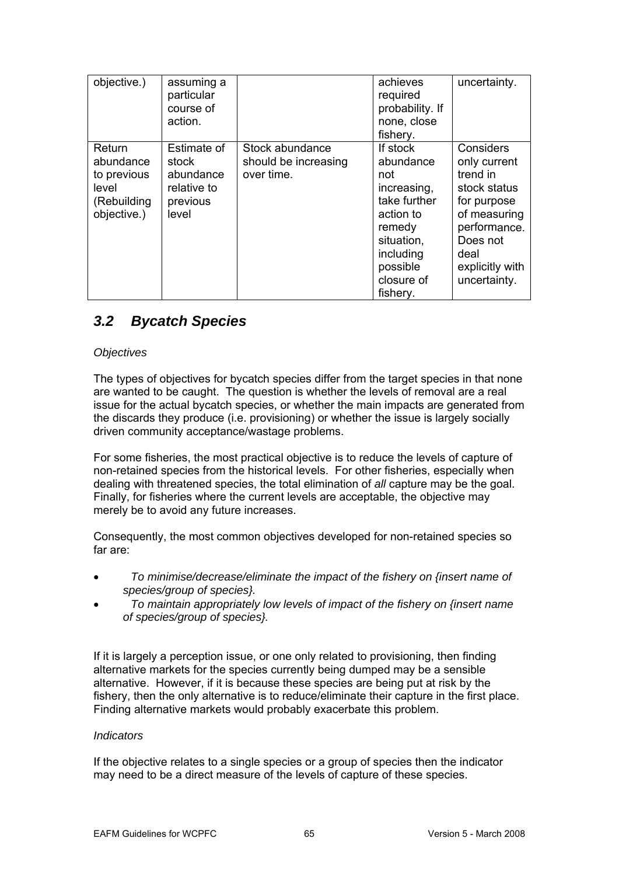| objective.)                                                               | assuming a<br>particular<br>course of<br>action.                      |                                                       | achieves<br>required<br>probability. If<br>none, close<br>fishery.                                                                                  | uncertainty.                                                                                                                                                |
|---------------------------------------------------------------------------|-----------------------------------------------------------------------|-------------------------------------------------------|-----------------------------------------------------------------------------------------------------------------------------------------------------|-------------------------------------------------------------------------------------------------------------------------------------------------------------|
| Return<br>abundance<br>to previous<br>level<br>(Rebuilding<br>objective.) | Estimate of<br>stock<br>abundance<br>relative to<br>previous<br>level | Stock abundance<br>should be increasing<br>over time. | If stock<br>abundance<br>not<br>increasing,<br>take further<br>action to<br>remedy<br>situation,<br>including<br>possible<br>closure of<br>fishery. | Considers<br>only current<br>trend in<br>stock status<br>for purpose<br>of measuring<br>performance.<br>Does not<br>deal<br>explicitly with<br>uncertainty. |

## *3.2 Bycatch Species*

## *Objectives*

The types of objectives for bycatch species differ from the target species in that none are wanted to be caught. The question is whether the levels of removal are a real issue for the actual bycatch species, or whether the main impacts are generated from the discards they produce (i.e. provisioning) or whether the issue is largely socially driven community acceptance/wastage problems.

For some fisheries, the most practical objective is to reduce the levels of capture of non-retained species from the historical levels. For other fisheries, especially when dealing with threatened species, the total elimination of all capture may be the goal. Finally, for fisheries where the current levels are acceptable, the objective may merely be to avoid any future increases.

Consequently, the most common objectives developed for non-retained species so far are:

- *To minimise/decrease/eliminate the impact of the fishery on {insert name of*  • *species/group of species}.*
- *To maintain appropriately low levels of impact of the fishery on {insert name*  • *of species/group of species}.*

If it is largely a perception issue, or one only related to provisioning, then finding alternative markets for the species currently being dumped may be a sensible alternative. However, if it is because these species are being put at risk by the fishery, then the only alternative is to reduce/eliminate their capture in the first place. Finding alternative markets would probably exacerbate this problem.

## *Indicators*

If the objective relates to a single species or a group of species then the indicator may need to be a direct measure of the levels of capture of these species.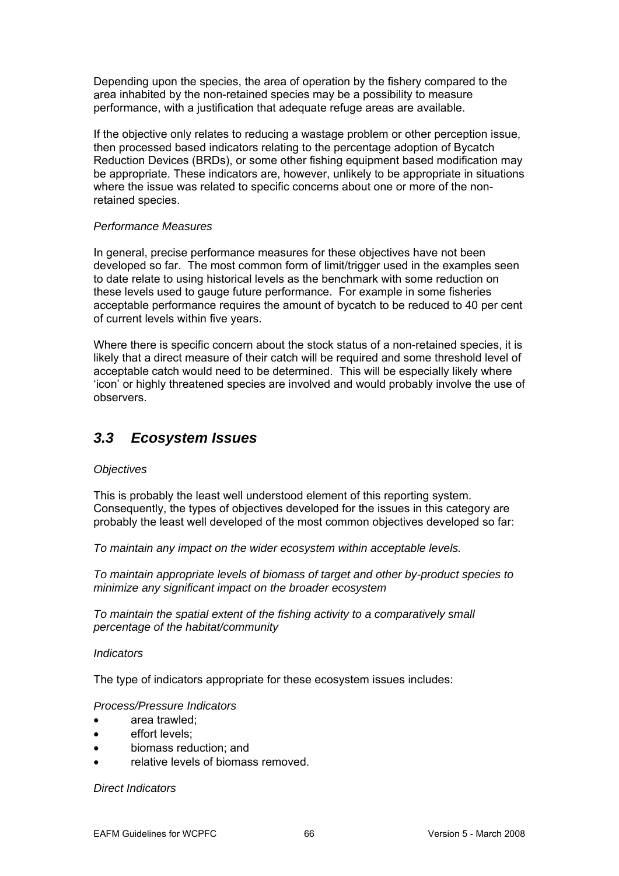Depending upon the species, the area of operation by the fishery compared to the area inhabited by the non-retained species may be a possibility to measure performance, with a justification that adequate refuge areas are available.

If the objective only relates to reducing a wastage problem or other perception issue, then processed based indicators relating to the percentage adoption of Bycatch be appropriate. These indicators are, however, unlikely to be appropriate in situations Reduction Devices (BRDs), or some other fishing equipment based modification may where the issue was related to specific concerns about one or more of the nonretained species.

#### **Performance Measures**

developed so far. The most common form of limit/trigger used in the examples seen to date relate to using historical levels as the benchmark with some reduction on these levels used to gauge future performance. For example in some fisheries acceptable performance requires the amount of bycatch to be reduced to 40 per cent of current l evels within five years. In general, precise performance measures for these objectives have not been

Where there is specific concern about the stock status of a non-retained species, it is likely that a direct measure of their catch will be required and some threshold level of acceptable catch would need to be determined. This will be especially likely where 'icon' or highly threatened specie s are involved and would probably involve the use of observers.

## *3.3 Ecosystem Issues*

## *Objectiv es*

This is probably the least well understood element of this reporting system. Consequently, the types of objectives developed for the issu es in this category are probably the least well developed of the most common objectives developed so far:

To maintain any impact on the wider ecosystem within acceptable levels.

*biomass of target and other by-product species to To maintain appropriate levels of inimize any significant impact on the broader ecosystem m*

*To maintain the spatial extent of the fishing activity to a comparatively small percentage of the habitat/community* 

## *Indicators*

The type of indicators appropriate for these ecosystem issues includes:

## *rocess/Pressure Indicators P*

- area trawled;
- effort levels;
- biomass reduction; and
- relative levels of biomass removed.

*Direct Indicators*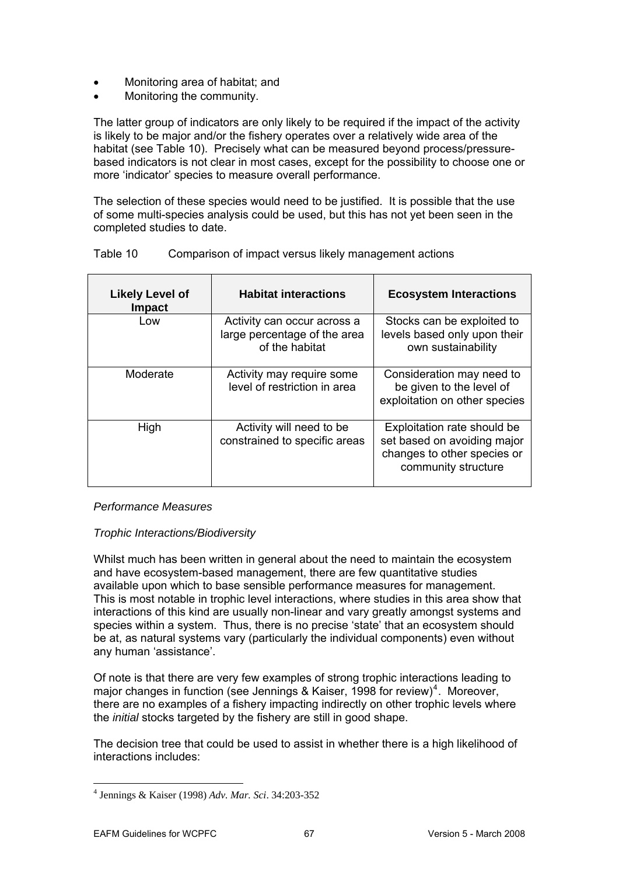- Monitoring area of habitat; and
- Monitoring the community.

The latter group of indicators are only likely to be required if the impact of the activity is likely to be major and/or the fishery operates over a relatively wide area of the based indicators is not clear in most cases, except for the possibility to choose one or habitat (see Table 10). Precisely what can be measured beyond process/pressure more 'indicator' species to measure overall performance.

The selection of these species would need to be justified. It is possible that the use of some multi-species analysis could be used, but this has not yet been seen in the completed studies to date.

| <b>Likely Level of</b><br><b>Impact</b> | <b>Habitat interactions</b>                                                   | <b>Ecosystem Interactions</b>                                                                                    |
|-----------------------------------------|-------------------------------------------------------------------------------|------------------------------------------------------------------------------------------------------------------|
| Low                                     | Activity can occur across a<br>large percentage of the area<br>of the habitat | Stocks can be exploited to<br>levels based only upon their<br>own sustainability                                 |
| Moderate                                | Activity may require some<br>level of restriction in area                     | Consideration may need to<br>be given to the level of<br>exploitation on other species                           |
| High                                    | Activity will need to be<br>constrained to specific areas                     | Exploitation rate should be<br>set based on avoiding major<br>changes to other species or<br>community structure |

#### Table 10 Comparison of impact versus likely management actions

## *Performance Measures*

## *Trophic Interactions/Biodiversity*

This is most notable in trophic level interactions, where studies in this area show that species within a system. Thus, there is no precise 'state' that an ecosystem should any human 'assistance'. Whilst much has been written in general about the need to maintain the ecosystem and have ecosystem-based management, there are few quantitative studies available upon which to base sensible performance measures for management. interactions of this kind are usually non-linear and vary greatly amongst systems and be at, as natural systems vary (particularly the individual components) even without

major changes in function (see Jennings & Kaiser, 1998 for review)<sup>4</sup>. Moreover, there are no examples of a fishery impacting indirectly on other trophic levels where Of note is that there are very few examples of strong trophic interactions leading to the *initial* stocks targeted by the fishery are still in good shape.

The decision tree that could be used to assist in whether there is a high likelihood of interactions includes:

1

<sup>&</sup>lt;sup>4</sup> Jennings & Kaiser (1998) Adv. Mar. Sci. 34:203-352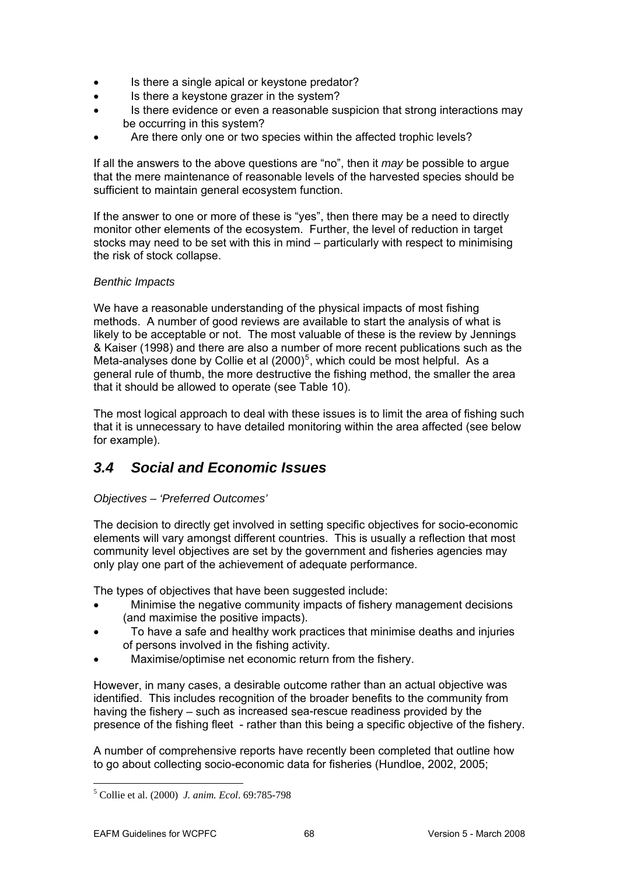- Is there a single apical or keystone predator?
- Is there a keystone grazer in the system?
- Is there evidence or even a reasonable suspicion that strong interactions may be occurring in this system?
- Are there only one or two species within the affected trophic levels?

that the mere maintenance of reasonable levels of the harvested species should be sufficient to maintain general ecosystem function. If all the answers to the above questions are "no", then it *may* be possible to argue

If the answer to one or more of these is "yes", then there may be a need to directly monitor other elements of the ecosystem. Further, the level of reduction in target stocks may need to be set with this in mind – particularly with respect to minimising the risk of stock collapse.

## *Ben thic Impacts*

We have a reasonable understanding of the physical impacts of most fishing methods. A number of good reviews are available to start the analysis of what is likely to be acceptable or not. The most valuable of these is the review by Jennings & Kaiser (1998) and there are also a number of more recent publications such as the Meta-analyses done by Collie et al  $(2000)^5$ , which could be most helpful. As a general rule of thumb, the more destructive the fishing method, the smaller the area that it should be allowed to operate (see Table 10).

The most logical approach to deal with these issues is to limit the area of fishing such that it is unnecessary to have detailed monitoring within the area affected (see below for example).

# 3.4 Social and *Economic Issues*

## *Objectives – 'Preferred Outcomes'*

The decision to directly get involved in setting specific objectives for socio-economic elements will vary amongst different countries. This is usually a reflection that most community level objectives are set by the government and fisheries agencies may only play one part of the achievement of adequate performance.

The types of objectives that have been suggested include:

- Minimise the negative community impacts of fishery management decisions (and maximise the positive impacts).
- To have a safe and healthy work practices that minimise deaths and injuries of persons involved in the fishing activity.
- Maximise/optimise net economic return from the fishery.

However, in many cases, a desirable outcome rather than an actual objective was identified. This includes recognition of the broader benefits to the community from having the fishery – such as increased sea-rescue readiness provided by the presence of the fishing fleet - rather than this being a specific objective of the fishery.

A number of comprehensive reports have recently been completed that outline how to go about collecting socio-economic data for fisheries (Hundloe, 2002, 2005;

<sup>&</sup>lt;sup>5</sup> Collie et al. (2000) *J. anim. Ecol.* 69:785-798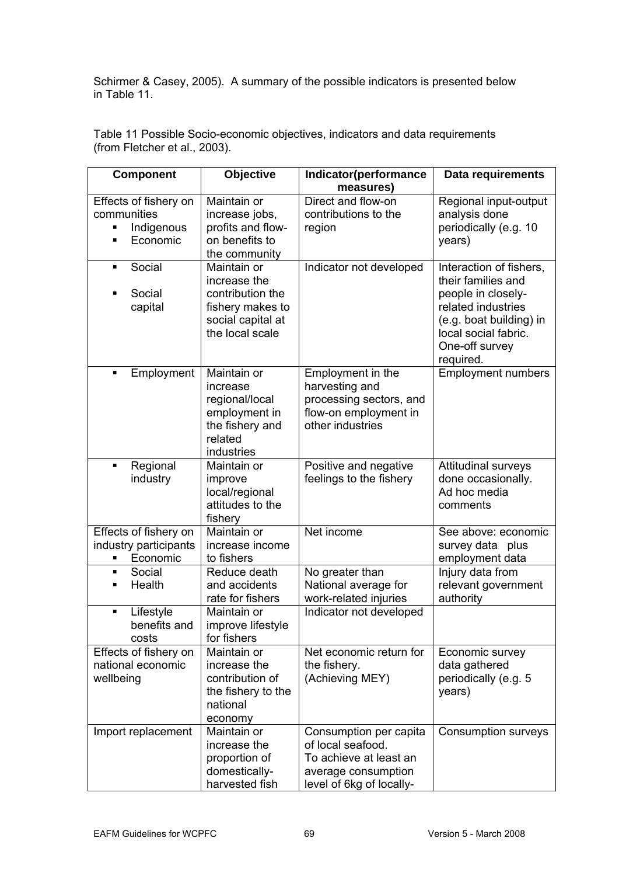Schirmer & Casey, 2005). A summary of the possible indicators is presented below in Table 11.

| <b>Component</b>             | Objective                             | Indicator(performance                   | Data requirements                               |
|------------------------------|---------------------------------------|-----------------------------------------|-------------------------------------------------|
| Effects of fishery on        | Maintain or                           | measures)<br>Direct and flow-on         | Regional input-output                           |
| communities                  | increase jobs,                        | contributions to the                    | analysis done                                   |
| Indigenous<br>٠              | profits and flow-                     | region                                  | periodically (e.g. 10                           |
| Economic<br>٠                | on benefits to                        |                                         | years)                                          |
|                              | the community                         |                                         |                                                 |
| Social<br>٠                  | Maintain or                           | Indicator not developed                 | Interaction of fishers,                         |
|                              | increase the                          |                                         | their families and                              |
| Social                       | contribution the                      |                                         | people in closely-                              |
| capital                      | fishery makes to<br>social capital at |                                         | related industries                              |
|                              | the local scale                       |                                         | (e.g. boat building) in<br>local social fabric. |
|                              |                                       |                                         | One-off survey                                  |
|                              |                                       |                                         | required.                                       |
| Employment<br>$\blacksquare$ | Maintain or                           | Employment in the                       | <b>Employment numbers</b>                       |
|                              | increase                              | harvesting and                          |                                                 |
|                              | regional/local                        | processing sectors, and                 |                                                 |
|                              | employment in                         | flow-on employment in                   |                                                 |
|                              | the fishery and<br>related            | other industries                        |                                                 |
|                              | industries                            |                                         |                                                 |
| Regional<br>٠                | Maintain or                           | Positive and negative                   | <b>Attitudinal surveys</b>                      |
| industry                     | improve                               | feelings to the fishery                 | done occasionally.                              |
|                              | local/regional                        |                                         | Ad hoc media                                    |
|                              | attitudes to the                      |                                         | comments                                        |
|                              | fishery                               |                                         |                                                 |
| Effects of fishery on        | Maintain or                           | Net income                              | See above: economic                             |
| industry participants        | increase income                       |                                         | survey data plus                                |
| Economic<br>٠<br>Social<br>٠ | to fishers<br>Reduce death            |                                         | employment data                                 |
| Health<br>٠                  | and accidents                         | No greater than<br>National average for | Injury data from<br>relevant government         |
|                              | rate for fishers                      | work-related injuries                   | authority                                       |
| Lifestyle<br>٠               | Maintain or                           | Indicator not developed                 |                                                 |
| benefits and                 | improve lifestyle                     |                                         |                                                 |
| costs                        | for fishers                           |                                         |                                                 |
| Effects of fishery on        | Maintain or                           | Net economic return for                 | Economic survey                                 |
| national economic            | increase the                          | the fishery.                            | data gathered                                   |
| wellbeing                    | contribution of                       | (Achieving MEY)                         | periodically (e.g. 5                            |
|                              | the fishery to the                    |                                         | years)                                          |
|                              | national                              |                                         |                                                 |
| Import replacement           | economy<br>Maintain or                | Consumption per capita                  | <b>Consumption surveys</b>                      |
|                              | increase the                          | of local seafood.                       |                                                 |
|                              | proportion of                         | To achieve at least an                  |                                                 |
|                              | domestically-                         | average consumption                     |                                                 |
|                              | harvested fish                        | level of 6kg of locally-                |                                                 |

Table 11 Possible Socio-economic objectives, indicators and data requirements (from Fletcher et al., 2003).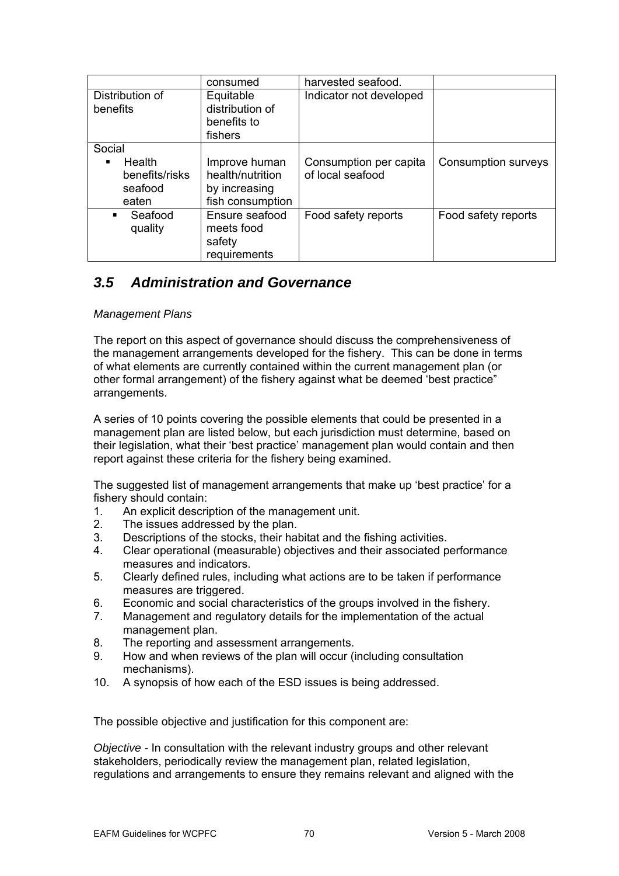|                                                   | consumed                                                               | harvested seafood.                         |                     |
|---------------------------------------------------|------------------------------------------------------------------------|--------------------------------------------|---------------------|
| Distribution of<br>benefits                       | Equitable<br>distribution of<br>benefits to<br>fishers                 | Indicator not developed                    |                     |
| Social                                            |                                                                        |                                            |                     |
| Health<br>٠<br>benefits/risks<br>seafood<br>eaten | Improve human<br>health/nutrition<br>by increasing<br>fish consumption | Consumption per capita<br>of local seafood | Consumption surveys |
| Seafood<br>٠<br>quality                           | Ensure seafood<br>meets food<br>safety<br>requirements                 | Food safety reports                        | Food safety reports |

## *3.5 Administration and Governance*

## *Management Plans*

The report on this aspect of governance should discuss the comprehensiveness of the management arrangements developed for the fishery. This can be done in terms of what elements are currently contained within the current management plan (or other formal arrangement) of the fishery against what be deemed 'best practice" arrangements.

their legislation, what their 'best practice' management plan would contain and then A series of 10 points covering the possible elements that could be presented in a management plan are listed below, but each jurisdiction must determine, based on report against these criteria for the fishery being examined.

The suggested list of management arrangements that make up 'best practice' for a fishery should contain:

- An explicit description of the management unit. 1.
- . The issues addressed by the plan. 2
- 3. Descriptions of the stocks, their habitat and the fishing activities.<br>4. Clear operational (measurable) objectives and their associated p
- 4. Clear operational (measurable) objectives and their associated performance measures and indicators.
- 5. Clearly defined rules, including what actions are to be taken if performance measures are triggered.
- 6. Economic and social characteristics of the groups involved in the fishery.
- 7. Management and regulatory details for the implementation of the actual management plan.
- 8. The reporting and assessment arrangements.
- 9. How and when reviews of the plan will occur (including consultation mechanisms).
- 10. A synopsis of how each of the ESD issues is being addressed.

The possible objective and justification for this component are:

Objective - In consultation with the relevant industry groups and other relevant stakeholders, periodically review the management plan, related legislation, regulations and arrangements to ensure they remains relevant and aligned with the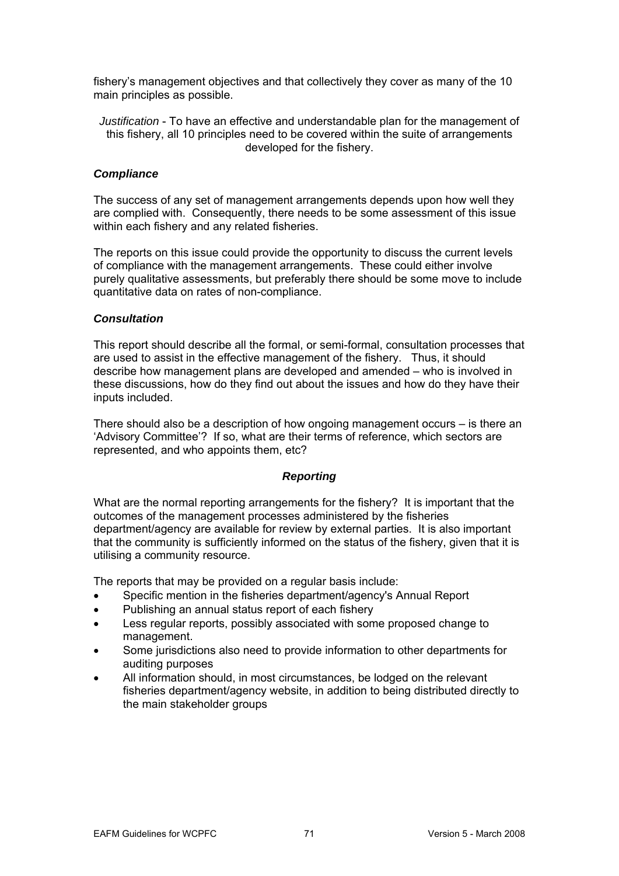fishery's management objectives and that collectively they cover as many of the 10 main principles as possible.

*Justification* - To have an effective and understandable plan for the management of this fishery, all 10 principles need to be covered within the suite of arrangements developed for the fishery.

## *Compliance*

The success of any set of management arrangements depends upon how well they are complied with. Consequently, there needs to be some assessment of this issue within e ach fishery and any related fisheries.

The reports on this issue could provide the opportunity to discuss the current levels of compliance with the management arrangements. These could either involve purely qualitative assessments, but preferably there should be some move to include quantit ative data on rates of non-compliance.

## *Consu ltation*

This report should describe all the formal, or semi-formal, consultation processes that are used to assist in the effective management of the fishery. Thus, it should describe how management plans are developed and amended – who is involved in these discussions, how do they find out about the issues and how do they have their inputs included.

There should also be a description of how ongoing management occurs – is there an 'Advisory Committee'? If so, what are their terms of reference, which sectors are represented, and who appoints them, etc?

## *Reporting*

What are the normal reporting arrangements for the fishery? It is important that the outcom es of the management processes administered by the fisheries department/agency are available for review by external parties. It is also important utilising a community resource. that the community is sufficiently informed on the status of the fishery, given that it is

The reports that may be provided on a regular basis include:

- Specific mention in the fisheries department/agency's Annual Report
- P ublishing an annual status report of each fishery
- Less regular reports, possibly associated with some proposed change to management.
- S ome jurisdictions also need to provide information to other departments for a uditing purposes
- All information should, in most circumstances, be lodged on the relevant fisheries department/agency website, in addition to being distributed directly to the main stakeholder groups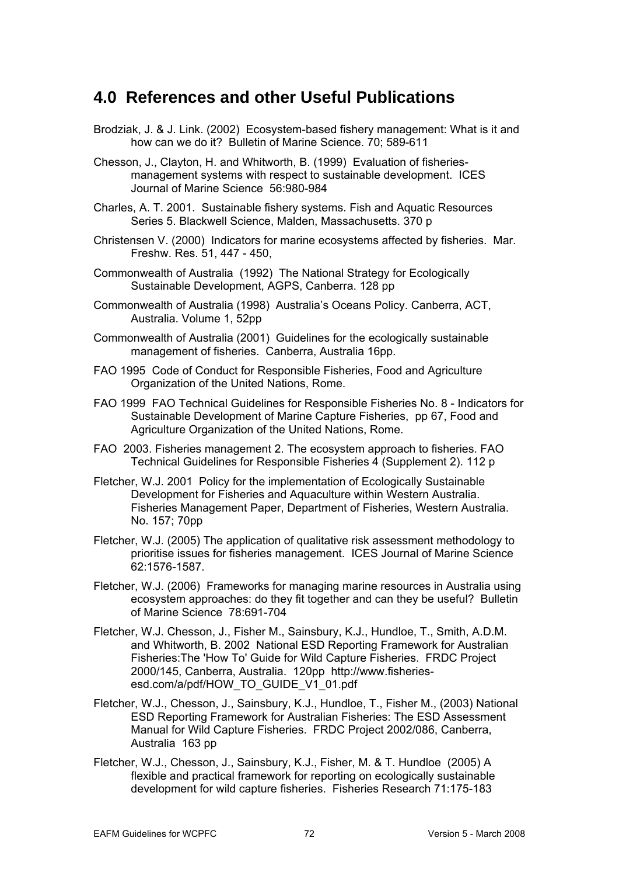# **4.0 R eferences and other Useful Publications**

- Brodziak, J. & J. Link. (2002) Ecosystem-based fishery management: What is it and how can we do it? Bulletin of Marine Science. 70; 589-611
- Chesso n, J., Clayton, H. and Whitworth, B. (1999) Evaluation of fisheriesmanagement systems with respect to sustainable development. ICES Journal of Marine Science 56:980-984
- Charles, A. T. 2001. Sustainable f ishery systems. Fish and Aquatic Resources Series 5. Blackwell Science, Malden, Massachusetts. 370 p
- Christe nsen V. (2000) Indicators for marine ecosystems affected by fisheries. Mar. Freshw. Res. 51, 447 - 450,
- Commonwealth of Australia (1992) The National Strategy for Ecologically Sustainable Development, AGPS, Canberra. 128 pp
- Commonwealth of Australia (1998) Australia's Oceans Policy. Canberra, ACT, Australia. Volume 1, 52pp
- Comm onwealth of Australia (2001) Guidelines for the ecologically sustainable management of fisheries. Canberra, Australia 16pp.
- FAO 1995 Code of Conduct for Responsible Fisheries, Food and Agriculture Organization of the United Nations, Rome.
- FAO 1999 FAO Technical Guidelines for Responsible Fisheries No. 8 Indicators for Sustainable Development of Marine Capture Fisheries, pp 67, Food and Agriculture Organization of the United Nations, Rome.
- FAO 2003. Fisheries management 2. The ecosystem approach to fisheries. FAO Technical Guidelines for Responsible Fisheries 4 (Supplement 2). 112 p
- Fletcher, W.J. 2001 Policy for the implementation of Ecologically Sustainable Development for Fisheries and Aquaculture within Western Australia. Fisheries Management Paper, Department of Fisheries, Western Australia. No. 157; 70pp
- Fletcher, W.J. (2005) The application of qualitative risk assessment methodology to prioritise issues for fisheries management. ICES Journal of Marine Science 62:1576-1587.
- Fletcher, W.J. (2006) Frameworks for managing marine resources in Australia using ecosystem approaches: do they fit together and can they be useful? Bulletin of Marine Science 78:691-704
- Fletcher, W.J. Chesson, J., Fisher M., Sainsbury, K.J., Hundloe, T., Smith, A.D.M. esd.com/a/pdf/HOW\_TO\_GUIDE\_V1\_01.pdf and Whitworth, B. 2002 National ESD Reporting Framework for Australian Fisheries:The 'How To' Guide for Wild Capture Fisheries. FRDC Project 2000/145, Canberra, Australia. 120pp http://www.fisheries-
- Manual for Wild Capture Fisheries. FRDC Project 2002/086, Canberra, Fletcher, W.J., Chesson, J., Sainsbury, K.J., Hundloe, T., Fisher M., (2003) National ESD Reporting Framework for Australian Fisheries: The ESD Assessment Australia 163 pp
- Fletche r, W.J., Chesson, J., Sainsbury, K.J., Fisher, M. & T. Hundloe (2005) A flexible and practical framework for reporting on ecologically sustainable development for wild capture fisheries. Fisheries Research 71:175-183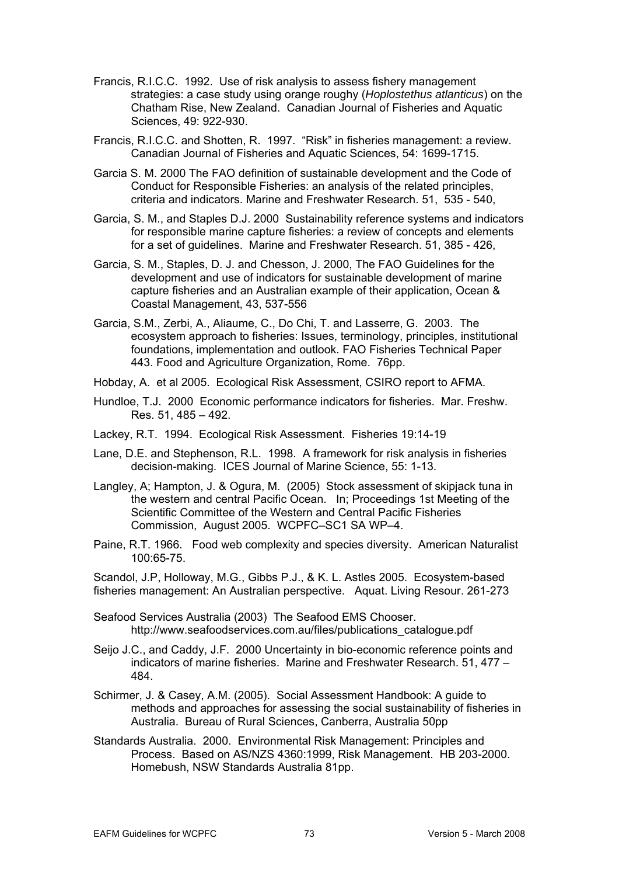- Francis, R.I.C.C. 1992. Use of risk analysis to assess fishery management strategies: a case study using orange roughy (*Hoplostethus atlanticus*) on the Chatham Rise, New Zealand. Canadian Journal of Fisheries and Aquatic Sciences, 49: 922-930.
- Francis, R.I.C.C. and Shotten, R. 1997. "Risk" in fisheries management: a review. Canadian Journal of Fisheries and Aquatic Sciences, 54: 1699-1715.
- Garcia S. M. 2000 The FAO definition of sustainable development and the Code of Conduct for Responsible Fisheries: an analysis of the related principles, criteria and indicators. Marine and Freshwater Research. 51, 535 - 540,
- Garcia, S. M., and Staples D.J. 2000 Sustainability reference systems and indicators for responsible marine capture fisheries: a review of concepts and elements for a set of guidelines. Marine and Freshwater Research. 51, 385 - 426,
- Garcia, S. M., Staples, D. J. and Chesson, J. 2000, The FAO Guidelines for the development and use of indicators for sustainable development of marine capture fisheries and an Australian example of their application, Ocean & Coastal Management, 43, 537-556
- ecosystem approach to fisheries: Issues, terminology, principles, institutional foundations, implementation and outlook. FAO Fisheries Technical Paper Garcia, S.M., Zerbi, A., Aliaume, C., Do Chi, T. and Lasserre, G. 2003. The 443. Food and Agriculture Organization, Rome. 76pp.
- Hobda y, A. et al 2005. Ecological Risk Assessment, CSIRO report to AFMA.
- Hundlo e, T.J. 2000 Economic performance indicators for fisheries. Mar. Freshw. Res. 51, 485 – 492.
- Lackey, R.T. 1994. Ecological Risk Assessment. Fisheries 19:14-19
- Lane, D.E. and Stephenson, R.L. 1998. A framework for risk analysis in fisheries decision-making. ICES Journal of Marine Science, 55: 1-13.
- Langley, A; Hampton, J. & Ogura, M. (2005) Stock assessment of skipjack tuna in the western and central Pacific Ocean. In; Proceedings 1st Meeting of the Scientific Committee of the Western and Central Pacific Fisheries Commission, August 2005. WCPFC–SC1 SA WP–4.
- Paine, R.T. 1966. Food web complexity and species diversity. American Naturalist 100:65-75.

Scandol, J.P, Holloway, M.G., Gibbs P.J., & K. L. Astles 2005. Ecosystem-based fisheries management: An Australian perspective. Aquat. Living Resour. 261-273

Seafood Services Australia (2003) The Seafood EMS Chooser. http://www.seafoodservices.com.au/files/publications\_catalogue.pdf

- Seijo J.C., and Caddy, J.F. 2000 Uncertainty in bio-economic reference points and indicators of marine fisheries. Marine and Freshwater Research. 51, 477 – 484.
- Schirmer, J. & Casey, A.M. (2005). Social Assessment Handbook: A guide to methods and approaches for assessing the social sustainability of fisheries in Australia. Bureau of Rural Sciences, Canberra, Australia 50pp
- Standards Australia. 2000. Environmental Risk Management: Principles and Process. Based on AS/NZS 4360:1999, Risk Management. HB 203-2000. Homebush, NSW Standards Australia 81pp.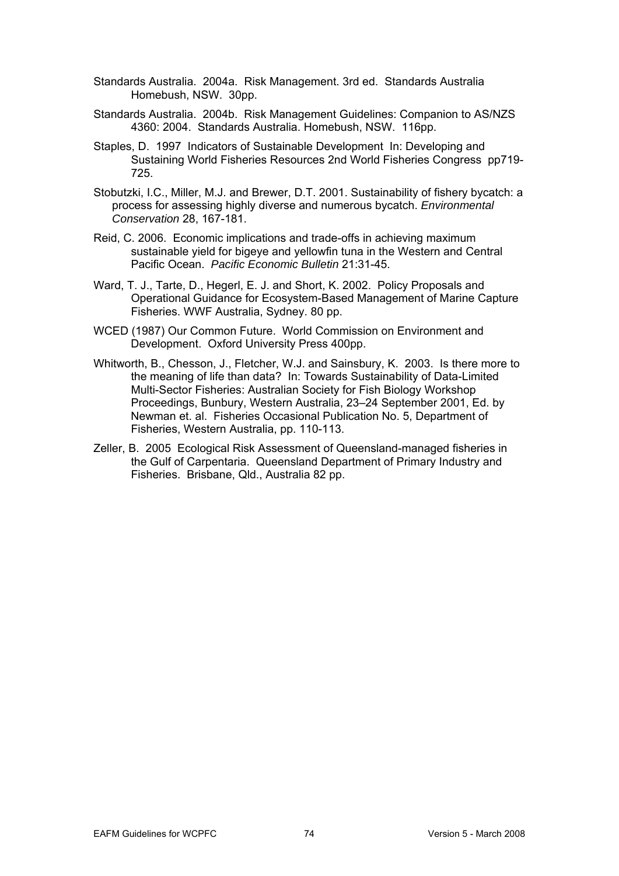- Standards Australia. 2004a. Risk Management. 3rd ed. Standards Australia Homebush, NSW. 30pp.
- Standards Australia. 2004b. Risk Management Guidelines: Companion to AS/NZS 4360: 2004. Standards Australia. Homebush, NSW. 116pp.
- Staples, D. 1997 Indicators of Sustainable Development In: Developing and Sustaining World Fisheries Resources 2nd World Fisheries Congress pp719-725.
- Stobutzki, I.C., Miller, M.J. and Brewer, D.T. 2001. Sustainability of fishery bycatch: a process for assessing highly diverse and numerous bycatch. *Environmental Conservation* 28, 167-181.
- Reid, C. 2006. Econo mic implications and trade-offs in achieving maximum sustainable yield for bigeye and yellowfin tuna in the Western and Central Pacific Ocean. *Pacific Economic Bulletin* 21:31-45.
- Ward, T. J., Tarte, D., Hegerl, E. J. and Short, K. 2002. Policy Proposals and Operational Guidance for Ecosystem-Based Management of Marine Capture Fisheries. WWF Australia, Sydney. 80 pp.
- WCED (1987) Our Common Future. World Commission on Environment and Development. Oxford University Press 400pp.
- Whitworth, B., Chesso n, J., Fletcher, W.J. and Sainsbury, K. 2003. Is there more to the meaning o f life than data? In: Towards Sustainability of Data-Limited Multi-Sector Fisheries: Australian Society for Fish Biology Workshop Proceedings, B unbury, Western Australia, 23–24 September 2001, Ed. by Newman et. al. Fisheries Occasional Publication No. 5, Department of Fisheries, Wes tern Australia, pp. 110-113.
- Zeller, B. 2005 Ecological Risk Assessment of Queensland-managed fisheries in the Gulf of Car pentaria. Queensland Department of Primary Industry and Fisheries. Brisbane, Qld., Australia 82 pp.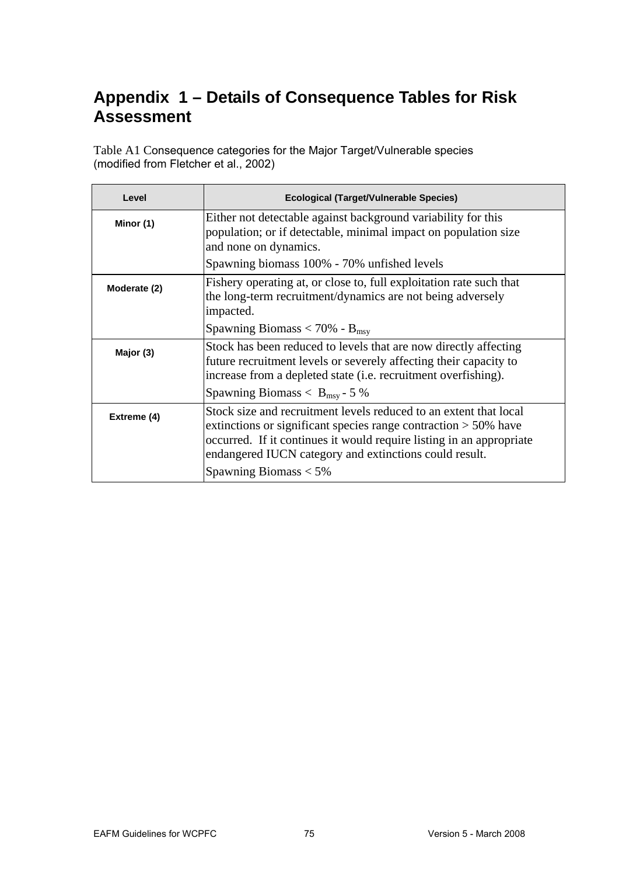## **Appendix 1 – Details of Consequence Tables for Risk**  Assessment

Table A1 Consequence categories for the Major Target/Vulnerable species (modified from Fletcher et al., 2002)

| Level        | <b>Ecological (Target/Vulnerable Species)</b>                                                                                                                                                                                                                             |
|--------------|---------------------------------------------------------------------------------------------------------------------------------------------------------------------------------------------------------------------------------------------------------------------------|
| Minor (1)    | Either not detectable against background variability for this<br>population; or if detectable, minimal impact on population size<br>and none on dynamics.                                                                                                                 |
|              | Spawning biomass 100% - 70% unfished levels                                                                                                                                                                                                                               |
| Moderate (2) | Fishery operating at, or close to, full exploitation rate such that<br>the long-term recruitment/dynamics are not being adversely<br>impacted.                                                                                                                            |
|              | Spawning Biomass $<$ 70% - B <sub>msy</sub>                                                                                                                                                                                                                               |
| Major (3)    | Stock has been reduced to levels that are now directly affecting<br>future recruitment levels or severely affecting their capacity to<br>increase from a depleted state (i.e. recruitment overfishing).                                                                   |
|              | Spawning Biomass $< B_{\text{msy}}$ - 5 %                                                                                                                                                                                                                                 |
| Extreme (4)  | Stock size and recruitment levels reduced to an extent that local<br>extinctions or significant species range contraction $> 50\%$ have<br>occurred. If it continues it would require listing in an appropriate<br>endangered IUCN category and extinctions could result. |
|              | Spawning Biomass $<$ 5%                                                                                                                                                                                                                                                   |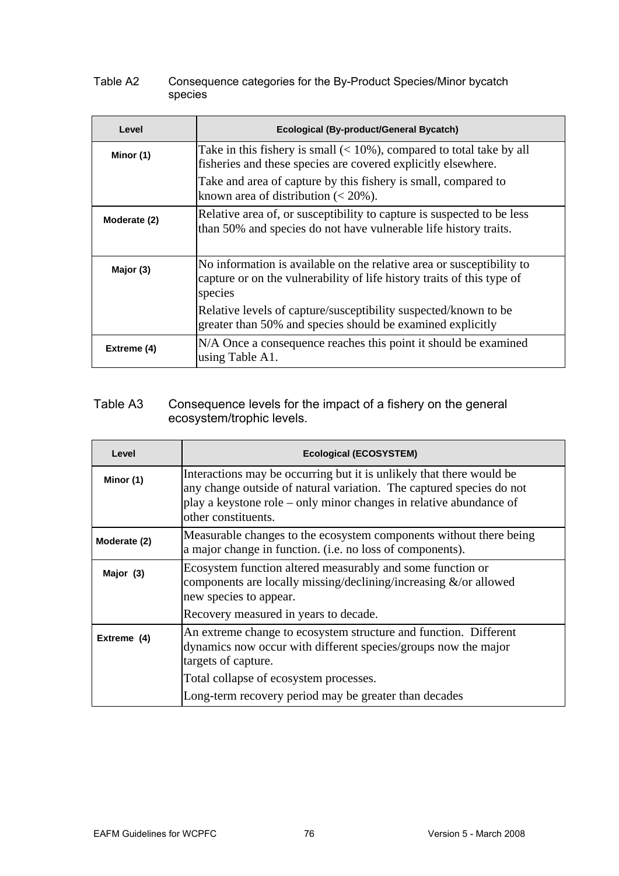## Table A2 Consequence categories for the By-Product Species/Minor bycatch species

| Level        | Ecological (By-product/General Bycatch)                                                                                                                    |
|--------------|------------------------------------------------------------------------------------------------------------------------------------------------------------|
| Minor (1)    | Take in this fishery is small $(< 10\%)$ , compared to total take by all<br>fisheries and these species are covered explicitly elsewhere.                  |
|              | Take and area of capture by this fishery is small, compared to<br>known area of distribution $(< 20\%$ ).                                                  |
| Moderate (2) | Relative area of, or susceptibility to capture is suspected to be less<br>than 50% and species do not have vulnerable life history traits.                 |
| Major (3)    | No information is available on the relative area or susceptibility to<br>capture or on the vulnerability of life history traits of this type of<br>species |
|              | Relative levels of capture/susceptibility suspected/known to be<br>greater than 50% and species should be examined explicitly                              |
| Extreme (4)  | N/A Once a consequence reaches this point it should be examined<br>using Table A1.                                                                         |

## Table A3 ecos ystem/trophic levels. Consequence levels for the impact of a fishery on the general

| Level        | <b>Ecological (ECOSYSTEM)</b>                                                                                                                                                                                                             |
|--------------|-------------------------------------------------------------------------------------------------------------------------------------------------------------------------------------------------------------------------------------------|
| Minor (1)    | Interactions may be occurring but it is unlikely that there would be<br>any change outside of natural variation. The captured species do not<br>play a keystone role – only minor changes in relative abundance of<br>other constituents. |
| Moderate (2) | Measurable changes to the ecosystem components without there being<br>a major change in function. (i.e. no loss of components).                                                                                                           |
| Major (3)    | Ecosystem function altered measurably and some function or<br>components are locally missing/declining/increasing $\&$ /or allowed<br>new species to appear.                                                                              |
|              | Recovery measured in years to decade.                                                                                                                                                                                                     |
| Extreme (4)  | An extreme change to ecosystem structure and function. Different<br>dynamics now occur with different species/groups now the major<br>targets of capture.                                                                                 |
|              | Total collapse of ecosystem processes.                                                                                                                                                                                                    |
|              | Long-term recovery period may be greater than decades                                                                                                                                                                                     |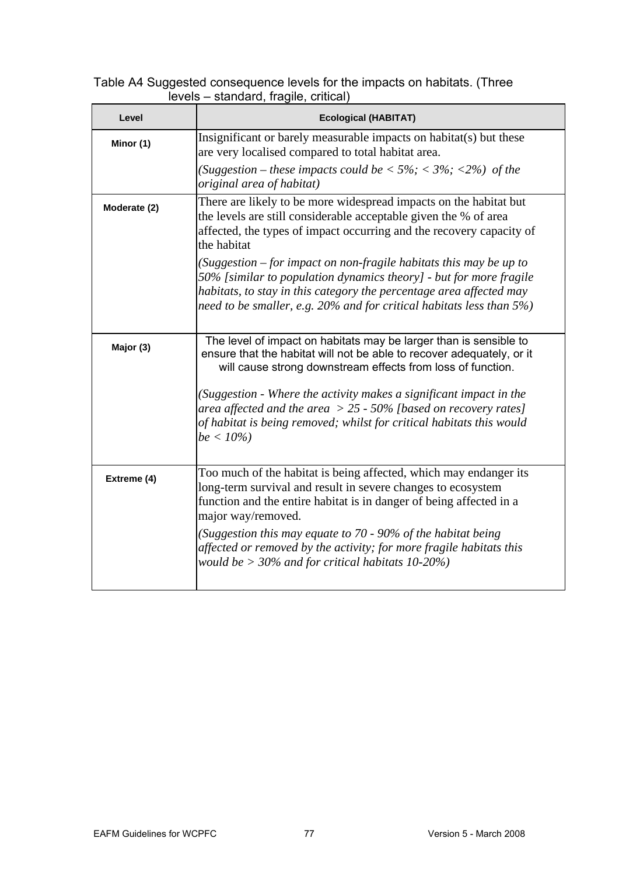## Table A4 Suggested consequence levels for the impacts on habitats. (Three levels – standard, fragile, critical)

| Level        | <b>Ecological (HABITAT)</b>                                                                                                                                                                                                                                                                      |
|--------------|--------------------------------------------------------------------------------------------------------------------------------------------------------------------------------------------------------------------------------------------------------------------------------------------------|
| Minor (1)    | Insignificant or barely measurable impacts on habitat(s) but these<br>are very localised compared to total habitat area.                                                                                                                                                                         |
|              | (Suggestion – these impacts could be $\langle 5\%, \langle 3\% ; \langle 2\% \rangle \rangle$ of the<br>original area of habitat)                                                                                                                                                                |
| Moderate (2) | There are likely to be more widespread impacts on the habitat but<br>the levels are still considerable acceptable given the % of area<br>affected, the types of impact occurring and the recovery capacity of<br>the habitat                                                                     |
|              | (Suggestion $-$ for impact on non-fragile habitats this may be up to<br>50% [similar to population dynamics theory] - but for more fragile<br>habitats, to stay in this category the percentage area affected may<br>need to be smaller, e.g. $20\%$ and for critical habitats less than $5\%$ ) |
| Major (3)    | The level of impact on habitats may be larger than is sensible to<br>ensure that the habitat will not be able to recover adequately, or it<br>will cause strong downstream effects from loss of function.                                                                                        |
|              | (Suggestion - Where the activity makes a significant impact in the<br>area affected and the area $> 25$ - 50% [based on recovery rates]<br>of habitat is being removed; whilst for critical habitats this would<br>$be < 10\%)$                                                                  |
| Extreme (4)  | Too much of the habitat is being affected, which may endanger its<br>long-term survival and result in severe changes to ecosystem<br>function and the entire habitat is in danger of being affected in a<br>major way/removed.                                                                   |
|              | (Suggestion this may equate to $70$ - 90% of the habitat being<br>affected or removed by the activity; for more fragile habitats this<br>would be $>$ 30% and for critical habitats 10-20%)                                                                                                      |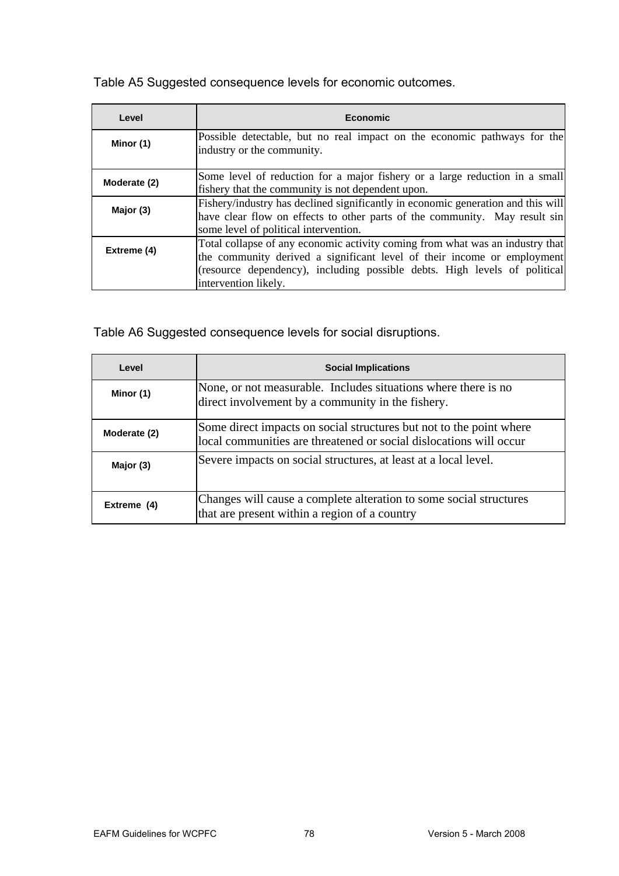Table A5 Suggested consequence levels for economic outcomes.

| Level        | <b>Economic</b>                                                                                                                                                                                                                                               |
|--------------|---------------------------------------------------------------------------------------------------------------------------------------------------------------------------------------------------------------------------------------------------------------|
| Minor (1)    | Possible detectable, but no real impact on the economic pathways for the<br>industry or the community.                                                                                                                                                        |
| Moderate (2) | Some level of reduction for a major fishery or a large reduction in a small<br>fishery that the community is not dependent upon.                                                                                                                              |
| Major (3)    | Fishery/industry has declined significantly in economic generation and this will<br>have clear flow on effects to other parts of the community. May result sin<br>some level of political intervention.                                                       |
| Extreme (4)  | Total collapse of any economic activity coming from what was an industry that<br>the community derived a significant level of their income or employment<br>(resource dependency), including possible debts. High levels of political<br>intervention likely. |

Table A6 Suggested consequence levels for social disruptions.

| Level        | <b>Social Implications</b>                                                                                                                |
|--------------|-------------------------------------------------------------------------------------------------------------------------------------------|
| Minor (1)    | None, or not measurable. Includes situations where there is no<br>direct involvement by a community in the fishery.                       |
| Moderate (2) | Some direct impacts on social structures but not to the point where<br>local communities are threatened or social dislocations will occur |
| Major (3)    | Severe impacts on social structures, at least at a local level.                                                                           |
| Extreme (4)  | Changes will cause a complete alteration to some social structures<br>that are present within a region of a country                       |